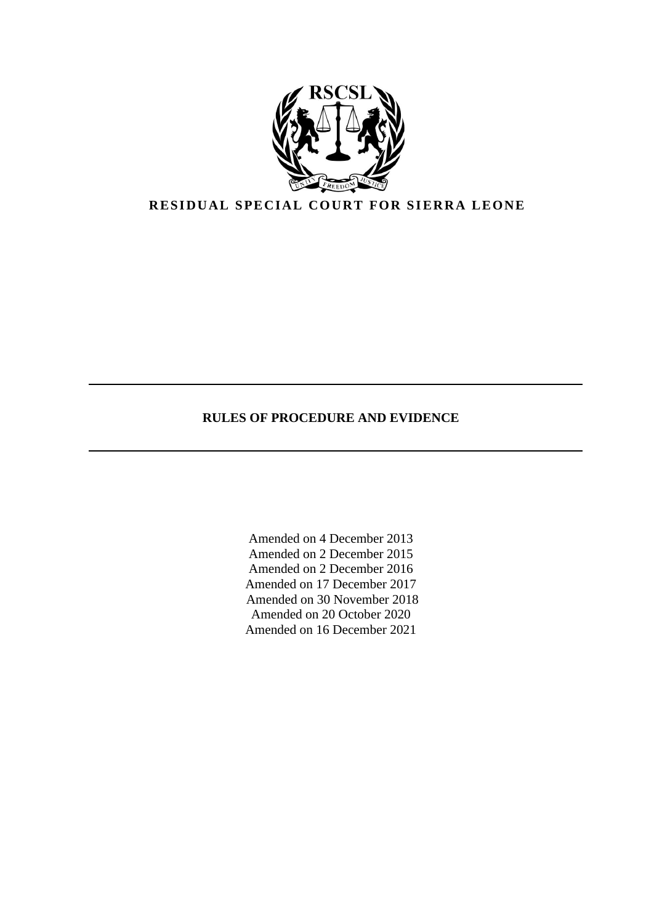

# **RESIDUAL SPECIAL COURT FOR SIERRA LEONE**

# **RULES OF PROCEDURE AND EVIDENCE**

Amended on 4 December 2013 Amended on 2 December 2015 Amended on 2 December 2016 Amended on 17 December 2017 Amended on 30 November 2018 Amended on 20 October 2020 Amended on 16 December 2021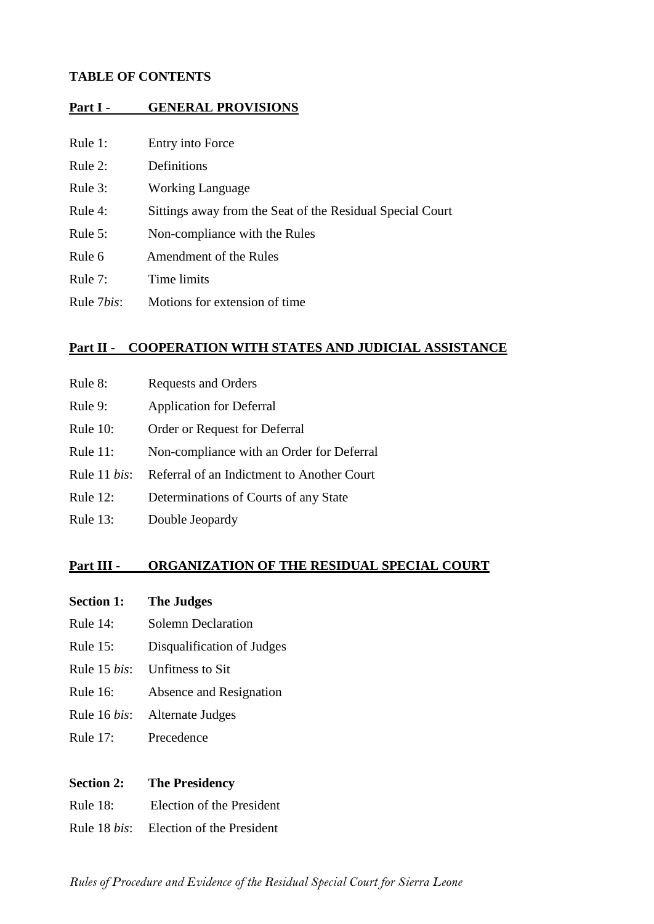# **TABLE OF CONTENTS**

### **Part I - GENERAL PROVISIONS**

| Rule 1:             | Entry into Force                                          |
|---------------------|-----------------------------------------------------------|
| Rule 2:             | Definitions                                               |
| Rule 3:             | <b>Working Language</b>                                   |
| Rule 4:             | Sittings away from the Seat of the Residual Special Court |
| Rule 5:             | Non-compliance with the Rules                             |
| Rule 6              | Amendment of the Rules                                    |
| Rule 7:             | Time limits                                               |
| Rule 7 <i>bis</i> : | Motions for extension of time                             |

# **Part II - COOPERATION WITH STATES AND JUDICIAL ASSISTANCE**

| <b>Requests and Orders</b>                 |
|--------------------------------------------|
| <b>Application for Deferral</b>            |
| Order or Request for Deferral              |
| Non-compliance with an Order for Deferral  |
| Referral of an Indictment to Another Court |
| Determinations of Courts of any State      |
| Double Jeopardy                            |
|                                            |

# **Part III - ORGANIZATION OF THE RESIDUAL SPECIAL COURT**

| <b>Section 1:</b>    | <b>The Judges</b>          |
|----------------------|----------------------------|
| Rule $14$ :          | <b>Solemn Declaration</b>  |
| Rule $15$ :          | Disqualification of Judges |
| Rule 15 <i>bis</i> : | Unfitness to Sit.          |
| Rule $16$ :          | Absence and Resignation    |
| Rule 16 bis:         | Alternate Judges           |
| Rule $17$ :          | Precedence                 |
|                      |                            |

# **Section 2: The Presidency**

Rule 18: Election of the President

Rule 18 *bis*: Election of the President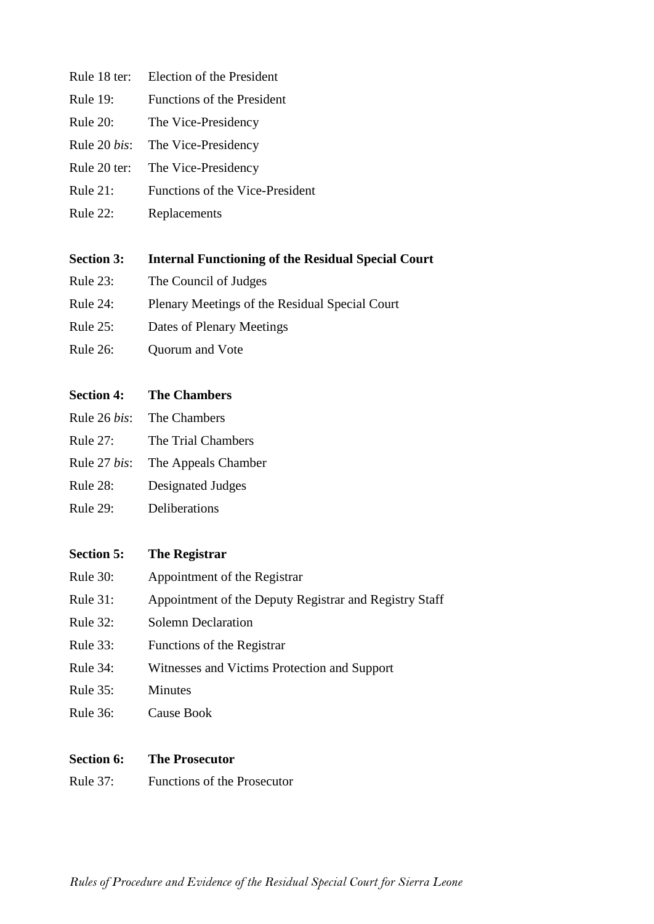| Rule 18 ter: | Election of the President        |
|--------------|----------------------------------|
| Rule $19$ :  | Functions of the President       |
| Rule 20:     | The Vice-Presidency              |
|              | Rule 20 bis: The Vice-Presidency |
| Rule 20 ter: | The Vice-Presidency              |
| Rule $21:$   | Functions of the Vice-President  |
| Rule $22$ :  | Replacements                     |
|              |                                  |

# **Section 3: Internal Functioning of the Residual Special Court**

- Rule 23: The Council of Judges
- Rule 24: Plenary Meetings of the Residual Special Court
- Rule 25: Dates of Plenary Meetings
- Rule 26: Quorum and Vote

### **Section 4: The Chambers**

- Rule 26 *bis*: The Chambers
- Rule 27: The Trial Chambers
- Rule 27 *bis*: The Appeals Chamber
- Rule 28: Designated Judges
- Rule 29: Deliberations

### **Section 5: The Registrar**

| Rule $30:$      | Appointment of the Registrar                           |
|-----------------|--------------------------------------------------------|
| Rule $31$ :     | Appointment of the Deputy Registrar and Registry Staff |
| Rule 32:        | <b>Solemn Declaration</b>                              |
| Rule 33:        | Functions of the Registrar                             |
| Rule 34:        | Witnesses and Victims Protection and Support           |
| Rule $35$ :     | Minutes                                                |
| <b>Rule 36:</b> | Cause Book                                             |

### **Section 6: The Prosecutor**

Rule 37: Functions of the Prosecutor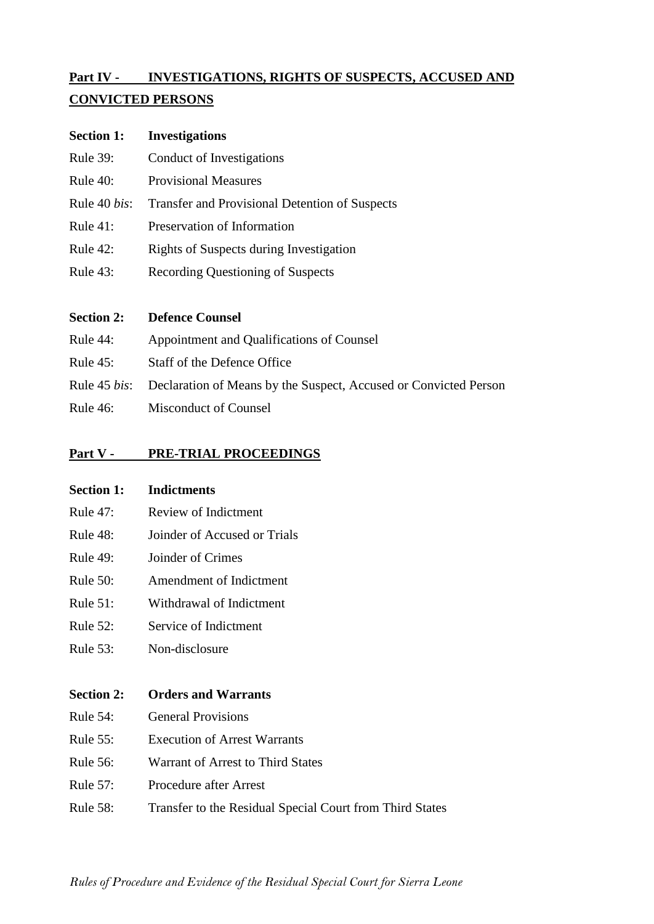# **Part IV - INVESTIGATIONS, RIGHTS OF SUSPECTS, ACCUSED AND CONVICTED PERSONS**

# **Section 1: Investigations**

| <b>Rule 39:</b> | Conduct of Investigations                             |
|-----------------|-------------------------------------------------------|
| Rule $40:$      | <b>Provisional Measures</b>                           |
| Rule 40 bis:    | <b>Transfer and Provisional Detention of Suspects</b> |
| Rule $41$ :     | Preservation of Information                           |
| Rule $42:$      | Rights of Suspects during Investigation               |
| Rule 43:        | <b>Recording Questioning of Suspects</b>              |

### **Section 2: Defence Counsel**

| Rule $44$ : | Appointment and Qualifications of Counsel                                     |
|-------------|-------------------------------------------------------------------------------|
| Rule $45:$  | Staff of the Defence Office                                                   |
|             | Rule 45 bis: Declaration of Means by the Suspect, Accused or Convicted Person |
| Rule $46:$  | Misconduct of Counsel                                                         |

### **Part V - PRE-TRIAL PROCEEDINGS**

| <b>Section 1:</b> | Indictments                  |
|-------------------|------------------------------|
| <b>Rule 47:</b>   | Review of Indictment         |
| <b>Rule 48:</b>   | Joinder of Accused or Trials |
| Rule $49:$        | Joinder of Crimes            |
| Rule 50:          | Amendment of Indictment      |
| Rule $51$ :       | Withdrawal of Indictment     |

- Rule 52: Service of Indictment
- Rule 53: Non-disclosure

### **Section 2: Orders and Warrants**

- Rule 54: General Provisions
- Rule 55: Execution of Arrest Warrants
- Rule 56: Warrant of Arrest to Third States
- Rule 57: Procedure after Arrest
- Rule 58: Transfer to the Residual Special Court from Third States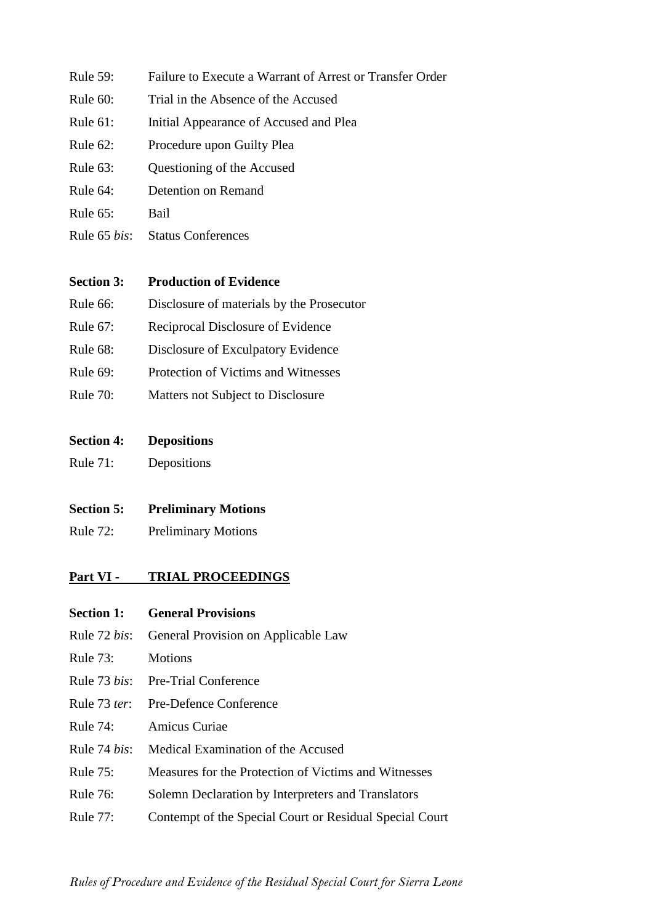- Rule 59: Failure to Execute a Warrant of Arrest or Transfer Order Rule 60: Trial in the Absence of the Accused Rule 61: Initial Appearance of Accused and Plea Rule 62: Procedure upon Guilty Plea Rule 63: Questioning of the Accused Rule 64: Detention on Remand Rule 65: Bail
- Rule 65 *bis*: Status Conferences

### **Section 3: Production of Evidence**

| <b>Rule 66:</b> | Disclosure of materials by the Prosecutor |
|-----------------|-------------------------------------------|
| Rule $67$ :     | Reciprocal Disclosure of Evidence         |
| <b>Rule 68:</b> | Disclosure of Exculpatory Evidence        |
| Rule $69$ :     | Protection of Victims and Witnesses       |
| Rule 70:        | Matters not Subject to Disclosure         |

### **Section 4: Depositions**

Rule 71: Depositions

### **Section 5: Preliminary Motions**

Rule 72: Preliminary Motions

# **Part VI - TRIAL PROCEEDINGS**

| <b>Section 1:</b>    | <b>General Provisions</b>                               |
|----------------------|---------------------------------------------------------|
| Rule 72 <i>bis</i> : | General Provision on Applicable Law                     |
| <b>Rule 73:</b>      | <b>Motions</b>                                          |
|                      | Rule 73 bis: Pre-Trial Conference                       |
| Rule 73 ter:         | <b>Pre-Defence Conference</b>                           |
| <b>Rule 74:</b>      | Amicus Curiae                                           |
| Rule 74 <i>bis</i> : | Medical Examination of the Accused                      |
| <b>Rule 75:</b>      | Measures for the Protection of Victims and Witnesses    |
| <b>Rule 76:</b>      | Solemn Declaration by Interpreters and Translators      |
| <b>Rule 77:</b>      | Contempt of the Special Court or Residual Special Court |

*Rules of Procedure and Evidence of the Residual Special Court for Sierra Leone*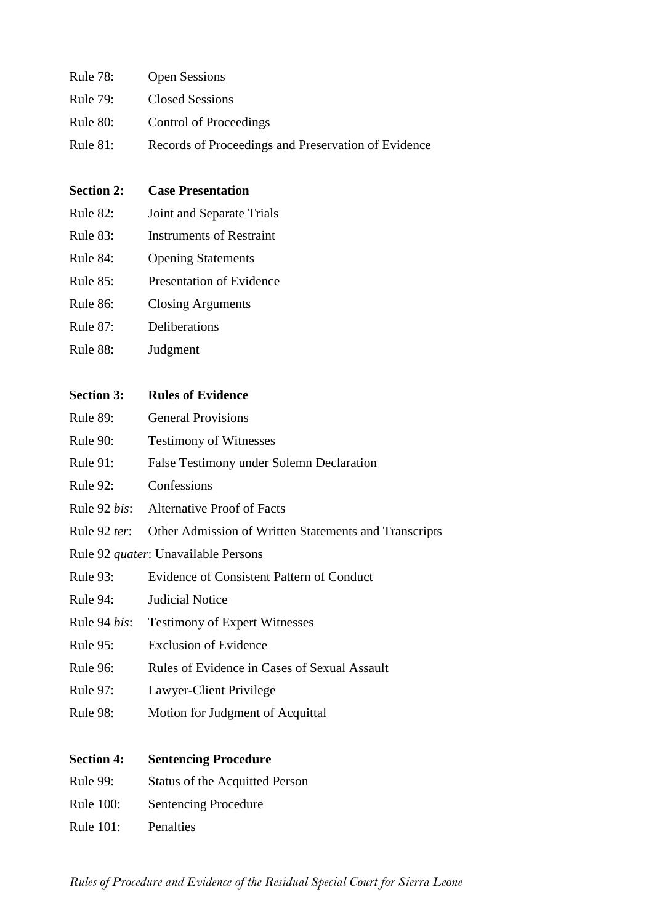| Rule 78:        | <b>Open Sessions</b>                                |
|-----------------|-----------------------------------------------------|
| <b>Rule 79:</b> | <b>Closed Sessions</b>                              |
| Rule 80:        | Control of Proceedings                              |
| Rule $81:$      | Records of Proceedings and Preservation of Evidence |

### **Section 2: Case Presentation**

- Rule 82: Joint and Separate Trials
- Rule 83: Instruments of Restraint
- Rule 84: Opening Statements
- Rule 85: Presentation of Evidence
- Rule 86: Closing Arguments
- Rule 87: Deliberations
- Rule 88: Judgment

#### **Section 3: Rules of Evidence**

- Rule 89: General Provisions
- Rule 90: Testimony of Witnesses
- Rule 91: False Testimony under Solemn Declaration
- Rule 92: Confessions
- Rule 92 *bis*: Alternative Proof of Facts
- Rule 92 *ter*: Other Admission of Written Statements and Transcripts

Rule 92 *quater*: Unavailable Persons

- Rule 93: Evidence of Consistent Pattern of Conduct
- Rule 94: Judicial Notice
- Rule 94 *bis*: Testimony of Expert Witnesses
- Rule 95: Exclusion of Evidence
- Rule 96: Rules of Evidence in Cases of Sexual Assault
- Rule 97: Lawyer-Client Privilege
- Rule 98: Motion for Judgment of Acquittal

#### **Section 4: Sentencing Procedure**

- Rule 99: Status of the Acquitted Person
- Rule 100: Sentencing Procedure
- Rule 101: Penalties

*Rules of Procedure and Evidence of the Residual Special Court for Sierra Leone*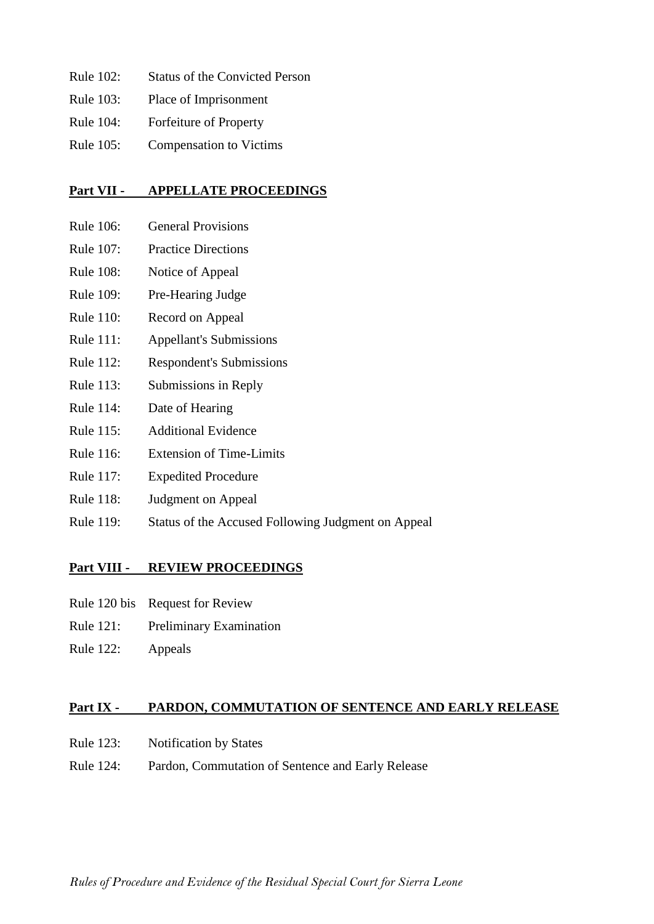- Rule 102: Status of the Convicted Person
- Rule 103: Place of Imprisonment
- Rule 104: Forfeiture of Property
- Rule 105: Compensation to Victims

#### **Part VII - APPELLATE PROCEEDINGS**

- Rule 106: General Provisions
- Rule 107: Practice Directions
- Rule 108: Notice of Appeal
- Rule 109: Pre-Hearing Judge
- Rule 110: Record on Appeal
- Rule 111: Appellant's Submissions
- Rule 112: Respondent's Submissions
- Rule 113: Submissions in Reply
- Rule 114: Date of Hearing
- Rule 115: Additional Evidence
- Rule 116: Extension of Time-Limits
- Rule 117: Expedited Procedure
- Rule 118: Judgment on Appeal
- Rule 119: Status of the Accused Following Judgment on Appeal

### **Part VIII - REVIEW PROCEEDINGS**

- Rule 120 bis Request for Review
- Rule 121: Preliminary Examination
- Rule 122: Appeals

### **Part IX - PARDON, COMMUTATION OF SENTENCE AND EARLY RELEASE**

- Rule 123: Notification by States
- Rule 124: Pardon, Commutation of Sentence and Early Release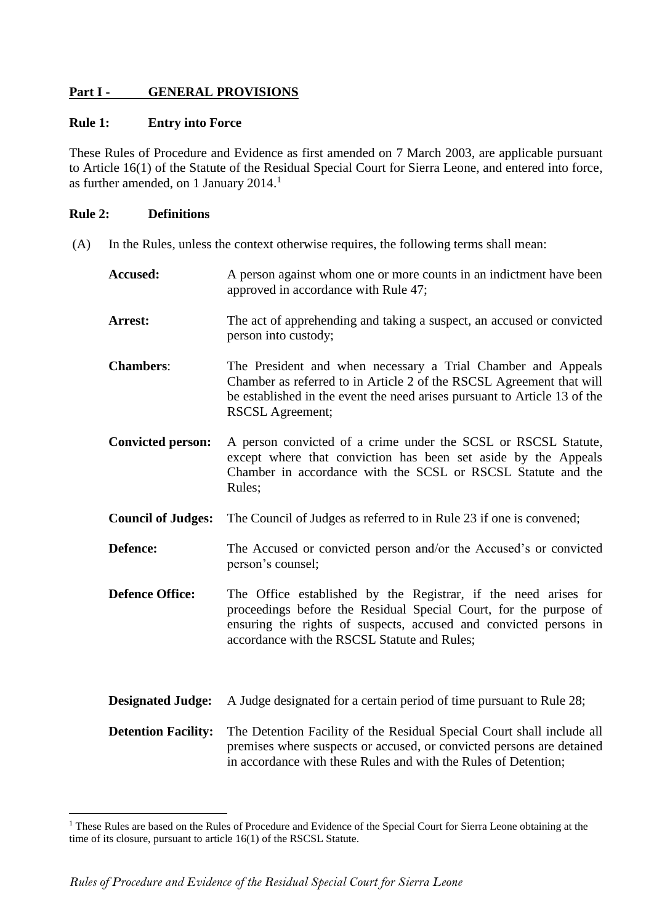# **Part I - GENERAL PROVISIONS**

#### **Rule 1: Entry into Force**

These Rules of Procedure and Evidence as first amended on 7 March 2003, are applicable pursuant to Article 16(1) of the Statute of the Residual Special Court for Sierra Leone, and entered into force, as further amended, on 1 January  $2014$ .<sup>1</sup>

#### **Rule 2: Definitions**

1

(A) In the Rules, unless the context otherwise requires, the following terms shall mean:

| Accused:                   | A person against whom one or more counts in an indictment have been<br>approved in accordance with Rule 47;                                                                                                                                               |
|----------------------------|-----------------------------------------------------------------------------------------------------------------------------------------------------------------------------------------------------------------------------------------------------------|
| Arrest:                    | The act of apprehending and taking a suspect, an accused or convicted<br>person into custody;                                                                                                                                                             |
| <b>Chambers:</b>           | The President and when necessary a Trial Chamber and Appeals<br>Chamber as referred to in Article 2 of the RSCSL Agreement that will<br>be established in the event the need arises pursuant to Article 13 of the<br><b>RSCSL Agreement;</b>              |
| <b>Convicted person:</b>   | A person convicted of a crime under the SCSL or RSCSL Statute,<br>except where that conviction has been set aside by the Appeals<br>Chamber in accordance with the SCSL or RSCSL Statute and the<br>Rules;                                                |
| <b>Council of Judges:</b>  | The Council of Judges as referred to in Rule 23 if one is convened;                                                                                                                                                                                       |
| Defence:                   | The Accused or convicted person and/or the Accused's or convicted<br>person's counsel;                                                                                                                                                                    |
| <b>Defence Office:</b>     | The Office established by the Registrar, if the need arises for<br>proceedings before the Residual Special Court, for the purpose of<br>ensuring the rights of suspects, accused and convicted persons in<br>accordance with the RSCSL Statute and Rules; |
| <b>Designated Judge:</b>   | A Judge designated for a certain period of time pursuant to Rule 28;                                                                                                                                                                                      |
| <b>Detention Facility:</b> | The Detention Facility of the Residual Special Court shall include all<br>premises where suspects or accused, or convicted persons are detained<br>in accordance with these Rules and with the Rules of Detention;                                        |

<sup>&</sup>lt;sup>1</sup> These Rules are based on the Rules of Procedure and Evidence of the Special Court for Sierra Leone obtaining at the time of its closure, pursuant to article 16(1) of the RSCSL Statute.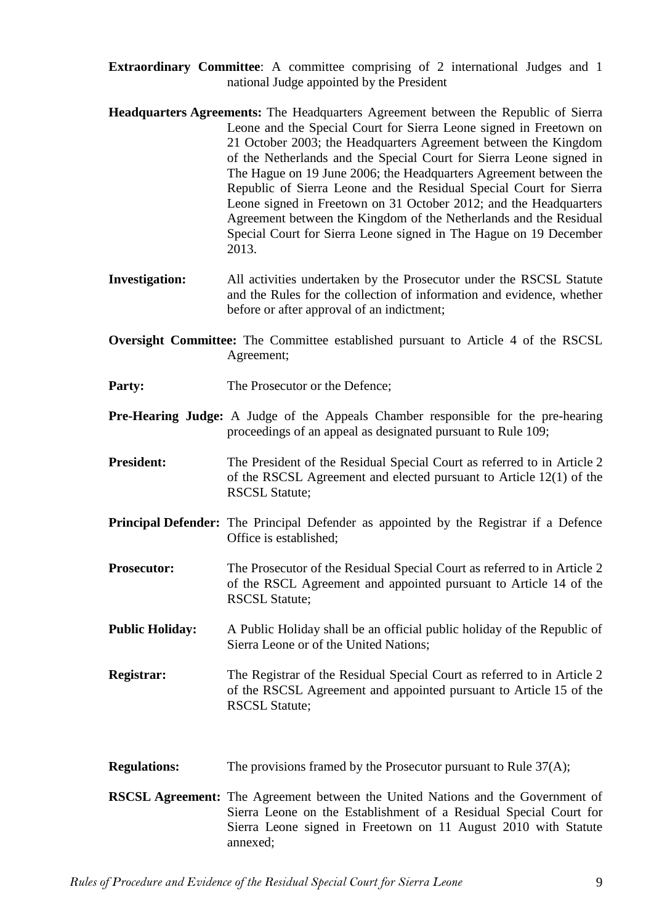- **Extraordinary Committee**: A committee comprising of 2 international Judges and 1 national Judge appointed by the President
- **Headquarters Agreements:** The Headquarters Agreement between the Republic of Sierra Leone and the Special Court for Sierra Leone signed in Freetown on 21 October 2003; the Headquarters Agreement between the Kingdom of the Netherlands and the Special Court for Sierra Leone signed in The Hague on 19 June 2006; the Headquarters Agreement between the Republic of Sierra Leone and the Residual Special Court for Sierra Leone signed in Freetown on 31 October 2012; and the Headquarters Agreement between the Kingdom of the Netherlands and the Residual Special Court for Sierra Leone signed in The Hague on 19 December 2013.
- **Investigation:** All activities undertaken by the Prosecutor under the RSCSL Statute and the Rules for the collection of information and evidence, whether before or after approval of an indictment;
- **Oversight Committee:** The Committee established pursuant to Article 4 of the RSCSL Agreement;
- **Party:** The Prosecutor or the Defence;
- **Pre-Hearing Judge:** A Judge of the Appeals Chamber responsible for the pre-hearing proceedings of an appeal as designated pursuant to Rule 109;
- **President:** The President of the Residual Special Court as referred to in Article 2 of the RSCSL Agreement and elected pursuant to Article 12(1) of the RSCSL Statute;
- **Principal Defender:** The Principal Defender as appointed by the Registrar if a Defence Office is established;
- **Prosecutor:** The Prosecutor of the Residual Special Court as referred to in Article 2 of the RSCL Agreement and appointed pursuant to Article 14 of the RSCSL Statute;
- **Public Holiday:** A Public Holiday shall be an official public holiday of the Republic of Sierra Leone or of the United Nations;
- **Registrar:** The Registrar of the Residual Special Court as referred to in Article 2 of the RSCSL Agreement and appointed pursuant to Article 15 of the RSCSL Statute;
- **Regulations:** The provisions framed by the Prosecutor pursuant to Rule 37(A);
- **RSCSL Agreement:** The Agreement between the United Nations and the Government of Sierra Leone on the Establishment of a Residual Special Court for Sierra Leone signed in Freetown on 11 August 2010 with Statute annexed;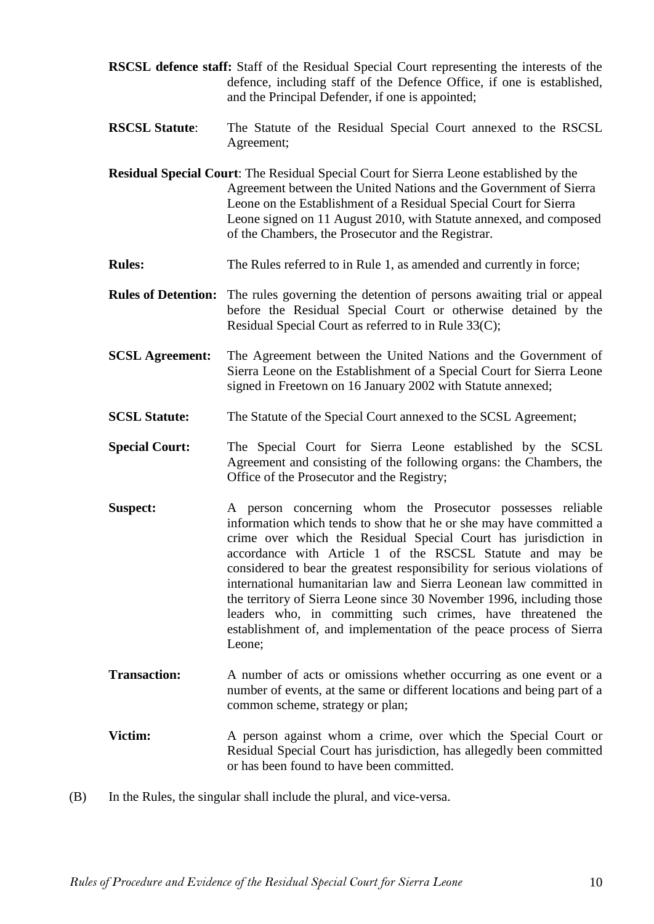- **RSCSL defence staff:** Staff of the Residual Special Court representing the interests of the defence, including staff of the Defence Office, if one is established, and the Principal Defender, if one is appointed;
- **RSCSL Statute**: The Statute of the Residual Special Court annexed to the RSCSL Agreement;
- **Residual Special Court**: The Residual Special Court for Sierra Leone established by the Agreement between the United Nations and the Government of Sierra Leone on the Establishment of a Residual Special Court for Sierra Leone signed on 11 August 2010, with Statute annexed, and composed of the Chambers, the Prosecutor and the Registrar.
- **Rules:** The Rules referred to in Rule 1, as amended and currently in force;
- **Rules of Detention:** The rules governing the detention of persons awaiting trial or appeal before the Residual Special Court or otherwise detained by the Residual Special Court as referred to in Rule 33(C);
- **SCSL Agreement:** The Agreement between the United Nations and the Government of Sierra Leone on the Establishment of a Special Court for Sierra Leone signed in Freetown on 16 January 2002 with Statute annexed;
- **SCSL Statute:** The Statute of the Special Court annexed to the SCSL Agreement;
- **Special Court:** The Special Court for Sierra Leone established by the SCSL Agreement and consisting of the following organs: the Chambers, the Office of the Prosecutor and the Registry;
- **Suspect:** A person concerning whom the Prosecutor possesses reliable information which tends to show that he or she may have committed a crime over which the Residual Special Court has jurisdiction in accordance with Article 1 of the RSCSL Statute and may be considered to bear the greatest responsibility for serious violations of international humanitarian law and Sierra Leonean law committed in the territory of Sierra Leone since 30 November 1996, including those leaders who, in committing such crimes, have threatened the establishment of, and implementation of the peace process of Sierra Leone;
- **Transaction:** A number of acts or omissions whether occurring as one event or a number of events, at the same or different locations and being part of a common scheme, strategy or plan;
- **Victim:** A person against whom a crime, over which the Special Court or Residual Special Court has jurisdiction, has allegedly been committed or has been found to have been committed.
- (B) In the Rules, the singular shall include the plural, and vice-versa.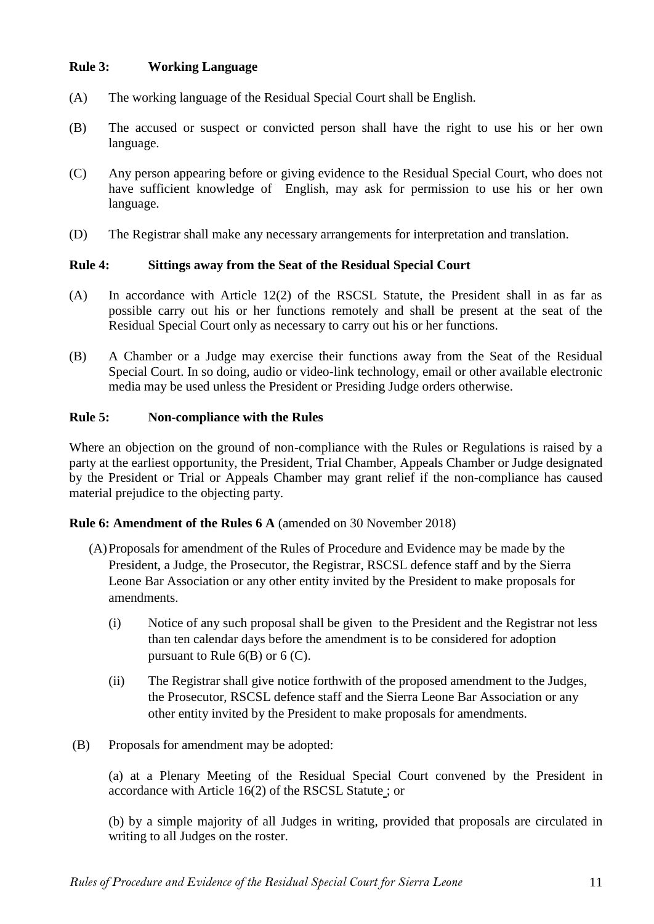# **Rule 3: Working Language**

- (A) The working language of the Residual Special Court shall be English.
- (B) The accused or suspect or convicted person shall have the right to use his or her own language.
- (C) Any person appearing before or giving evidence to the Residual Special Court, who does not have sufficient knowledge of English, may ask for permission to use his or her own language.
- (D) The Registrar shall make any necessary arrangements for interpretation and translation.

# **Rule 4: Sittings away from the Seat of the Residual Special Court**

- (A) In accordance with Article 12(2) of the RSCSL Statute, the President shall in as far as possible carry out his or her functions remotely and shall be present at the seat of the Residual Special Court only as necessary to carry out his or her functions.
- (B) A Chamber or a Judge may exercise their functions away from the Seat of the Residual Special Court. In so doing, audio or video-link technology, email or other available electronic media may be used unless the President or Presiding Judge orders otherwise.

### **Rule 5: Non-compliance with the Rules**

Where an objection on the ground of non-compliance with the Rules or Regulations is raised by a party at the earliest opportunity, the President, Trial Chamber, Appeals Chamber or Judge designated by the President or Trial or Appeals Chamber may grant relief if the non-compliance has caused material prejudice to the objecting party.

### **Rule 6: Amendment of the Rules 6 A** (amended on 30 November 2018)

- (A)Proposals for amendment of the Rules of Procedure and Evidence may be made by the President, a Judge, the Prosecutor, the Registrar, RSCSL defence staff and by the Sierra Leone Bar Association or any other entity invited by the President to make proposals for amendments.
	- (i) Notice of any such proposal shall be given to the President and the Registrar not less than ten calendar days before the amendment is to be considered for adoption pursuant to Rule  $6(B)$  or  $6(C)$ .
	- (ii) The Registrar shall give notice forthwith of the proposed amendment to the Judges, the Prosecutor, RSCSL defence staff and the Sierra Leone Bar Association or any other entity invited by the President to make proposals for amendments.
- (B) Proposals for amendment may be adopted:

(a) at a Plenary Meeting of the Residual Special Court convened by the President in accordance with Article 16(2) of the RSCSL Statute ; or

(b) by a simple majority of all Judges in writing, provided that proposals are circulated in writing to all Judges on the roster.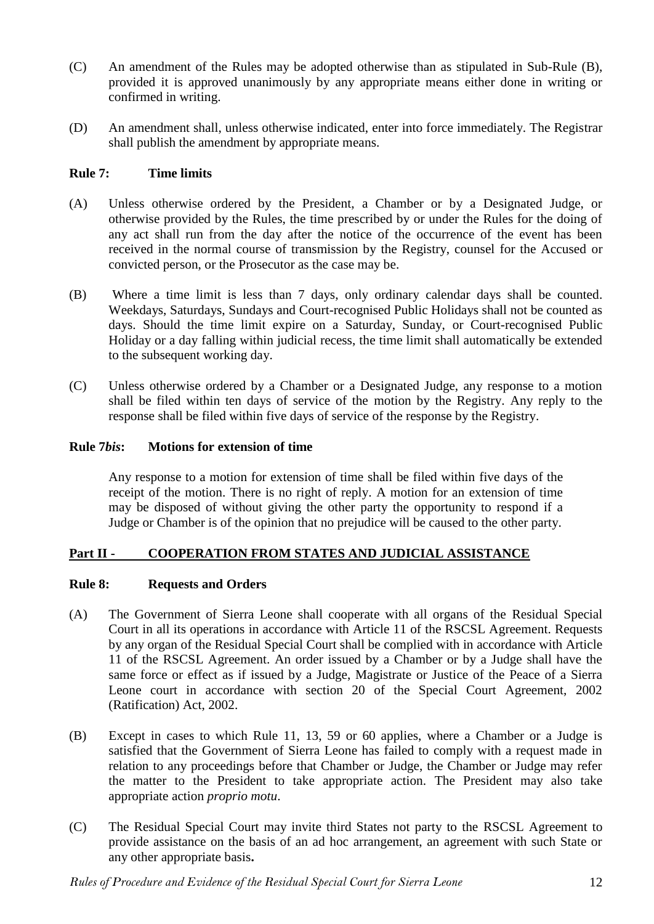- (C) An amendment of the Rules may be adopted otherwise than as stipulated in Sub-Rule (B), provided it is approved unanimously by any appropriate means either done in writing or confirmed in writing.
- (D) An amendment shall, unless otherwise indicated, enter into force immediately. The Registrar shall publish the amendment by appropriate means.

### **Rule 7: Time limits**

- (A) Unless otherwise ordered by the President, a Chamber or by a Designated Judge, or otherwise provided by the Rules, the time prescribed by or under the Rules for the doing of any act shall run from the day after the notice of the occurrence of the event has been received in the normal course of transmission by the Registry, counsel for the Accused or convicted person, or the Prosecutor as the case may be.
- (B) Where a time limit is less than 7 days, only ordinary calendar days shall be counted. Weekdays, Saturdays, Sundays and Court-recognised Public Holidays shall not be counted as days. Should the time limit expire on a Saturday, Sunday, or Court-recognised Public Holiday or a day falling within judicial recess, the time limit shall automatically be extended to the subsequent working day.
- (C) Unless otherwise ordered by a Chamber or a Designated Judge, any response to a motion shall be filed within ten days of service of the motion by the Registry. Any reply to the response shall be filed within five days of service of the response by the Registry.

### **Rule 7***bis***: Motions for extension of time**

Any response to a motion for extension of time shall be filed within five days of the receipt of the motion. There is no right of reply. A motion for an extension of time may be disposed of without giving the other party the opportunity to respond if a Judge or Chamber is of the opinion that no prejudice will be caused to the other party.

# **Part II - COOPERATION FROM STATES AND JUDICIAL ASSISTANCE**

### **Rule 8: Requests and Orders**

- (A) The Government of Sierra Leone shall cooperate with all organs of the Residual Special Court in all its operations in accordance with Article 11 of the RSCSL Agreement. Requests by any organ of the Residual Special Court shall be complied with in accordance with Article 11 of the RSCSL Agreement. An order issued by a Chamber or by a Judge shall have the same force or effect as if issued by a Judge, Magistrate or Justice of the Peace of a Sierra Leone court in accordance with section 20 of the Special Court Agreement, 2002 (Ratification) Act, 2002.
- (B) Except in cases to which Rule 11, 13, 59 or 60 applies, where a Chamber or a Judge is satisfied that the Government of Sierra Leone has failed to comply with a request made in relation to any proceedings before that Chamber or Judge, the Chamber or Judge may refer the matter to the President to take appropriate action. The President may also take appropriate action *proprio motu*.
- (C) The Residual Special Court may invite third States not party to the RSCSL Agreement to provide assistance on the basis of an ad hoc arrangement, an agreement with such State or any other appropriate basis**.**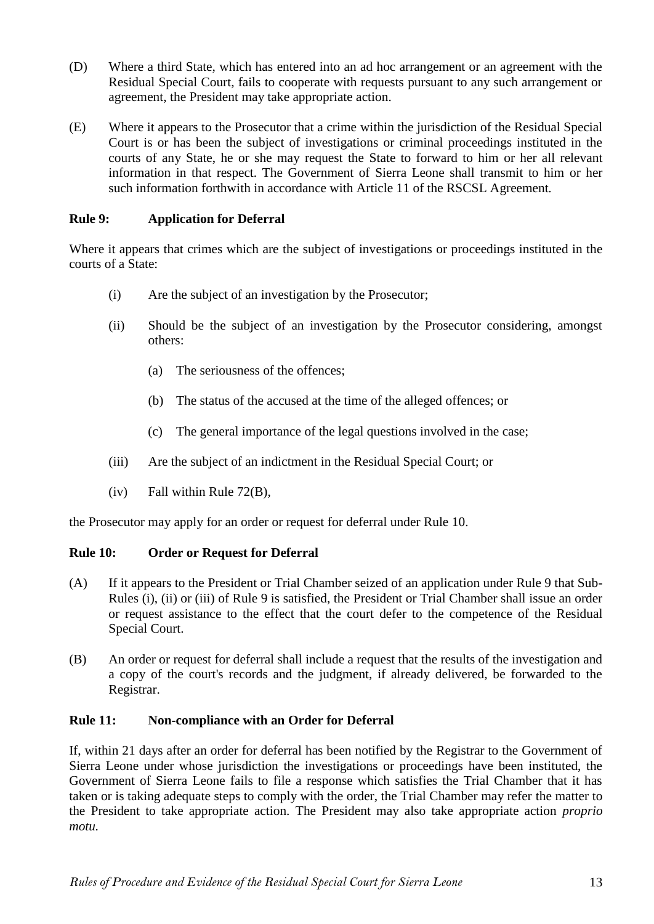- (D) Where a third State, which has entered into an ad hoc arrangement or an agreement with the Residual Special Court, fails to cooperate with requests pursuant to any such arrangement or agreement, the President may take appropriate action.
- (E) Where it appears to the Prosecutor that a crime within the jurisdiction of the Residual Special Court is or has been the subject of investigations or criminal proceedings instituted in the courts of any State, he or she may request the State to forward to him or her all relevant information in that respect. The Government of Sierra Leone shall transmit to him or her such information forthwith in accordance with Article 11 of the RSCSL Agreement*.*

### **Rule 9: Application for Deferral**

Where it appears that crimes which are the subject of investigations or proceedings instituted in the courts of a State:

- (i) Are the subject of an investigation by the Prosecutor;
- (ii) Should be the subject of an investigation by the Prosecutor considering, amongst others:
	- (a) The seriousness of the offences;
	- (b) The status of the accused at the time of the alleged offences; or
	- (c) The general importance of the legal questions involved in the case;
- (iii) Are the subject of an indictment in the Residual Special Court; or
- (iv) Fall within Rule 72(B),

the Prosecutor may apply for an order or request for deferral under Rule 10.

### **Rule 10: Order or Request for Deferral**

- (A) If it appears to the President or Trial Chamber seized of an application under Rule 9 that Sub-Rules (i), (ii) or (iii) of Rule 9 is satisfied, the President or Trial Chamber shall issue an order or request assistance to the effect that the court defer to the competence of the Residual Special Court.
- (B) An order or request for deferral shall include a request that the results of the investigation and a copy of the court's records and the judgment, if already delivered, be forwarded to the Registrar.

### **Rule 11: Non-compliance with an Order for Deferral**

If, within 21 days after an order for deferral has been notified by the Registrar to the Government of Sierra Leone under whose jurisdiction the investigations or proceedings have been instituted, the Government of Sierra Leone fails to file a response which satisfies the Trial Chamber that it has taken or is taking adequate steps to comply with the order, the Trial Chamber may refer the matter to the President to take appropriate action. The President may also take appropriate action *proprio motu.*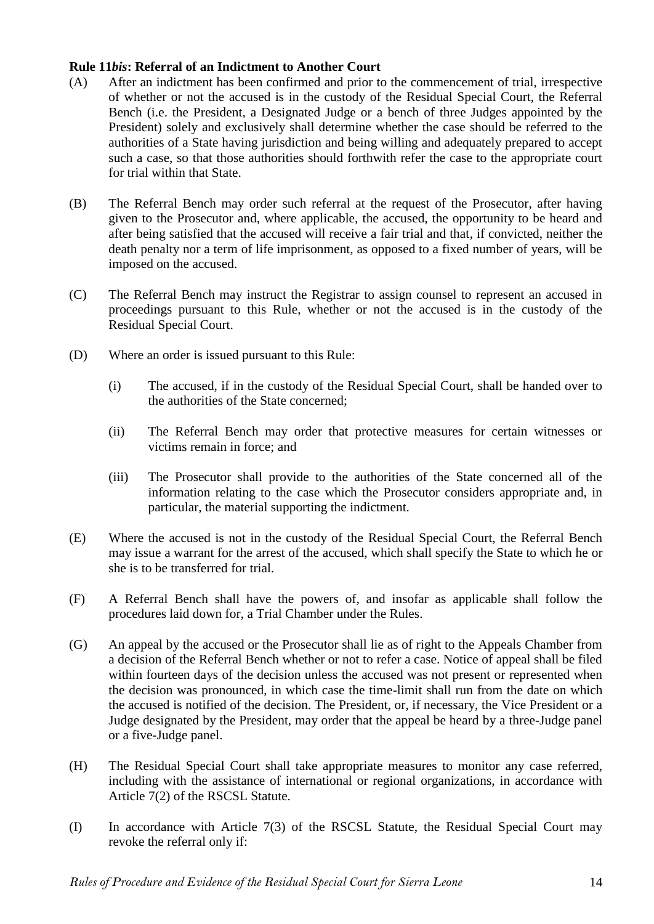### **Rule 11***bis***: Referral of an Indictment to Another Court**

- (A) After an indictment has been confirmed and prior to the commencement of trial, irrespective of whether or not the accused is in the custody of the Residual Special Court, the Referral Bench (i.e. the President, a Designated Judge or a bench of three Judges appointed by the President) solely and exclusively shall determine whether the case should be referred to the authorities of a State having jurisdiction and being willing and adequately prepared to accept such a case, so that those authorities should forthwith refer the case to the appropriate court for trial within that State.
- (B) The Referral Bench may order such referral at the request of the Prosecutor, after having given to the Prosecutor and, where applicable, the accused, the opportunity to be heard and after being satisfied that the accused will receive a fair trial and that, if convicted, neither the death penalty nor a term of life imprisonment, as opposed to a fixed number of years, will be imposed on the accused.
- (C) The Referral Bench may instruct the Registrar to assign counsel to represent an accused in proceedings pursuant to this Rule, whether or not the accused is in the custody of the Residual Special Court.
- (D) Where an order is issued pursuant to this Rule:
	- (i) The accused, if in the custody of the Residual Special Court, shall be handed over to the authorities of the State concerned;
	- (ii) The Referral Bench may order that protective measures for certain witnesses or victims remain in force; and
	- (iii) The Prosecutor shall provide to the authorities of the State concerned all of the information relating to the case which the Prosecutor considers appropriate and, in particular, the material supporting the indictment.
- (E) Where the accused is not in the custody of the Residual Special Court, the Referral Bench may issue a warrant for the arrest of the accused, which shall specify the State to which he or she is to be transferred for trial.
- (F) A Referral Bench shall have the powers of, and insofar as applicable shall follow the procedures laid down for, a Trial Chamber under the Rules.
- (G) An appeal by the accused or the Prosecutor shall lie as of right to the Appeals Chamber from a decision of the Referral Bench whether or not to refer a case. Notice of appeal shall be filed within fourteen days of the decision unless the accused was not present or represented when the decision was pronounced, in which case the time-limit shall run from the date on which the accused is notified of the decision. The President, or, if necessary, the Vice President or a Judge designated by the President, may order that the appeal be heard by a three-Judge panel or a five-Judge panel.
- (H) The Residual Special Court shall take appropriate measures to monitor any case referred, including with the assistance of international or regional organizations, in accordance with Article 7(2) of the RSCSL Statute.
- (I) In accordance with Article 7(3) of the RSCSL Statute, the Residual Special Court may revoke the referral only if: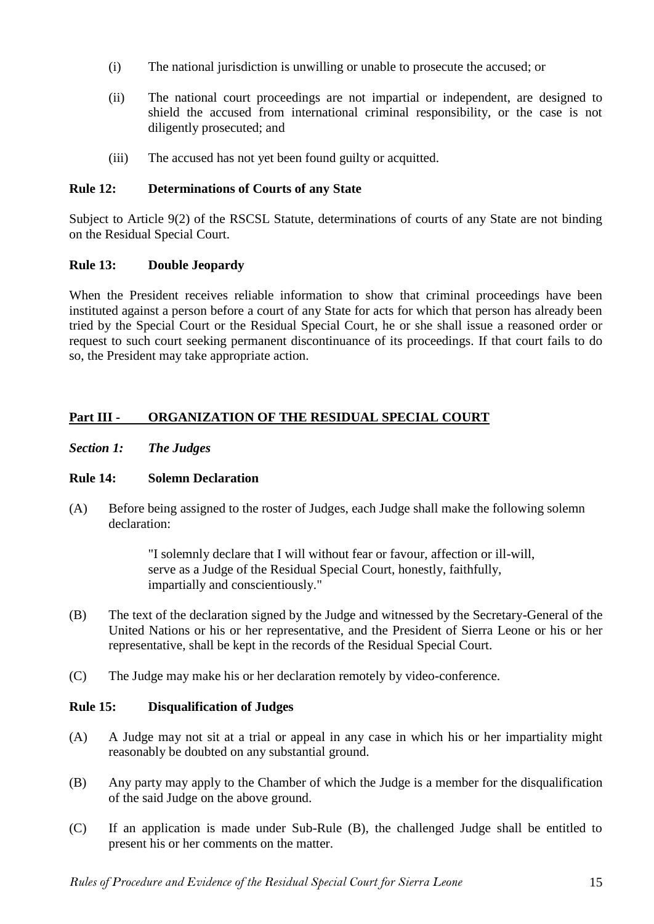- (i) The national jurisdiction is unwilling or unable to prosecute the accused; or
- (ii) The national court proceedings are not impartial or independent, are designed to shield the accused from international criminal responsibility, or the case is not diligently prosecuted; and
- (iii) The accused has not yet been found guilty or acquitted.

# **Rule 12: Determinations of Courts of any State**

Subject to Article 9(2) of the RSCSL Statute, determinations of courts of any State are not binding on the Residual Special Court.

# **Rule 13: Double Jeopardy**

When the President receives reliable information to show that criminal proceedings have been instituted against a person before a court of any State for acts for which that person has already been tried by the Special Court or the Residual Special Court, he or she shall issue a reasoned order or request to such court seeking permanent discontinuance of its proceedings. If that court fails to do so, the President may take appropriate action.

# **Part III - ORGANIZATION OF THE RESIDUAL SPECIAL COURT**

*Section 1: The Judges*

# **Rule 14: Solemn Declaration**

(A) Before being assigned to the roster of Judges, each Judge shall make the following solemn declaration:

> "I solemnly declare that I will without fear or favour, affection or ill-will, serve as a Judge of the Residual Special Court, honestly, faithfully, impartially and conscientiously."

- (B) The text of the declaration signed by the Judge and witnessed by the Secretary-General of the United Nations or his or her representative, and the President of Sierra Leone or his or her representative, shall be kept in the records of the Residual Special Court.
- (C) The Judge may make his or her declaration remotely by video-conference.

# **Rule 15: Disqualification of Judges**

- (A) A Judge may not sit at a trial or appeal in any case in which his or her impartiality might reasonably be doubted on any substantial ground.
- (B) Any party may apply to the Chamber of which the Judge is a member for the disqualification of the said Judge on the above ground.
- (C) If an application is made under Sub-Rule (B), the challenged Judge shall be entitled to present his or her comments on the matter.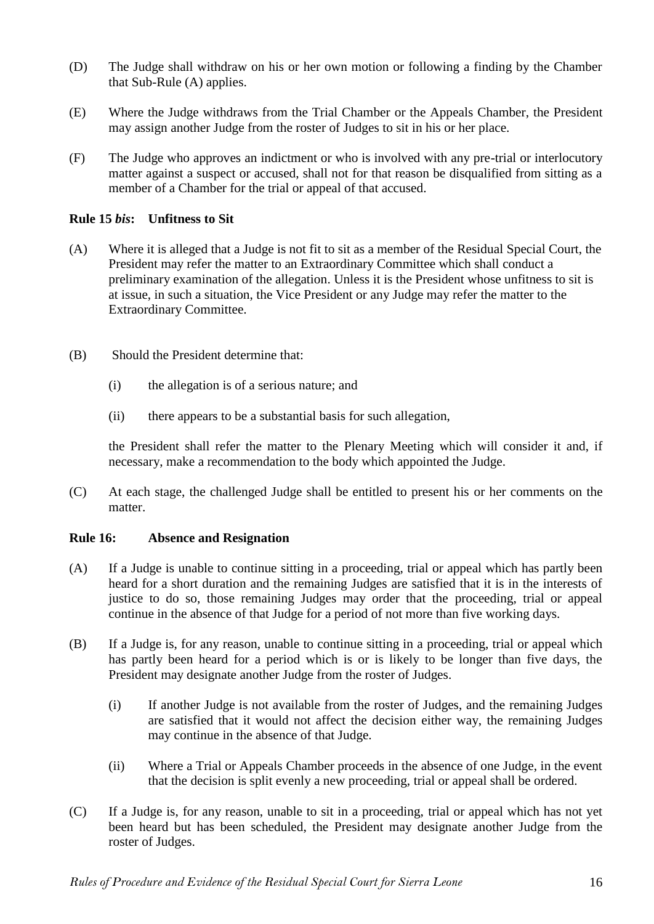- (D) The Judge shall withdraw on his or her own motion or following a finding by the Chamber that Sub-Rule (A) applies.
- (E) Where the Judge withdraws from the Trial Chamber or the Appeals Chamber, the President may assign another Judge from the roster of Judges to sit in his or her place.
- (F) The Judge who approves an indictment or who is involved with any pre-trial or interlocutory matter against a suspect or accused, shall not for that reason be disqualified from sitting as a member of a Chamber for the trial or appeal of that accused.

### **Rule 15** *bis***: Unfitness to Sit**

- (A) Where it is alleged that a Judge is not fit to sit as a member of the Residual Special Court, the President may refer the matter to an Extraordinary Committee which shall conduct a preliminary examination of the allegation. Unless it is the President whose unfitness to sit is at issue, in such a situation, the Vice President or any Judge may refer the matter to the Extraordinary Committee.
- (B) Should the President determine that:
	- (i) the allegation is of a serious nature; and
	- (ii) there appears to be a substantial basis for such allegation,

the President shall refer the matter to the Plenary Meeting which will consider it and, if necessary, make a recommendation to the body which appointed the Judge.

(C) At each stage, the challenged Judge shall be entitled to present his or her comments on the matter.

### **Rule 16: Absence and Resignation**

- (A) If a Judge is unable to continue sitting in a proceeding, trial or appeal which has partly been heard for a short duration and the remaining Judges are satisfied that it is in the interests of justice to do so, those remaining Judges may order that the proceeding, trial or appeal continue in the absence of that Judge for a period of not more than five working days.
- (B) If a Judge is, for any reason, unable to continue sitting in a proceeding, trial or appeal which has partly been heard for a period which is or is likely to be longer than five days, the President may designate another Judge from the roster of Judges.
	- (i) If another Judge is not available from the roster of Judges, and the remaining Judges are satisfied that it would not affect the decision either way, the remaining Judges may continue in the absence of that Judge.
	- (ii) Where a Trial or Appeals Chamber proceeds in the absence of one Judge, in the event that the decision is split evenly a new proceeding, trial or appeal shall be ordered.
- (C) If a Judge is, for any reason, unable to sit in a proceeding, trial or appeal which has not yet been heard but has been scheduled, the President may designate another Judge from the roster of Judges.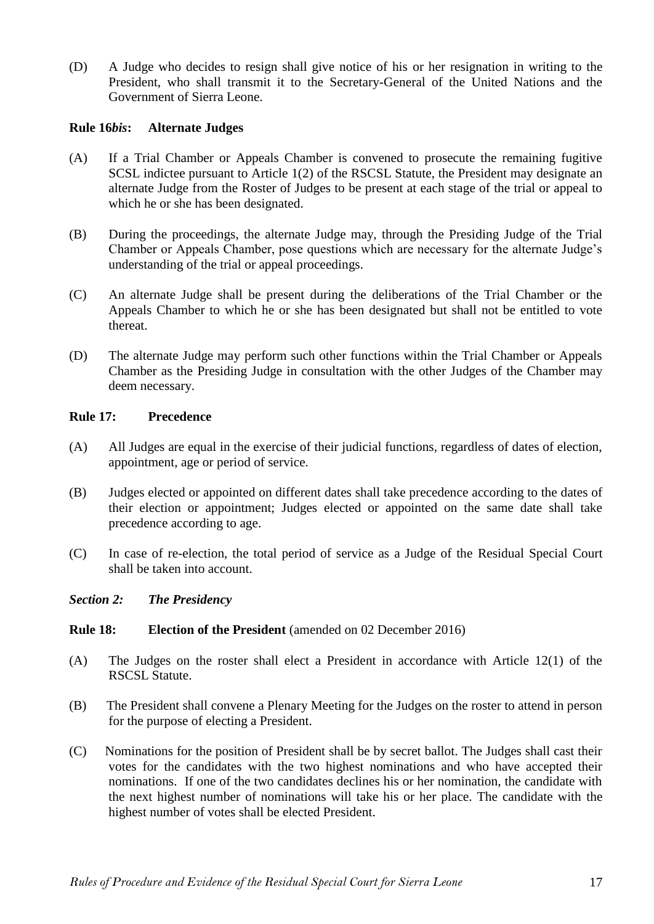(D) A Judge who decides to resign shall give notice of his or her resignation in writing to the President, who shall transmit it to the Secretary-General of the United Nations and the Government of Sierra Leone.

### **Rule 16***bis***: Alternate Judges**

- (A) If a Trial Chamber or Appeals Chamber is convened to prosecute the remaining fugitive SCSL indictee pursuant to Article 1(2) of the RSCSL Statute, the President may designate an alternate Judge from the Roster of Judges to be present at each stage of the trial or appeal to which he or she has been designated.
- (B) During the proceedings, the alternate Judge may, through the Presiding Judge of the Trial Chamber or Appeals Chamber, pose questions which are necessary for the alternate Judge's understanding of the trial or appeal proceedings.
- (C) An alternate Judge shall be present during the deliberations of the Trial Chamber or the Appeals Chamber to which he or she has been designated but shall not be entitled to vote thereat.
- (D) The alternate Judge may perform such other functions within the Trial Chamber or Appeals Chamber as the Presiding Judge in consultation with the other Judges of the Chamber may deem necessary.

### **Rule 17: Precedence**

- (A) All Judges are equal in the exercise of their judicial functions, regardless of dates of election, appointment, age or period of service.
- (B) Judges elected or appointed on different dates shall take precedence according to the dates of their election or appointment; Judges elected or appointed on the same date shall take precedence according to age.
- (C) In case of re-election, the total period of service as a Judge of the Residual Special Court shall be taken into account.

### *Section 2: The Presidency*

### **Rule 18:** Election of the President (amended on 02 December 2016)

- (A) The Judges on the roster shall elect a President in accordance with Article 12(1) of the RSCSL Statute.
- (B) The President shall convene a Plenary Meeting for the Judges on the roster to attend in person for the purpose of electing a President.
- (C) Nominations for the position of President shall be by secret ballot. The Judges shall cast their votes for the candidates with the two highest nominations and who have accepted their nominations. If one of the two candidates declines his or her nomination, the candidate with the next highest number of nominations will take his or her place. The candidate with the highest number of votes shall be elected President.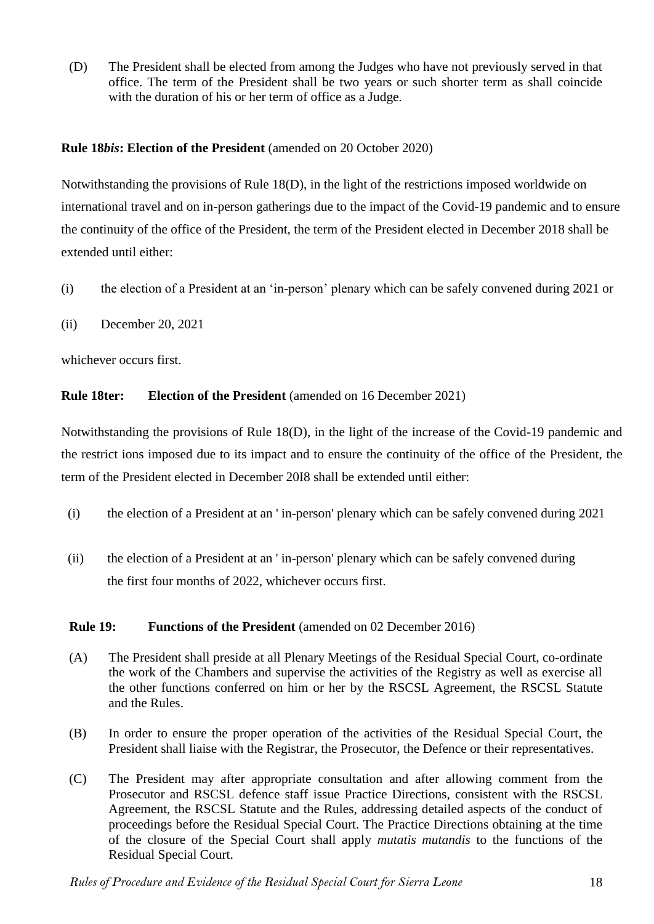(D) The President shall be elected from among the Judges who have not previously served in that office. The term of the President shall be two years or such shorter term as shall coincide with the duration of his or her term of office as a Judge.

# **Rule 18***bis***: Election of the President** (amended on 20 October 2020)

Notwithstanding the provisions of Rule 18(D), in the light of the restrictions imposed worldwide on international travel and on in-person gatherings due to the impact of the Covid-19 pandemic and to ensure the continuity of the office of the President, the term of the President elected in December 2018 shall be extended until either:

- (i) the election of a President at an 'in-person' plenary which can be safely convened during 2021 or
- (ii) December 20, 2021

whichever occurs first.

### **Rule 18ter: Election of the President** (amended on 16 December 2021)

Notwithstanding the provisions of Rule 18(D), in the light of the increase of the Covid-19 pandemic and the restrict ions imposed due to its impact and to ensure the continuity of the office of the President, the term of the President elected in December 20I8 shall be extended until either:

- (i) the election of a President at an ' in-person' plenary which can be safely convened during 2021
- (ii) the election of a President at an ' in-person' plenary which can be safely convened during the first four months of 2022, whichever occurs first.

### **Rule 19: Functions of the President** (amended on 02 December 2016)

- (A) The President shall preside at all Plenary Meetings of the Residual Special Court, co-ordinate the work of the Chambers and supervise the activities of the Registry as well as exercise all the other functions conferred on him or her by the RSCSL Agreement, the RSCSL Statute and the Rules.
- (B) In order to ensure the proper operation of the activities of the Residual Special Court, the President shall liaise with the Registrar, the Prosecutor, the Defence or their representatives.
- (C) The President may after appropriate consultation and after allowing comment from the Prosecutor and RSCSL defence staff issue Practice Directions, consistent with the RSCSL Agreement, the RSCSL Statute and the Rules, addressing detailed aspects of the conduct of proceedings before the Residual Special Court. The Practice Directions obtaining at the time of the closure of the Special Court shall apply *mutatis mutandis* to the functions of the Residual Special Court.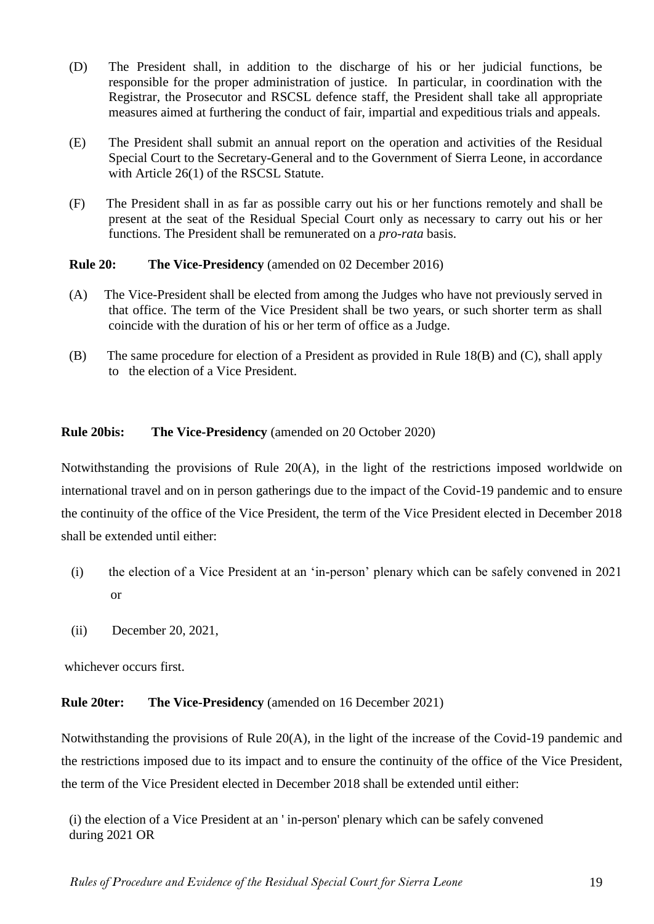- (D) The President shall, in addition to the discharge of his or her judicial functions, be responsible for the proper administration of justice. In particular, in coordination with the Registrar, the Prosecutor and RSCSL defence staff, the President shall take all appropriate measures aimed at furthering the conduct of fair, impartial and expeditious trials and appeals.
- (E) The President shall submit an annual report on the operation and activities of the Residual Special Court to the Secretary-General and to the Government of Sierra Leone, in accordance with Article 26(1) of the RSCSL Statute.
- (F) The President shall in as far as possible carry out his or her functions remotely and shall be present at the seat of the Residual Special Court only as necessary to carry out his or her functions. The President shall be remunerated on a *pro-rata* basis.

### **Rule 20: The Vice-Presidency** (amended on 02 December 2016)

- (A) The Vice-President shall be elected from among the Judges who have not previously served in that office. The term of the Vice President shall be two years, or such shorter term as shall coincide with the duration of his or her term of office as a Judge.
- (B) The same procedure for election of a President as provided in Rule 18(B) and (C), shall apply to the election of a Vice President.

### **Rule 20bis: The Vice-Presidency** (amended on 20 October 2020)

Notwithstanding the provisions of Rule  $20(A)$ , in the light of the restrictions imposed worldwide on international travel and on in person gatherings due to the impact of the Covid-19 pandemic and to ensure the continuity of the office of the Vice President, the term of the Vice President elected in December 2018 shall be extended until either:

- (i) the election of a Vice President at an 'in-person' plenary which can be safely convened in 2021 or
- (ii) December 20, 2021,

whichever occurs first.

### **Rule 20ter: The Vice-Presidency** (amended on 16 December 2021)

Notwithstanding the provisions of Rule 20(A), in the light of the increase of the Covid-19 pandemic and the restrictions imposed due to its impact and to ensure the continuity of the office of the Vice President, the term of the Vice President elected in December 2018 shall be extended until either:

(i) the election of a Vice President at an ' in-person' plenary which can be safely convened during 2021 OR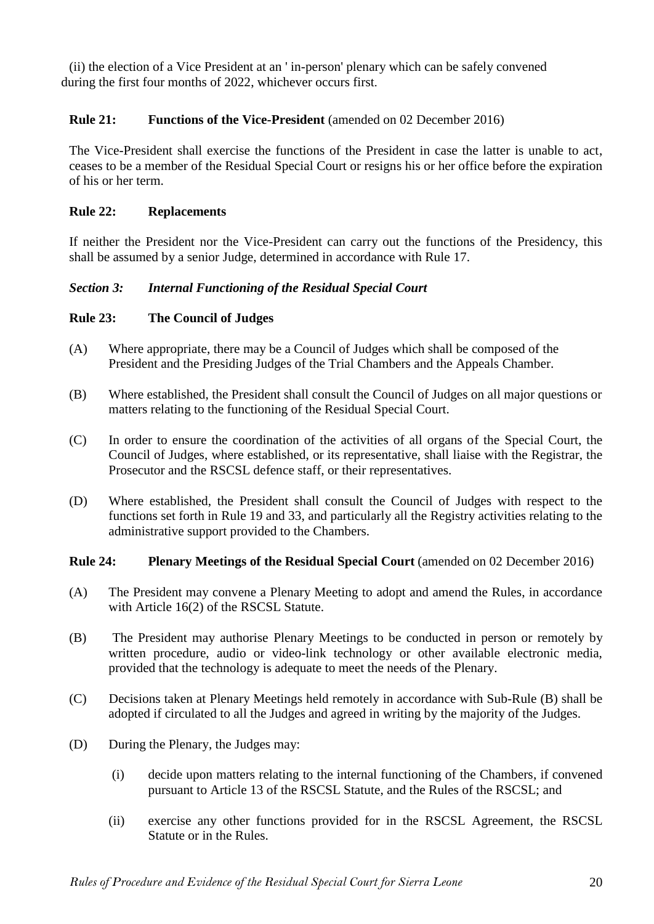(ii) the election of a Vice President at an ' in-person' plenary which can be safely convened during the first four months of 2022, whichever occurs first.

# **Rule 21: Functions of the Vice-President** (amended on 02 December 2016)

The Vice-President shall exercise the functions of the President in case the latter is unable to act, ceases to be a member of the Residual Special Court or resigns his or her office before the expiration of his or her term.

# **Rule 22: Replacements**

If neither the President nor the Vice-President can carry out the functions of the Presidency, this shall be assumed by a senior Judge, determined in accordance with Rule 17.

# *Section 3: Internal Functioning of the Residual Special Court*

# **Rule 23: The Council of Judges**

- (A) Where appropriate, there may be a Council of Judges which shall be composed of the President and the Presiding Judges of the Trial Chambers and the Appeals Chamber.
- (B) Where established, the President shall consult the Council of Judges on all major questions or matters relating to the functioning of the Residual Special Court.
- (C) In order to ensure the coordination of the activities of all organs of the Special Court, the Council of Judges, where established, or its representative, shall liaise with the Registrar, the Prosecutor and the RSCSL defence staff, or their representatives.
- (D) Where established, the President shall consult the Council of Judges with respect to the functions set forth in Rule 19 and 33, and particularly all the Registry activities relating to the administrative support provided to the Chambers.

# **Rule 24: Plenary Meetings of the Residual Special Court** (amended on 02 December 2016)

- (A) The President may convene a Plenary Meeting to adopt and amend the Rules, in accordance with Article 16(2) of the RSCSL Statute.
- (B) The President may authorise Plenary Meetings to be conducted in person or remotely by written procedure, audio or video-link technology or other available electronic media, provided that the technology is adequate to meet the needs of the Plenary.
- (C) Decisions taken at Plenary Meetings held remotely in accordance with Sub-Rule (B) shall be adopted if circulated to all the Judges and agreed in writing by the majority of the Judges.
- (D) During the Plenary, the Judges may:
	- (i) decide upon matters relating to the internal functioning of the Chambers, if convened pursuant to Article 13 of the RSCSL Statute, and the Rules of the RSCSL; and
	- (ii) exercise any other functions provided for in the RSCSL Agreement, the RSCSL Statute or in the Rules.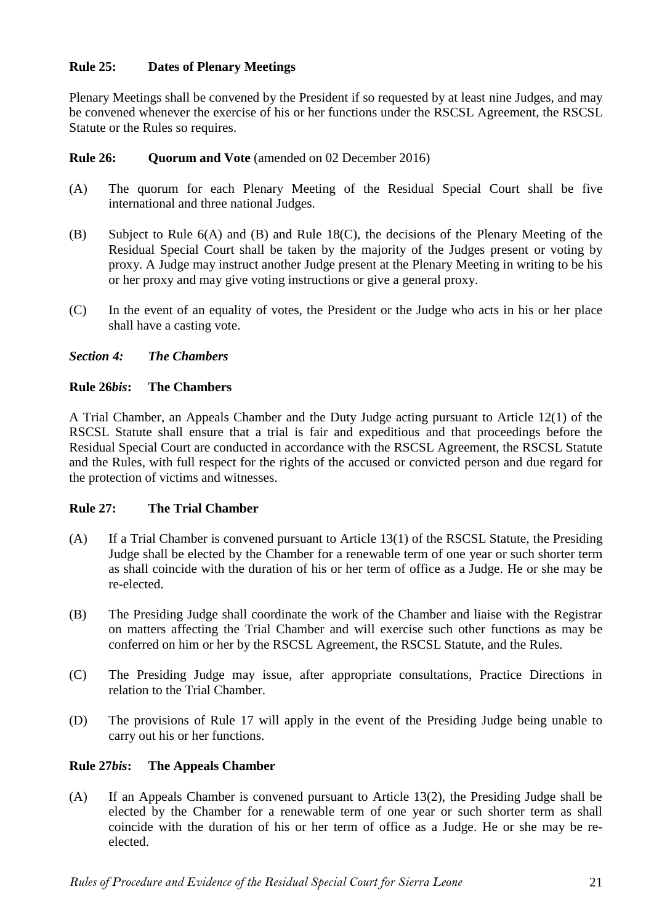# **Rule 25: Dates of Plenary Meetings**

Plenary Meetings shall be convened by the President if so requested by at least nine Judges, and may be convened whenever the exercise of his or her functions under the RSCSL Agreement, the RSCSL Statute or the Rules so requires.

# **Rule 26: Quorum and Vote** (amended on 02 December 2016)

- (A) The quorum for each Plenary Meeting of the Residual Special Court shall be five international and three national Judges.
- (B) Subject to Rule 6(A) and (B) and Rule 18(C), the decisions of the Plenary Meeting of the Residual Special Court shall be taken by the majority of the Judges present or voting by proxy. A Judge may instruct another Judge present at the Plenary Meeting in writing to be his or her proxy and may give voting instructions or give a general proxy.
- (C) In the event of an equality of votes, the President or the Judge who acts in his or her place shall have a casting vote.

# *Section 4: The Chambers*

### **Rule 26***bis***: The Chambers**

A Trial Chamber, an Appeals Chamber and the Duty Judge acting pursuant to Article 12(1) of the RSCSL Statute shall ensure that a trial is fair and expeditious and that proceedings before the Residual Special Court are conducted in accordance with the RSCSL Agreement, the RSCSL Statute and the Rules, with full respect for the rights of the accused or convicted person and due regard for the protection of victims and witnesses.

# **Rule 27: The Trial Chamber**

- (A) If a Trial Chamber is convened pursuant to Article 13(1) of the RSCSL Statute, the Presiding Judge shall be elected by the Chamber for a renewable term of one year or such shorter term as shall coincide with the duration of his or her term of office as a Judge. He or she may be re-elected.
- (B) The Presiding Judge shall coordinate the work of the Chamber and liaise with the Registrar on matters affecting the Trial Chamber and will exercise such other functions as may be conferred on him or her by the RSCSL Agreement, the RSCSL Statute, and the Rules.
- (C) The Presiding Judge may issue, after appropriate consultations, Practice Directions in relation to the Trial Chamber.
- (D) The provisions of Rule 17 will apply in the event of the Presiding Judge being unable to carry out his or her functions.

# **Rule 27***bis***: The Appeals Chamber**

(A) If an Appeals Chamber is convened pursuant to Article 13(2), the Presiding Judge shall be elected by the Chamber for a renewable term of one year or such shorter term as shall coincide with the duration of his or her term of office as a Judge. He or she may be reelected.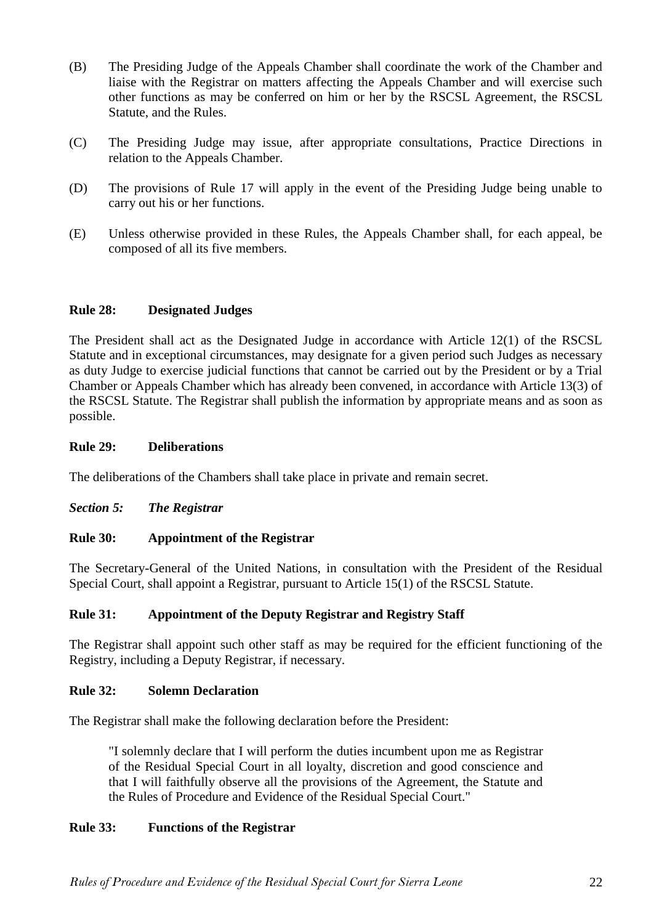- (B) The Presiding Judge of the Appeals Chamber shall coordinate the work of the Chamber and liaise with the Registrar on matters affecting the Appeals Chamber and will exercise such other functions as may be conferred on him or her by the RSCSL Agreement, the RSCSL Statute, and the Rules.
- (C) The Presiding Judge may issue, after appropriate consultations, Practice Directions in relation to the Appeals Chamber.
- (D) The provisions of Rule 17 will apply in the event of the Presiding Judge being unable to carry out his or her functions.
- (E) Unless otherwise provided in these Rules, the Appeals Chamber shall, for each appeal, be composed of all its five members.

### **Rule 28: Designated Judges**

The President shall act as the Designated Judge in accordance with Article 12(1) of the RSCSL Statute and in exceptional circumstances, may designate for a given period such Judges as necessary as duty Judge to exercise judicial functions that cannot be carried out by the President or by a Trial Chamber or Appeals Chamber which has already been convened, in accordance with Article 13(3) of the RSCSL Statute. The Registrar shall publish the information by appropriate means and as soon as possible.

### **Rule 29: Deliberations**

The deliberations of the Chambers shall take place in private and remain secret.

# *Section 5: The Registrar*

### **Rule 30: Appointment of the Registrar**

The Secretary-General of the United Nations, in consultation with the President of the Residual Special Court, shall appoint a Registrar, pursuant to Article 15(1) of the RSCSL Statute.

# **Rule 31: Appointment of the Deputy Registrar and Registry Staff**

The Registrar shall appoint such other staff as may be required for the efficient functioning of the Registry, including a Deputy Registrar, if necessary.

### **Rule 32: Solemn Declaration**

The Registrar shall make the following declaration before the President:

"I solemnly declare that I will perform the duties incumbent upon me as Registrar of the Residual Special Court in all loyalty, discretion and good conscience and that I will faithfully observe all the provisions of the Agreement, the Statute and the Rules of Procedure and Evidence of the Residual Special Court."

### **Rule 33: Functions of the Registrar**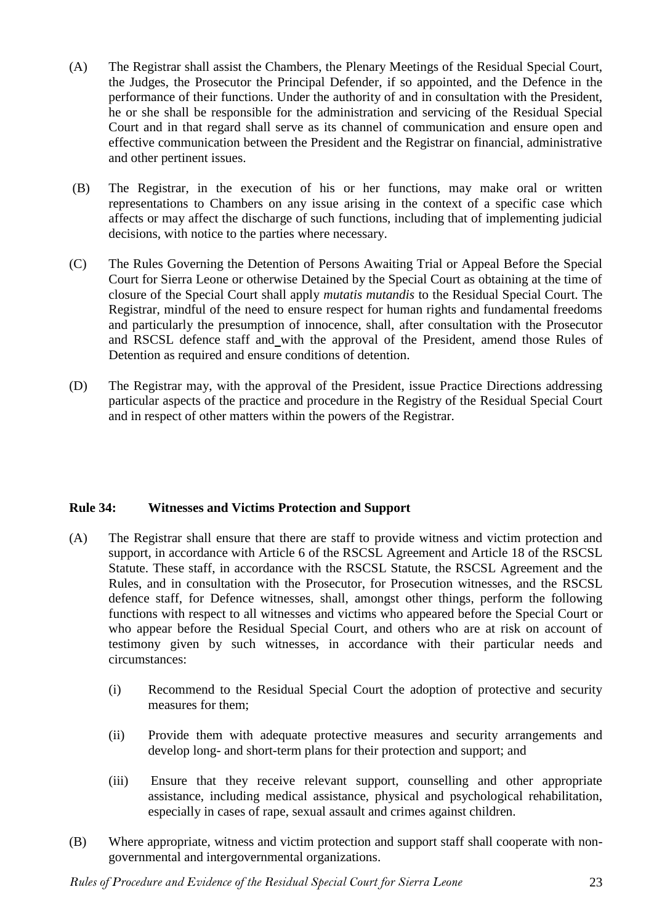- (A) The Registrar shall assist the Chambers, the Plenary Meetings of the Residual Special Court, the Judges, the Prosecutor the Principal Defender, if so appointed, and the Defence in the performance of their functions. Under the authority of and in consultation with the President, he or she shall be responsible for the administration and servicing of the Residual Special Court and in that regard shall serve as its channel of communication and ensure open and effective communication between the President and the Registrar on financial, administrative and other pertinent issues.
- (B) The Registrar, in the execution of his or her functions, may make oral or written representations to Chambers on any issue arising in the context of a specific case which affects or may affect the discharge of such functions, including that of implementing judicial decisions, with notice to the parties where necessary.
- (C) The Rules Governing the Detention of Persons Awaiting Trial or Appeal Before the Special Court for Sierra Leone or otherwise Detained by the Special Court as obtaining at the time of closure of the Special Court shall apply *mutatis mutandis* to the Residual Special Court. The Registrar, mindful of the need to ensure respect for human rights and fundamental freedoms and particularly the presumption of innocence, shall, after consultation with the Prosecutor and RSCSL defence staff and with the approval of the President, amend those Rules of Detention as required and ensure conditions of detention.
- (D) The Registrar may, with the approval of the President, issue Practice Directions addressing particular aspects of the practice and procedure in the Registry of the Residual Special Court and in respect of other matters within the powers of the Registrar.

# **Rule 34: Witnesses and Victims Protection and Support**

- (A) The Registrar shall ensure that there are staff to provide witness and victim protection and support, in accordance with Article 6 of the RSCSL Agreement and Article 18 of the RSCSL Statute. These staff, in accordance with the RSCSL Statute, the RSCSL Agreement and the Rules, and in consultation with the Prosecutor, for Prosecution witnesses, and the RSCSL defence staff, for Defence witnesses, shall, amongst other things, perform the following functions with respect to all witnesses and victims who appeared before the Special Court or who appear before the Residual Special Court, and others who are at risk on account of testimony given by such witnesses, in accordance with their particular needs and circumstances:
	- (i) Recommend to the Residual Special Court the adoption of protective and security measures for them;
	- (ii) Provide them with adequate protective measures and security arrangements and develop long- and short-term plans for their protection and support; and
	- (iii) Ensure that they receive relevant support, counselling and other appropriate assistance, including medical assistance, physical and psychological rehabilitation, especially in cases of rape, sexual assault and crimes against children.
- (B) Where appropriate, witness and victim protection and support staff shall cooperate with nongovernmental and intergovernmental organizations.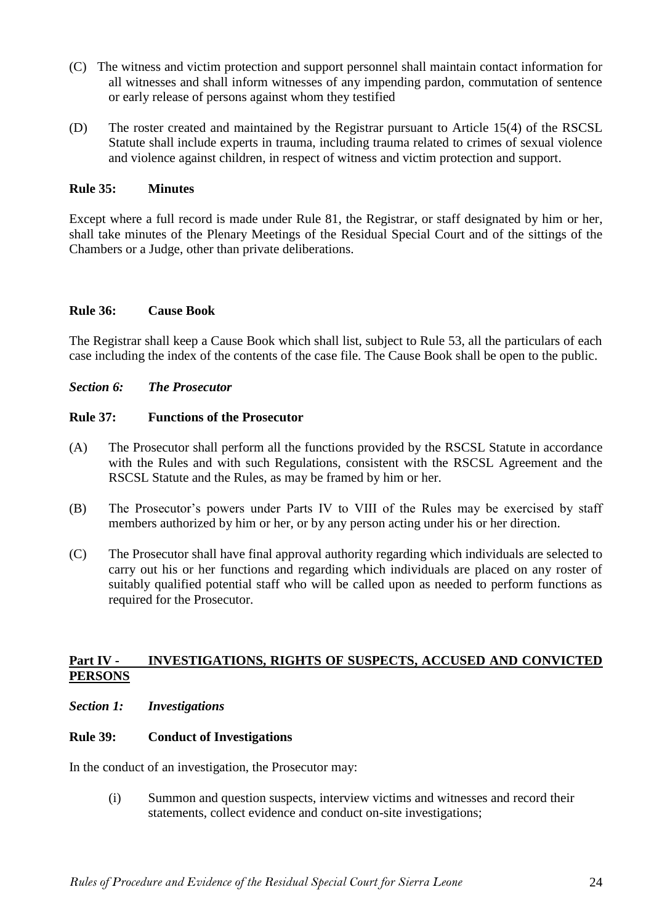- (C) The witness and victim protection and support personnel shall maintain contact information for all witnesses and shall inform witnesses of any impending pardon, commutation of sentence or early release of persons against whom they testified
- (D) The roster created and maintained by the Registrar pursuant to Article 15(4) of the RSCSL Statute shall include experts in trauma, including trauma related to crimes of sexual violence and violence against children, in respect of witness and victim protection and support.

### **Rule 35: Minutes**

Except where a full record is made under Rule 81, the Registrar, or staff designated by him or her, shall take minutes of the Plenary Meetings of the Residual Special Court and of the sittings of the Chambers or a Judge, other than private deliberations.

### **Rule 36: Cause Book**

The Registrar shall keep a Cause Book which shall list, subject to Rule 53, all the particulars of each case including the index of the contents of the case file. The Cause Book shall be open to the public.

### *Section 6: The Prosecutor*

### **Rule 37: Functions of the Prosecutor**

- (A) The Prosecutor shall perform all the functions provided by the RSCSL Statute in accordance with the Rules and with such Regulations, consistent with the RSCSL Agreement and the RSCSL Statute and the Rules, as may be framed by him or her.
- (B) The Prosecutor's powers under Parts IV to VIII of the Rules may be exercised by staff members authorized by him or her, or by any person acting under his or her direction.
- (C) The Prosecutor shall have final approval authority regarding which individuals are selected to carry out his or her functions and regarding which individuals are placed on any roster of suitably qualified potential staff who will be called upon as needed to perform functions as required for the Prosecutor.

### **Part IV - INVESTIGATIONS, RIGHTS OF SUSPECTS, ACCUSED AND CONVICTED PERSONS**

### *Section 1: Investigations*

### **Rule 39: Conduct of Investigations**

In the conduct of an investigation, the Prosecutor may:

(i) Summon and question suspects, interview victims and witnesses and record their statements, collect evidence and conduct on-site investigations;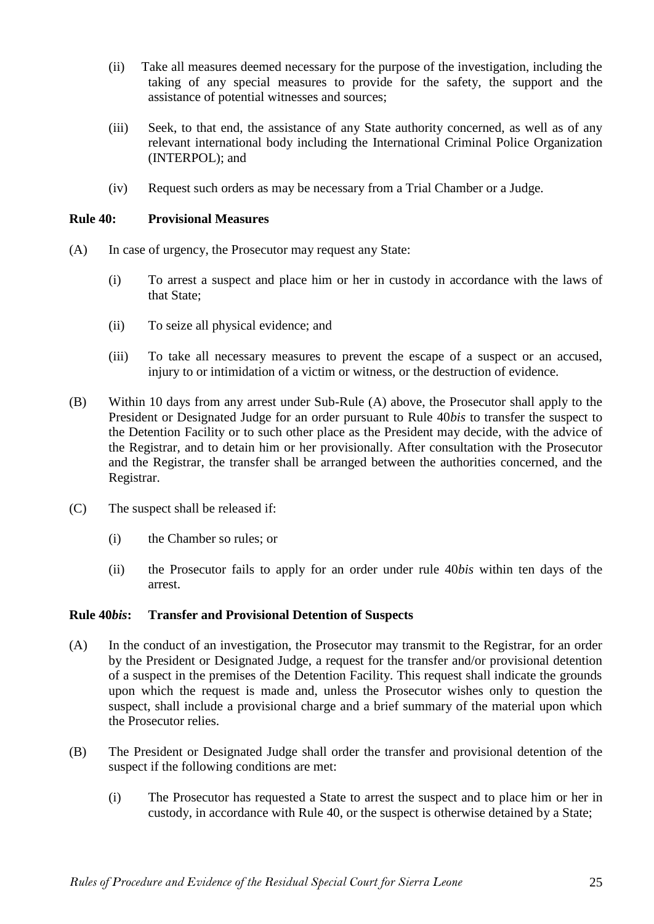- (ii) Take all measures deemed necessary for the purpose of the investigation, including the taking of any special measures to provide for the safety, the support and the assistance of potential witnesses and sources;
- (iii) Seek, to that end, the assistance of any State authority concerned, as well as of any relevant international body including the International Criminal Police Organization (INTERPOL); and
- (iv) Request such orders as may be necessary from a Trial Chamber or a Judge.

### **Rule 40: Provisional Measures**

- (A) In case of urgency, the Prosecutor may request any State:
	- (i) To arrest a suspect and place him or her in custody in accordance with the laws of that State;
	- (ii) To seize all physical evidence; and
	- (iii) To take all necessary measures to prevent the escape of a suspect or an accused, injury to or intimidation of a victim or witness, or the destruction of evidence.
- (B) Within 10 days from any arrest under Sub-Rule (A) above, the Prosecutor shall apply to the President or Designated Judge for an order pursuant to Rule 40*bis* to transfer the suspect to the Detention Facility or to such other place as the President may decide, with the advice of the Registrar, and to detain him or her provisionally. After consultation with the Prosecutor and the Registrar, the transfer shall be arranged between the authorities concerned, and the Registrar.
- (C) The suspect shall be released if:
	- (i) the Chamber so rules; or
	- (ii) the Prosecutor fails to apply for an order under rule 40*bis* within ten days of the arrest.

### **Rule 40***bis***: Transfer and Provisional Detention of Suspects**

- (A) In the conduct of an investigation, the Prosecutor may transmit to the Registrar, for an order by the President or Designated Judge, a request for the transfer and/or provisional detention of a suspect in the premises of the Detention Facility. This request shall indicate the grounds upon which the request is made and, unless the Prosecutor wishes only to question the suspect, shall include a provisional charge and a brief summary of the material upon which the Prosecutor relies.
- (B) The President or Designated Judge shall order the transfer and provisional detention of the suspect if the following conditions are met:
	- (i) The Prosecutor has requested a State to arrest the suspect and to place him or her in custody, in accordance with Rule 40, or the suspect is otherwise detained by a State;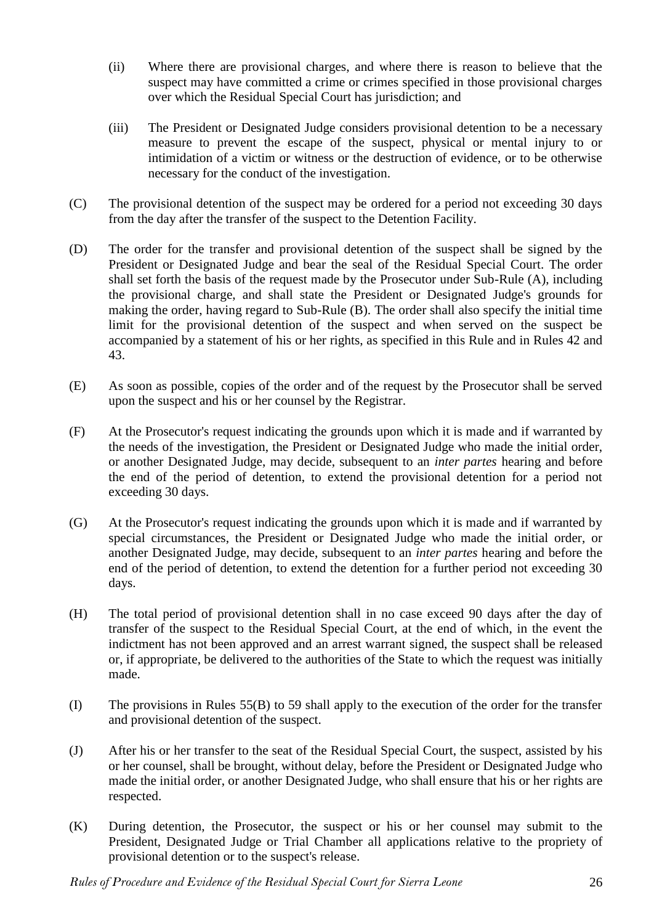- (ii) Where there are provisional charges, and where there is reason to believe that the suspect may have committed a crime or crimes specified in those provisional charges over which the Residual Special Court has jurisdiction; and
- (iii) The President or Designated Judge considers provisional detention to be a necessary measure to prevent the escape of the suspect, physical or mental injury to or intimidation of a victim or witness or the destruction of evidence, or to be otherwise necessary for the conduct of the investigation.
- (C) The provisional detention of the suspect may be ordered for a period not exceeding 30 days from the day after the transfer of the suspect to the Detention Facility.
- (D) The order for the transfer and provisional detention of the suspect shall be signed by the President or Designated Judge and bear the seal of the Residual Special Court. The order shall set forth the basis of the request made by the Prosecutor under Sub-Rule (A), including the provisional charge, and shall state the President or Designated Judge's grounds for making the order, having regard to Sub-Rule (B). The order shall also specify the initial time limit for the provisional detention of the suspect and when served on the suspect be accompanied by a statement of his or her rights, as specified in this Rule and in Rules 42 and 43.
- (E) As soon as possible, copies of the order and of the request by the Prosecutor shall be served upon the suspect and his or her counsel by the Registrar.
- (F) At the Prosecutor's request indicating the grounds upon which it is made and if warranted by the needs of the investigation, the President or Designated Judge who made the initial order, or another Designated Judge, may decide, subsequent to an *inter partes* hearing and before the end of the period of detention, to extend the provisional detention for a period not exceeding 30 days.
- (G) At the Prosecutor's request indicating the grounds upon which it is made and if warranted by special circumstances, the President or Designated Judge who made the initial order, or another Designated Judge, may decide, subsequent to an *inter partes* hearing and before the end of the period of detention, to extend the detention for a further period not exceeding 30 days.
- (H) The total period of provisional detention shall in no case exceed 90 days after the day of transfer of the suspect to the Residual Special Court, at the end of which, in the event the indictment has not been approved and an arrest warrant signed, the suspect shall be released or, if appropriate, be delivered to the authorities of the State to which the request was initially made.
- (I) The provisions in Rules 55(B) to 59 shall apply to the execution of the order for the transfer and provisional detention of the suspect.
- (J) After his or her transfer to the seat of the Residual Special Court, the suspect, assisted by his or her counsel, shall be brought, without delay, before the President or Designated Judge who made the initial order, or another Designated Judge, who shall ensure that his or her rights are respected.
- (K) During detention, the Prosecutor, the suspect or his or her counsel may submit to the President, Designated Judge or Trial Chamber all applications relative to the propriety of provisional detention or to the suspect's release.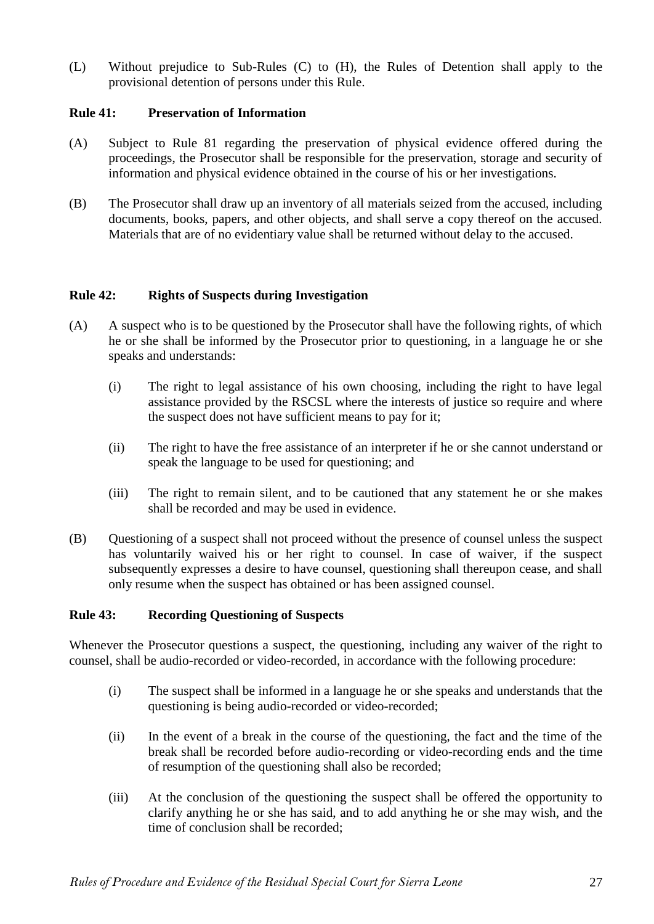(L) Without prejudice to Sub-Rules (C) to (H), the Rules of Detention shall apply to the provisional detention of persons under this Rule.

### **Rule 41: Preservation of Information**

- (A) Subject to Rule 81 regarding the preservation of physical evidence offered during the proceedings, the Prosecutor shall be responsible for the preservation, storage and security of information and physical evidence obtained in the course of his or her investigations.
- (B) The Prosecutor shall draw up an inventory of all materials seized from the accused, including documents, books, papers, and other objects, and shall serve a copy thereof on the accused. Materials that are of no evidentiary value shall be returned without delay to the accused.

### **Rule 42: Rights of Suspects during Investigation**

- (A) A suspect who is to be questioned by the Prosecutor shall have the following rights, of which he or she shall be informed by the Prosecutor prior to questioning, in a language he or she speaks and understands:
	- (i) The right to legal assistance of his own choosing, including the right to have legal assistance provided by the RSCSL where the interests of justice so require and where the suspect does not have sufficient means to pay for it;
	- (ii) The right to have the free assistance of an interpreter if he or she cannot understand or speak the language to be used for questioning; and
	- (iii) The right to remain silent, and to be cautioned that any statement he or she makes shall be recorded and may be used in evidence.
- (B) Questioning of a suspect shall not proceed without the presence of counsel unless the suspect has voluntarily waived his or her right to counsel. In case of waiver, if the suspect subsequently expresses a desire to have counsel, questioning shall thereupon cease, and shall only resume when the suspect has obtained or has been assigned counsel.

# **Rule 43: Recording Questioning of Suspects**

Whenever the Prosecutor questions a suspect, the questioning, including any waiver of the right to counsel, shall be audio-recorded or video-recorded, in accordance with the following procedure:

- (i) The suspect shall be informed in a language he or she speaks and understands that the questioning is being audio-recorded or video-recorded;
- (ii) In the event of a break in the course of the questioning, the fact and the time of the break shall be recorded before audio-recording or video-recording ends and the time of resumption of the questioning shall also be recorded;
- (iii) At the conclusion of the questioning the suspect shall be offered the opportunity to clarify anything he or she has said, and to add anything he or she may wish, and the time of conclusion shall be recorded;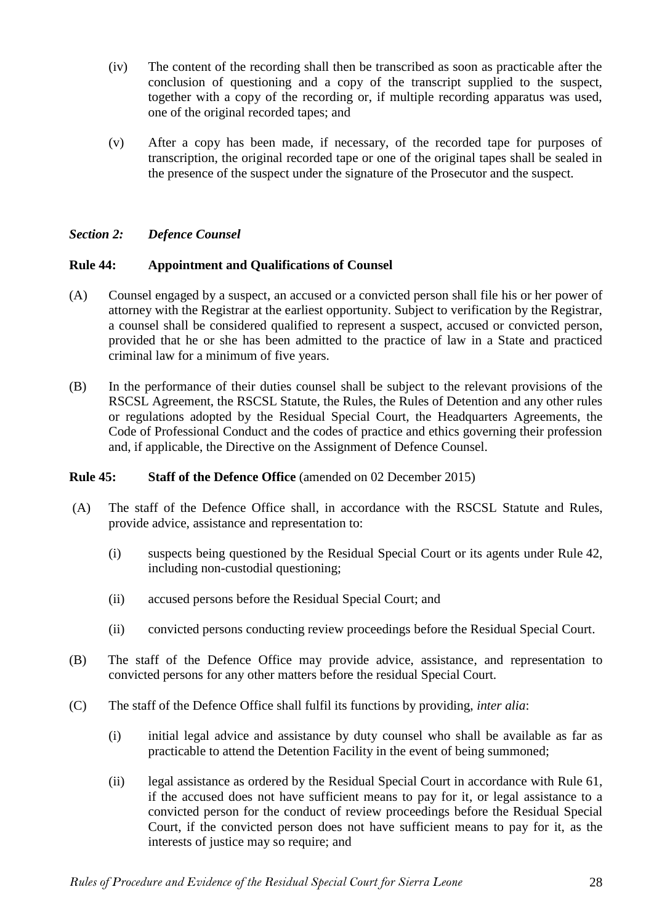- (iv) The content of the recording shall then be transcribed as soon as practicable after the conclusion of questioning and a copy of the transcript supplied to the suspect, together with a copy of the recording or, if multiple recording apparatus was used, one of the original recorded tapes; and
- (v) After a copy has been made, if necessary, of the recorded tape for purposes of transcription, the original recorded tape or one of the original tapes shall be sealed in the presence of the suspect under the signature of the Prosecutor and the suspect.

# *Section 2: Defence Counsel*

# **Rule 44: Appointment and Qualifications of Counsel**

- (A) Counsel engaged by a suspect, an accused or a convicted person shall file his or her power of attorney with the Registrar at the earliest opportunity. Subject to verification by the Registrar, a counsel shall be considered qualified to represent a suspect, accused or convicted person, provided that he or she has been admitted to the practice of law in a State and practiced criminal law for a minimum of five years.
- (B) In the performance of their duties counsel shall be subject to the relevant provisions of the RSCSL Agreement, the RSCSL Statute, the Rules, the Rules of Detention and any other rules or regulations adopted by the Residual Special Court, the Headquarters Agreements, the Code of Professional Conduct and the codes of practice and ethics governing their profession and, if applicable, the Directive on the Assignment of Defence Counsel.

# **Rule 45: Staff of the Defence Office** (amended on 02 December 2015)

- (A) The staff of the Defence Office shall, in accordance with the RSCSL Statute and Rules, provide advice, assistance and representation to:
	- (i) suspects being questioned by the Residual Special Court or its agents under Rule 42, including non-custodial questioning;
	- (ii) accused persons before the Residual Special Court; and
	- (ii) convicted persons conducting review proceedings before the Residual Special Court.
- (B) The staff of the Defence Office may provide advice, assistance, and representation to convicted persons for any other matters before the residual Special Court.
- (C) The staff of the Defence Office shall fulfil its functions by providing, *inter alia*:
	- (i) initial legal advice and assistance by duty counsel who shall be available as far as practicable to attend the Detention Facility in the event of being summoned;
	- (ii) legal assistance as ordered by the Residual Special Court in accordance with Rule 61, if the accused does not have sufficient means to pay for it, or legal assistance to a convicted person for the conduct of review proceedings before the Residual Special Court, if the convicted person does not have sufficient means to pay for it, as the interests of justice may so require; and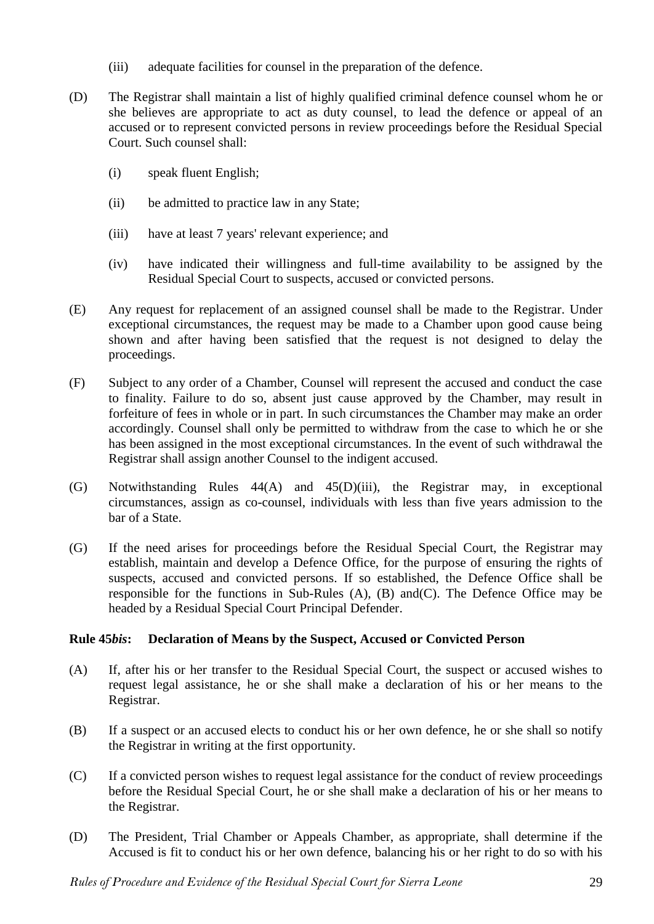- (iii) adequate facilities for counsel in the preparation of the defence.
- (D) The Registrar shall maintain a list of highly qualified criminal defence counsel whom he or she believes are appropriate to act as duty counsel, to lead the defence or appeal of an accused or to represent convicted persons in review proceedings before the Residual Special Court. Such counsel shall:
	- (i) speak fluent English;
	- (ii) be admitted to practice law in any State;
	- (iii) have at least 7 years' relevant experience; and
	- (iv) have indicated their willingness and full-time availability to be assigned by the Residual Special Court to suspects, accused or convicted persons.
- (E) Any request for replacement of an assigned counsel shall be made to the Registrar. Under exceptional circumstances, the request may be made to a Chamber upon good cause being shown and after having been satisfied that the request is not designed to delay the proceedings.
- (F) Subject to any order of a Chamber, Counsel will represent the accused and conduct the case to finality. Failure to do so, absent just cause approved by the Chamber, may result in forfeiture of fees in whole or in part. In such circumstances the Chamber may make an order accordingly. Counsel shall only be permitted to withdraw from the case to which he or she has been assigned in the most exceptional circumstances. In the event of such withdrawal the Registrar shall assign another Counsel to the indigent accused.
- (G) Notwithstanding Rules 44(A) and 45(D)(iii), the Registrar may, in exceptional circumstances, assign as co-counsel, individuals with less than five years admission to the bar of a State.
- (G) If the need arises for proceedings before the Residual Special Court, the Registrar may establish, maintain and develop a Defence Office, for the purpose of ensuring the rights of suspects, accused and convicted persons. If so established, the Defence Office shall be responsible for the functions in Sub-Rules  $(A)$ ,  $(B)$  and $(C)$ . The Defence Office may be headed by a Residual Special Court Principal Defender.

### **Rule 45***bis***: Declaration of Means by the Suspect, Accused or Convicted Person**

- (A) If, after his or her transfer to the Residual Special Court, the suspect or accused wishes to request legal assistance, he or she shall make a declaration of his or her means to the Registrar.
- (B) If a suspect or an accused elects to conduct his or her own defence, he or she shall so notify the Registrar in writing at the first opportunity.
- (C) If a convicted person wishes to request legal assistance for the conduct of review proceedings before the Residual Special Court, he or she shall make a declaration of his or her means to the Registrar.
- (D) The President, Trial Chamber or Appeals Chamber, as appropriate, shall determine if the Accused is fit to conduct his or her own defence, balancing his or her right to do so with his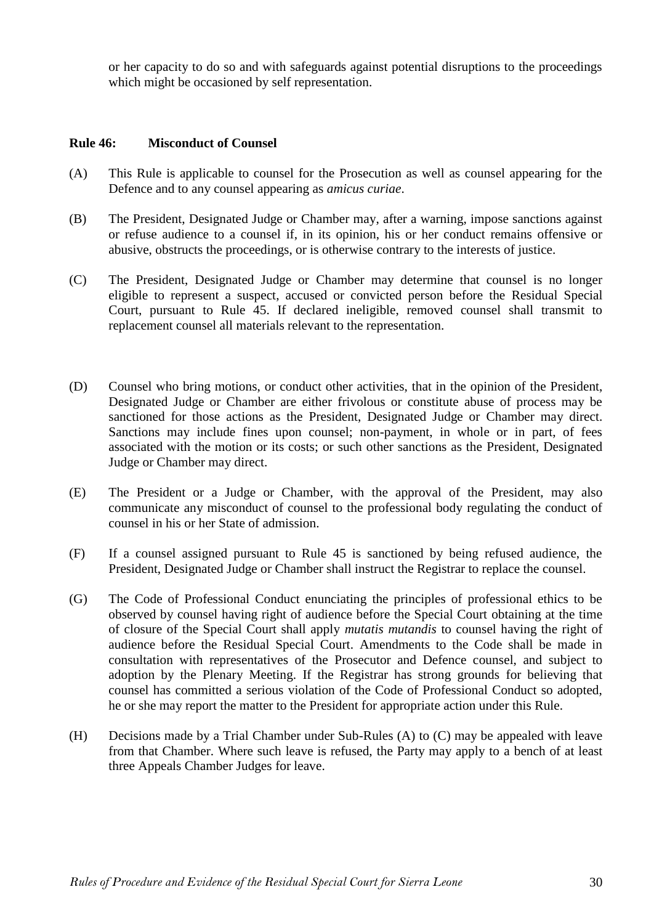or her capacity to do so and with safeguards against potential disruptions to the proceedings which might be occasioned by self representation.

### **Rule 46: Misconduct of Counsel**

- (A) This Rule is applicable to counsel for the Prosecution as well as counsel appearing for the Defence and to any counsel appearing as *amicus curiae*.
- (B) The President, Designated Judge or Chamber may, after a warning, impose sanctions against or refuse audience to a counsel if, in its opinion, his or her conduct remains offensive or abusive, obstructs the proceedings, or is otherwise contrary to the interests of justice.
- (C) The President, Designated Judge or Chamber may determine that counsel is no longer eligible to represent a suspect, accused or convicted person before the Residual Special Court, pursuant to Rule 45. If declared ineligible, removed counsel shall transmit to replacement counsel all materials relevant to the representation.
- (D) Counsel who bring motions, or conduct other activities, that in the opinion of the President, Designated Judge or Chamber are either frivolous or constitute abuse of process may be sanctioned for those actions as the President, Designated Judge or Chamber may direct. Sanctions may include fines upon counsel; non-payment, in whole or in part, of fees associated with the motion or its costs; or such other sanctions as the President, Designated Judge or Chamber may direct.
- (E) The President or a Judge or Chamber, with the approval of the President, may also communicate any misconduct of counsel to the professional body regulating the conduct of counsel in his or her State of admission.
- (F) If a counsel assigned pursuant to Rule 45 is sanctioned by being refused audience, the President, Designated Judge or Chamber shall instruct the Registrar to replace the counsel.
- (G) The Code of Professional Conduct enunciating the principles of professional ethics to be observed by counsel having right of audience before the Special Court obtaining at the time of closure of the Special Court shall apply *mutatis mutandis* to counsel having the right of audience before the Residual Special Court. Amendments to the Code shall be made in consultation with representatives of the Prosecutor and Defence counsel, and subject to adoption by the Plenary Meeting. If the Registrar has strong grounds for believing that counsel has committed a serious violation of the Code of Professional Conduct so adopted, he or she may report the matter to the President for appropriate action under this Rule.
- (H) Decisions made by a Trial Chamber under Sub-Rules (A) to (C) may be appealed with leave from that Chamber. Where such leave is refused, the Party may apply to a bench of at least three Appeals Chamber Judges for leave.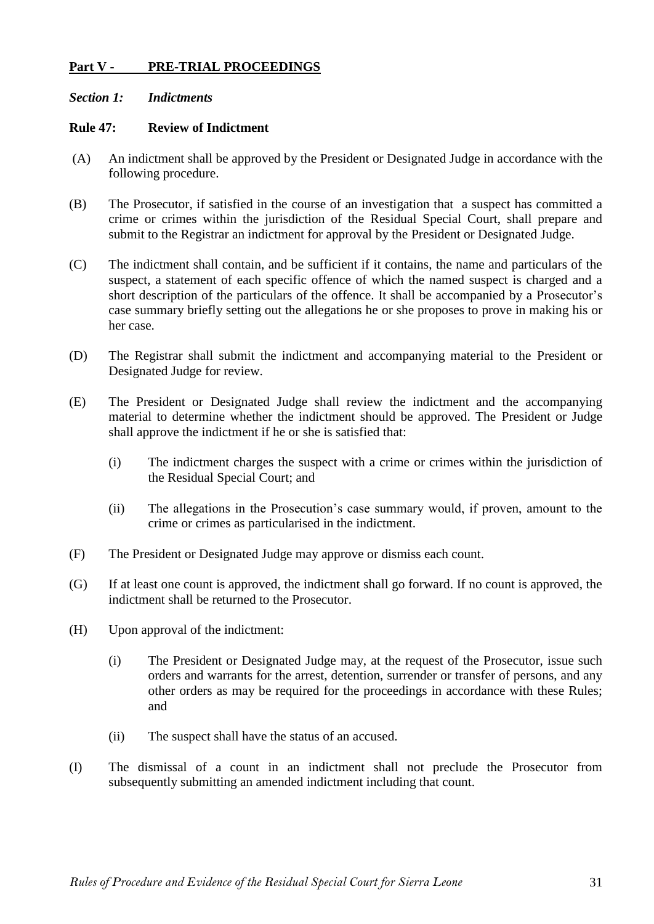# **Part V - PRE-TRIAL PROCEEDINGS**

#### *Section 1: Indictments*

#### **Rule 47: Review of Indictment**

- (A) An indictment shall be approved by the President or Designated Judge in accordance with the following procedure.
- (B) The Prosecutor, if satisfied in the course of an investigation that a suspect has committed a crime or crimes within the jurisdiction of the Residual Special Court, shall prepare and submit to the Registrar an indictment for approval by the President or Designated Judge.
- (C) The indictment shall contain, and be sufficient if it contains, the name and particulars of the suspect, a statement of each specific offence of which the named suspect is charged and a short description of the particulars of the offence. It shall be accompanied by a Prosecutor's case summary briefly setting out the allegations he or she proposes to prove in making his or her case.
- (D) The Registrar shall submit the indictment and accompanying material to the President or Designated Judge for review.
- (E) The President or Designated Judge shall review the indictment and the accompanying material to determine whether the indictment should be approved. The President or Judge shall approve the indictment if he or she is satisfied that:
	- (i) The indictment charges the suspect with a crime or crimes within the jurisdiction of the Residual Special Court; and
	- (ii) The allegations in the Prosecution's case summary would, if proven, amount to the crime or crimes as particularised in the indictment.
- (F) The President or Designated Judge may approve or dismiss each count.
- (G) If at least one count is approved, the indictment shall go forward. If no count is approved, the indictment shall be returned to the Prosecutor.
- (H) Upon approval of the indictment:
	- (i) The President or Designated Judge may, at the request of the Prosecutor, issue such orders and warrants for the arrest, detention, surrender or transfer of persons, and any other orders as may be required for the proceedings in accordance with these Rules; and
	- (ii) The suspect shall have the status of an accused.
- (I) The dismissal of a count in an indictment shall not preclude the Prosecutor from subsequently submitting an amended indictment including that count.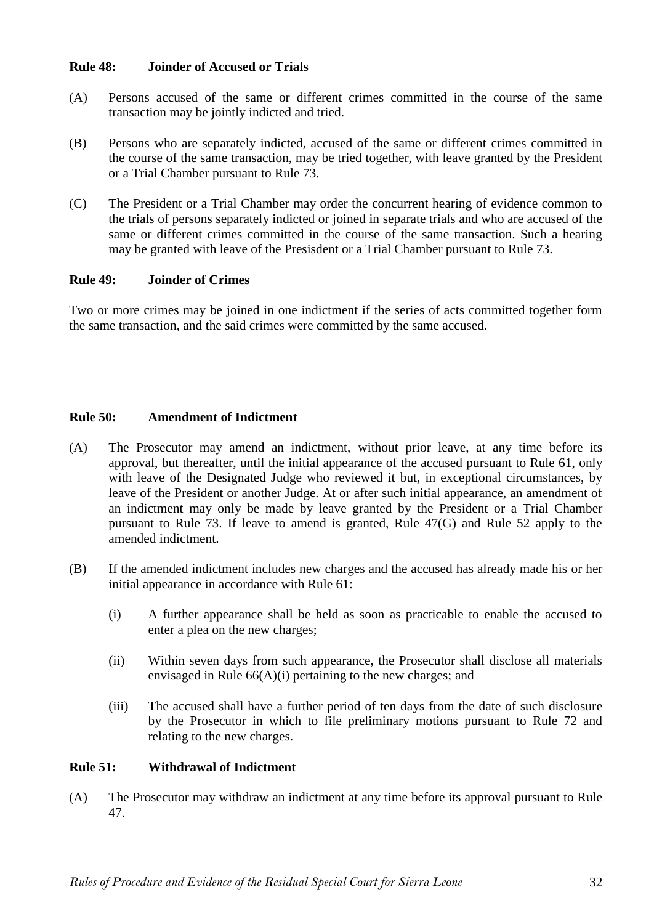### **Rule 48: Joinder of Accused or Trials**

- (A) Persons accused of the same or different crimes committed in the course of the same transaction may be jointly indicted and tried.
- (B) Persons who are separately indicted, accused of the same or different crimes committed in the course of the same transaction, may be tried together, with leave granted by the President or a Trial Chamber pursuant to Rule 73.
- (C) The President or a Trial Chamber may order the concurrent hearing of evidence common to the trials of persons separately indicted or joined in separate trials and who are accused of the same or different crimes committed in the course of the same transaction. Such a hearing may be granted with leave of the Presisdent or a Trial Chamber pursuant to Rule 73.

### **Rule 49: Joinder of Crimes**

Two or more crimes may be joined in one indictment if the series of acts committed together form the same transaction, and the said crimes were committed by the same accused.

### **Rule 50: Amendment of Indictment**

- (A) The Prosecutor may amend an indictment, without prior leave, at any time before its approval, but thereafter, until the initial appearance of the accused pursuant to Rule 61, only with leave of the Designated Judge who reviewed it but, in exceptional circumstances, by leave of the President or another Judge. At or after such initial appearance, an amendment of an indictment may only be made by leave granted by the President or a Trial Chamber pursuant to Rule 73. If leave to amend is granted, Rule 47(G) and Rule 52 apply to the amended indictment.
- (B) If the amended indictment includes new charges and the accused has already made his or her initial appearance in accordance with Rule 61:
	- (i) A further appearance shall be held as soon as practicable to enable the accused to enter a plea on the new charges;
	- (ii) Within seven days from such appearance, the Prosecutor shall disclose all materials envisaged in Rule  $66(A)(i)$  pertaining to the new charges; and
	- (iii) The accused shall have a further period of ten days from the date of such disclosure by the Prosecutor in which to file preliminary motions pursuant to Rule 72 and relating to the new charges.

### **Rule 51: Withdrawal of Indictment**

(A) The Prosecutor may withdraw an indictment at any time before its approval pursuant to Rule 47.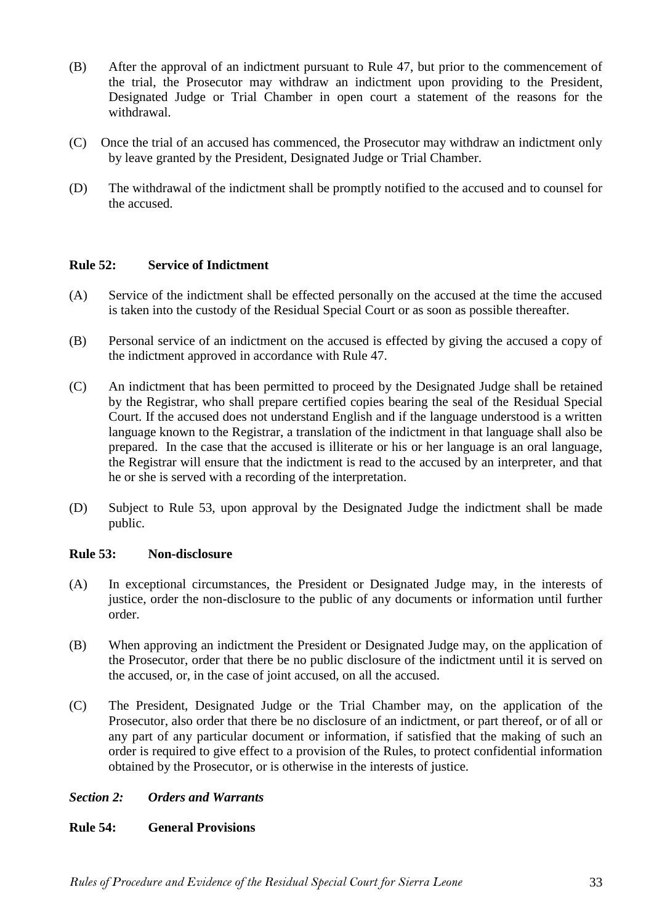- (B) After the approval of an indictment pursuant to Rule 47, but prior to the commencement of the trial, the Prosecutor may withdraw an indictment upon providing to the President, Designated Judge or Trial Chamber in open court a statement of the reasons for the withdrawal.
- (C) Once the trial of an accused has commenced, the Prosecutor may withdraw an indictment only by leave granted by the President, Designated Judge or Trial Chamber.
- (D) The withdrawal of the indictment shall be promptly notified to the accused and to counsel for the accused.

# **Rule 52: Service of Indictment**

- (A) Service of the indictment shall be effected personally on the accused at the time the accused is taken into the custody of the Residual Special Court or as soon as possible thereafter.
- (B) Personal service of an indictment on the accused is effected by giving the accused a copy of the indictment approved in accordance with Rule 47.
- (C) An indictment that has been permitted to proceed by the Designated Judge shall be retained by the Registrar, who shall prepare certified copies bearing the seal of the Residual Special Court. If the accused does not understand English and if the language understood is a written language known to the Registrar, a translation of the indictment in that language shall also be prepared. In the case that the accused is illiterate or his or her language is an oral language, the Registrar will ensure that the indictment is read to the accused by an interpreter, and that he or she is served with a recording of the interpretation.
- (D) Subject to Rule 53, upon approval by the Designated Judge the indictment shall be made public.

### **Rule 53: Non-disclosure**

- (A) In exceptional circumstances, the President or Designated Judge may, in the interests of justice, order the non-disclosure to the public of any documents or information until further order.
- (B) When approving an indictment the President or Designated Judge may, on the application of the Prosecutor, order that there be no public disclosure of the indictment until it is served on the accused, or, in the case of joint accused, on all the accused.
- (C) The President, Designated Judge or the Trial Chamber may, on the application of the Prosecutor, also order that there be no disclosure of an indictment, or part thereof, or of all or any part of any particular document or information, if satisfied that the making of such an order is required to give effect to a provision of the Rules, to protect confidential information obtained by the Prosecutor, or is otherwise in the interests of justice.

### *Section 2: Orders and Warrants*

### **Rule 54: General Provisions**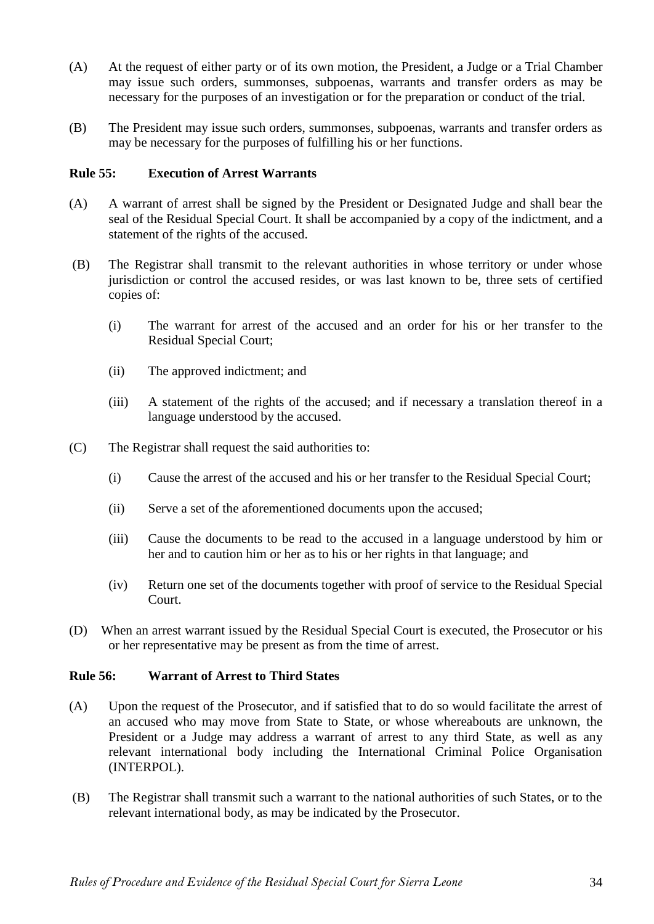- (A) At the request of either party or of its own motion, the President, a Judge or a Trial Chamber may issue such orders, summonses, subpoenas, warrants and transfer orders as may be necessary for the purposes of an investigation or for the preparation or conduct of the trial.
- (B) The President may issue such orders, summonses, subpoenas, warrants and transfer orders as may be necessary for the purposes of fulfilling his or her functions.

### **Rule 55: Execution of Arrest Warrants**

- (A) A warrant of arrest shall be signed by the President or Designated Judge and shall bear the seal of the Residual Special Court. It shall be accompanied by a copy of the indictment, and a statement of the rights of the accused.
- (B) The Registrar shall transmit to the relevant authorities in whose territory or under whose jurisdiction or control the accused resides, or was last known to be, three sets of certified copies of:
	- (i) The warrant for arrest of the accused and an order for his or her transfer to the Residual Special Court;
	- (ii) The approved indictment; and
	- (iii) A statement of the rights of the accused; and if necessary a translation thereof in a language understood by the accused.
- (C) The Registrar shall request the said authorities to:
	- (i) Cause the arrest of the accused and his or her transfer to the Residual Special Court;
	- (ii) Serve a set of the aforementioned documents upon the accused;
	- (iii) Cause the documents to be read to the accused in a language understood by him or her and to caution him or her as to his or her rights in that language; and
	- (iv) Return one set of the documents together with proof of service to the Residual Special Court.
- (D) When an arrest warrant issued by the Residual Special Court is executed, the Prosecutor or his or her representative may be present as from the time of arrest.

### **Rule 56: Warrant of Arrest to Third States**

- (A) Upon the request of the Prosecutor, and if satisfied that to do so would facilitate the arrest of an accused who may move from State to State, or whose whereabouts are unknown, the President or a Judge may address a warrant of arrest to any third State, as well as any relevant international body including the International Criminal Police Organisation (INTERPOL).
- (B) The Registrar shall transmit such a warrant to the national authorities of such States, or to the relevant international body, as may be indicated by the Prosecutor.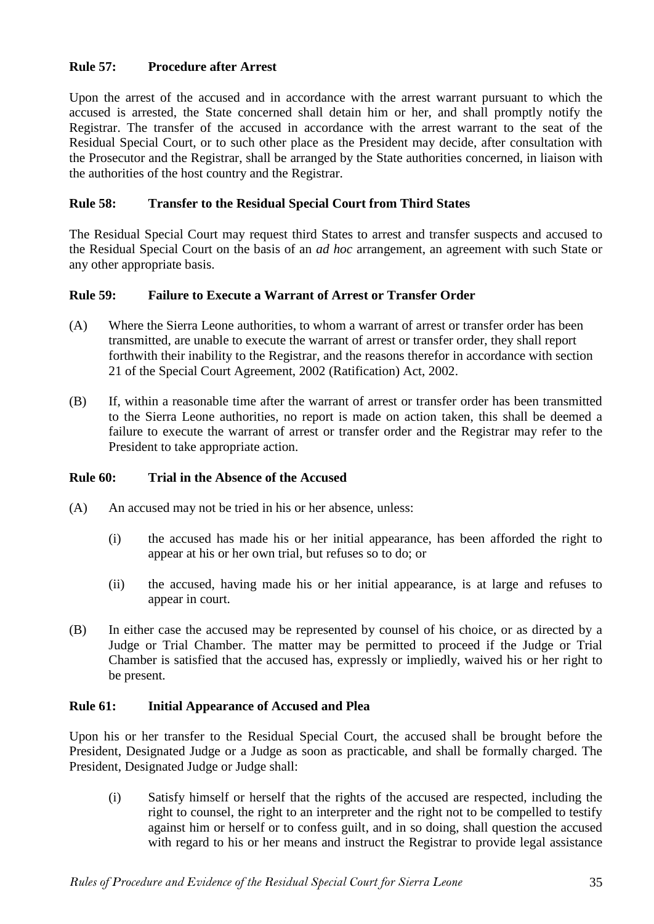# **Rule 57: Procedure after Arrest**

Upon the arrest of the accused and in accordance with the arrest warrant pursuant to which the accused is arrested, the State concerned shall detain him or her, and shall promptly notify the Registrar. The transfer of the accused in accordance with the arrest warrant to the seat of the Residual Special Court, or to such other place as the President may decide, after consultation with the Prosecutor and the Registrar, shall be arranged by the State authorities concerned, in liaison with the authorities of the host country and the Registrar.

# **Rule 58: Transfer to the Residual Special Court from Third States**

The Residual Special Court may request third States to arrest and transfer suspects and accused to the Residual Special Court on the basis of an *ad hoc* arrangement, an agreement with such State or any other appropriate basis.

# **Rule 59: Failure to Execute a Warrant of Arrest or Transfer Order**

- (A) Where the Sierra Leone authorities, to whom a warrant of arrest or transfer order has been transmitted, are unable to execute the warrant of arrest or transfer order, they shall report forthwith their inability to the Registrar, and the reasons therefor in accordance with section 21 of the Special Court Agreement, 2002 (Ratification) Act, 2002.
- (B) If, within a reasonable time after the warrant of arrest or transfer order has been transmitted to the Sierra Leone authorities, no report is made on action taken, this shall be deemed a failure to execute the warrant of arrest or transfer order and the Registrar may refer to the President to take appropriate action.

# **Rule 60: Trial in the Absence of the Accused**

- (A) An accused may not be tried in his or her absence, unless:
	- (i) the accused has made his or her initial appearance, has been afforded the right to appear at his or her own trial, but refuses so to do; or
	- (ii) the accused, having made his or her initial appearance, is at large and refuses to appear in court.
- (B) In either case the accused may be represented by counsel of his choice, or as directed by a Judge or Trial Chamber. The matter may be permitted to proceed if the Judge or Trial Chamber is satisfied that the accused has, expressly or impliedly, waived his or her right to be present.

### **Rule 61: Initial Appearance of Accused and Plea**

Upon his or her transfer to the Residual Special Court, the accused shall be brought before the President, Designated Judge or a Judge as soon as practicable, and shall be formally charged. The President, Designated Judge or Judge shall:

(i) Satisfy himself or herself that the rights of the accused are respected, including the right to counsel, the right to an interpreter and the right not to be compelled to testify against him or herself or to confess guilt, and in so doing, shall question the accused with regard to his or her means and instruct the Registrar to provide legal assistance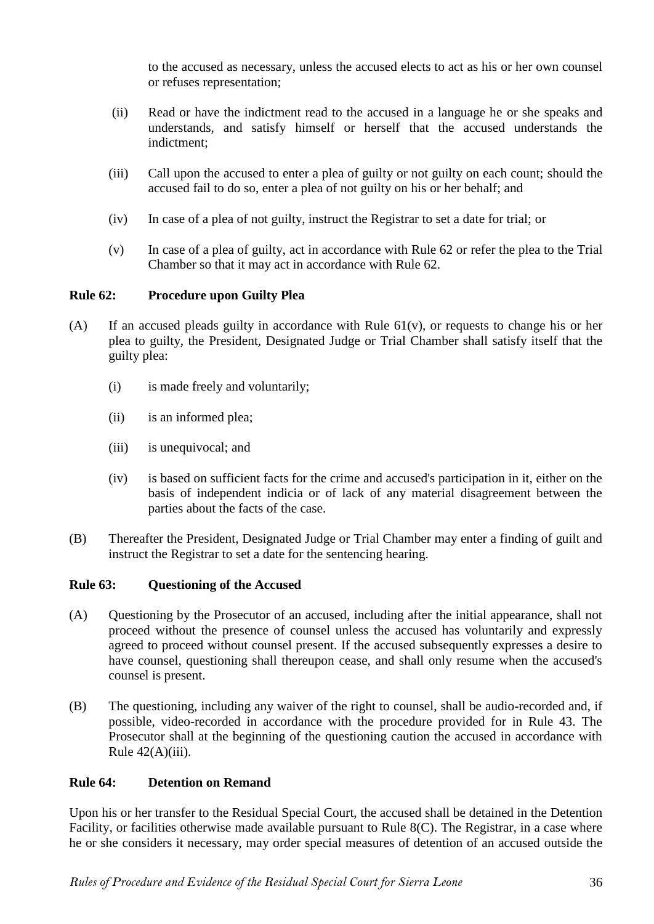to the accused as necessary, unless the accused elects to act as his or her own counsel or refuses representation;

- (ii) Read or have the indictment read to the accused in a language he or she speaks and understands, and satisfy himself or herself that the accused understands the indictment;
- (iii) Call upon the accused to enter a plea of guilty or not guilty on each count; should the accused fail to do so, enter a plea of not guilty on his or her behalf; and
- (iv) In case of a plea of not guilty, instruct the Registrar to set a date for trial; or
- (v) In case of a plea of guilty, act in accordance with Rule 62 or refer the plea to the Trial Chamber so that it may act in accordance with Rule 62.

# **Rule 62: Procedure upon Guilty Plea**

- (A) If an accused pleads guilty in accordance with Rule  $61(v)$ , or requests to change his or her plea to guilty, the President, Designated Judge or Trial Chamber shall satisfy itself that the guilty plea:
	- (i) is made freely and voluntarily;
	- (ii) is an informed plea;
	- (iii) is unequivocal; and
	- (iv) is based on sufficient facts for the crime and accused's participation in it, either on the basis of independent indicia or of lack of any material disagreement between the parties about the facts of the case.
- (B) Thereafter the President, Designated Judge or Trial Chamber may enter a finding of guilt and instruct the Registrar to set a date for the sentencing hearing.

### **Rule 63: Questioning of the Accused**

- (A) Questioning by the Prosecutor of an accused, including after the initial appearance, shall not proceed without the presence of counsel unless the accused has voluntarily and expressly agreed to proceed without counsel present. If the accused subsequently expresses a desire to have counsel, questioning shall thereupon cease, and shall only resume when the accused's counsel is present.
- (B) The questioning, including any waiver of the right to counsel, shall be audio-recorded and, if possible, video-recorded in accordance with the procedure provided for in Rule 43. The Prosecutor shall at the beginning of the questioning caution the accused in accordance with Rule  $42(A)(iii)$ .

# **Rule 64: Detention on Remand**

Upon his or her transfer to the Residual Special Court, the accused shall be detained in the Detention Facility, or facilities otherwise made available pursuant to Rule 8(C). The Registrar, in a case where he or she considers it necessary, may order special measures of detention of an accused outside the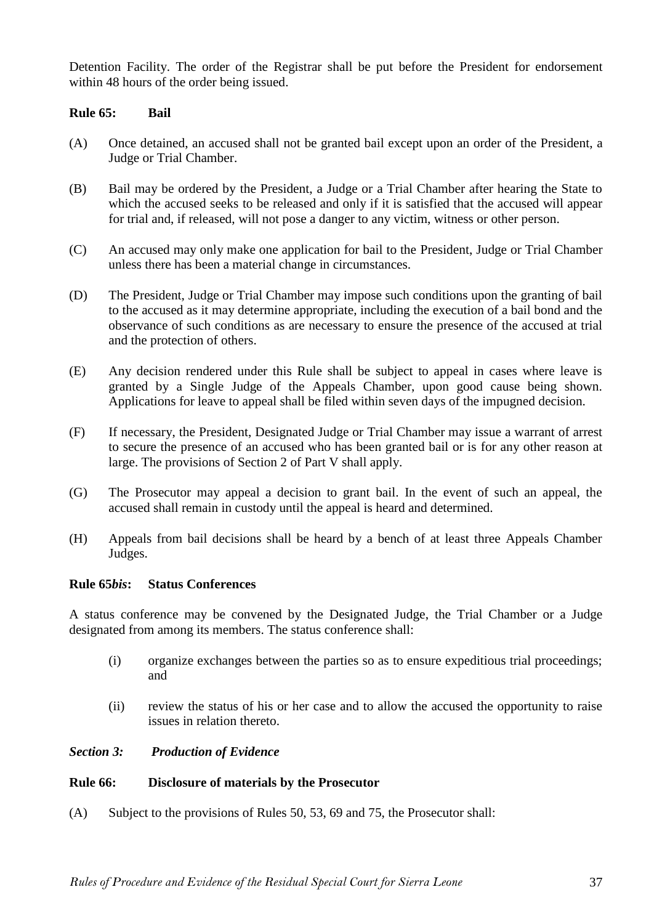Detention Facility. The order of the Registrar shall be put before the President for endorsement within 48 hours of the order being issued.

### **Rule 65: Bail**

- (A) Once detained, an accused shall not be granted bail except upon an order of the President, a Judge or Trial Chamber.
- (B) Bail may be ordered by the President, a Judge or a Trial Chamber after hearing the State to which the accused seeks to be released and only if it is satisfied that the accused will appear for trial and, if released, will not pose a danger to any victim, witness or other person.
- (C) An accused may only make one application for bail to the President, Judge or Trial Chamber unless there has been a material change in circumstances.
- (D) The President, Judge or Trial Chamber may impose such conditions upon the granting of bail to the accused as it may determine appropriate, including the execution of a bail bond and the observance of such conditions as are necessary to ensure the presence of the accused at trial and the protection of others.
- (E) Any decision rendered under this Rule shall be subject to appeal in cases where leave is granted by a Single Judge of the Appeals Chamber, upon good cause being shown. Applications for leave to appeal shall be filed within seven days of the impugned decision.
- (F) If necessary, the President, Designated Judge or Trial Chamber may issue a warrant of arrest to secure the presence of an accused who has been granted bail or is for any other reason at large. The provisions of Section 2 of Part V shall apply.
- (G) The Prosecutor may appeal a decision to grant bail. In the event of such an appeal, the accused shall remain in custody until the appeal is heard and determined.
- (H) Appeals from bail decisions shall be heard by a bench of at least three Appeals Chamber Judges.

### **Rule 65***bis***: Status Conferences**

A status conference may be convened by the Designated Judge, the Trial Chamber or a Judge designated from among its members. The status conference shall:

- (i) organize exchanges between the parties so as to ensure expeditious trial proceedings; and
- (ii) review the status of his or her case and to allow the accused the opportunity to raise issues in relation thereto.

# *Section 3: Production of Evidence*

# **Rule 66: Disclosure of materials by the Prosecutor**

(A) Subject to the provisions of Rules 50, 53, 69 and 75, the Prosecutor shall: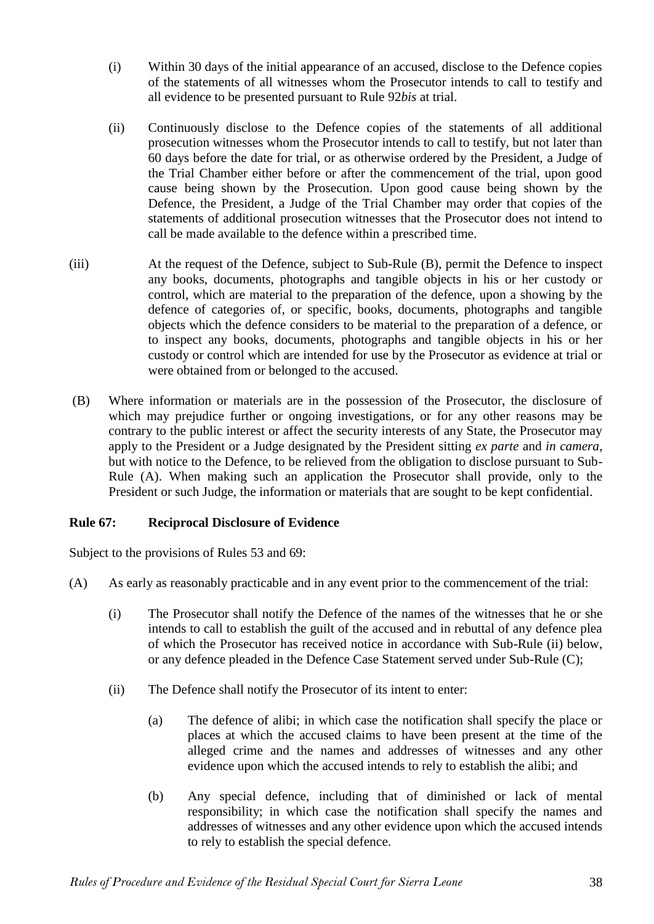- (i) Within 30 days of the initial appearance of an accused, disclose to the Defence copies of the statements of all witnesses whom the Prosecutor intends to call to testify and all evidence to be presented pursuant to Rule 92*bis* at trial.
- (ii) Continuously disclose to the Defence copies of the statements of all additional prosecution witnesses whom the Prosecutor intends to call to testify, but not later than 60 days before the date for trial, or as otherwise ordered by the President, a Judge of the Trial Chamber either before or after the commencement of the trial, upon good cause being shown by the Prosecution. Upon good cause being shown by the Defence, the President, a Judge of the Trial Chamber may order that copies of the statements of additional prosecution witnesses that the Prosecutor does not intend to call be made available to the defence within a prescribed time.
- (iii) At the request of the Defence, subject to Sub-Rule (B), permit the Defence to inspect any books, documents, photographs and tangible objects in his or her custody or control, which are material to the preparation of the defence, upon a showing by the defence of categories of, or specific, books, documents, photographs and tangible objects which the defence considers to be material to the preparation of a defence, or to inspect any books, documents, photographs and tangible objects in his or her custody or control which are intended for use by the Prosecutor as evidence at trial or were obtained from or belonged to the accused.
- (B) Where information or materials are in the possession of the Prosecutor, the disclosure of which may prejudice further or ongoing investigations, or for any other reasons may be contrary to the public interest or affect the security interests of any State, the Prosecutor may apply to the President or a Judge designated by the President sitting *ex parte* and *in camera*, but with notice to the Defence, to be relieved from the obligation to disclose pursuant to Sub-Rule (A). When making such an application the Prosecutor shall provide, only to the President or such Judge, the information or materials that are sought to be kept confidential.

# **Rule 67: Reciprocal Disclosure of Evidence**

Subject to the provisions of Rules 53 and 69:

- (A) As early as reasonably practicable and in any event prior to the commencement of the trial:
	- (i) The Prosecutor shall notify the Defence of the names of the witnesses that he or she intends to call to establish the guilt of the accused and in rebuttal of any defence plea of which the Prosecutor has received notice in accordance with Sub-Rule (ii) below, or any defence pleaded in the Defence Case Statement served under Sub-Rule (C);
	- (ii) The Defence shall notify the Prosecutor of its intent to enter:
		- (a) The defence of alibi; in which case the notification shall specify the place or places at which the accused claims to have been present at the time of the alleged crime and the names and addresses of witnesses and any other evidence upon which the accused intends to rely to establish the alibi; and
		- (b) Any special defence, including that of diminished or lack of mental responsibility; in which case the notification shall specify the names and addresses of witnesses and any other evidence upon which the accused intends to rely to establish the special defence.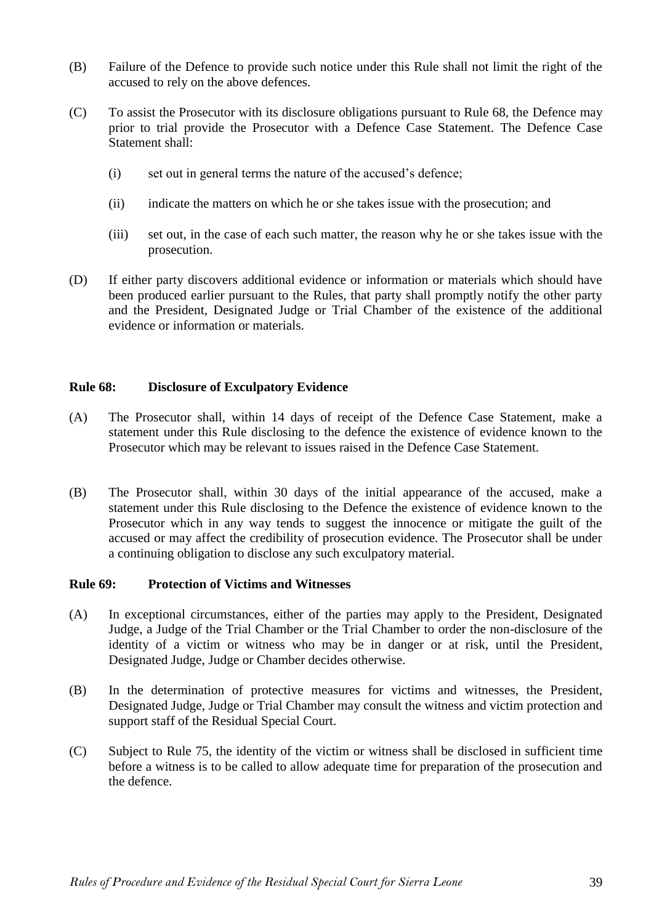- (B) Failure of the Defence to provide such notice under this Rule shall not limit the right of the accused to rely on the above defences.
- (C) To assist the Prosecutor with its disclosure obligations pursuant to Rule 68, the Defence may prior to trial provide the Prosecutor with a Defence Case Statement. The Defence Case Statement shall:
	- (i) set out in general terms the nature of the accused's defence;
	- (ii) indicate the matters on which he or she takes issue with the prosecution; and
	- (iii) set out, in the case of each such matter, the reason why he or she takes issue with the prosecution.
- (D) If either party discovers additional evidence or information or materials which should have been produced earlier pursuant to the Rules, that party shall promptly notify the other party and the President, Designated Judge or Trial Chamber of the existence of the additional evidence or information or materials.

### **Rule 68: Disclosure of Exculpatory Evidence**

- (A) The Prosecutor shall, within 14 days of receipt of the Defence Case Statement, make a statement under this Rule disclosing to the defence the existence of evidence known to the Prosecutor which may be relevant to issues raised in the Defence Case Statement.
- (B) The Prosecutor shall, within 30 days of the initial appearance of the accused, make a statement under this Rule disclosing to the Defence the existence of evidence known to the Prosecutor which in any way tends to suggest the innocence or mitigate the guilt of the accused or may affect the credibility of prosecution evidence. The Prosecutor shall be under a continuing obligation to disclose any such exculpatory material.

### **Rule 69: Protection of Victims and Witnesses**

- (A) In exceptional circumstances, either of the parties may apply to the President, Designated Judge, a Judge of the Trial Chamber or the Trial Chamber to order the non-disclosure of the identity of a victim or witness who may be in danger or at risk, until the President, Designated Judge, Judge or Chamber decides otherwise.
- (B) In the determination of protective measures for victims and witnesses, the President, Designated Judge, Judge or Trial Chamber may consult the witness and victim protection and support staff of the Residual Special Court.
- (C) Subject to Rule 75, the identity of the victim or witness shall be disclosed in sufficient time before a witness is to be called to allow adequate time for preparation of the prosecution and the defence.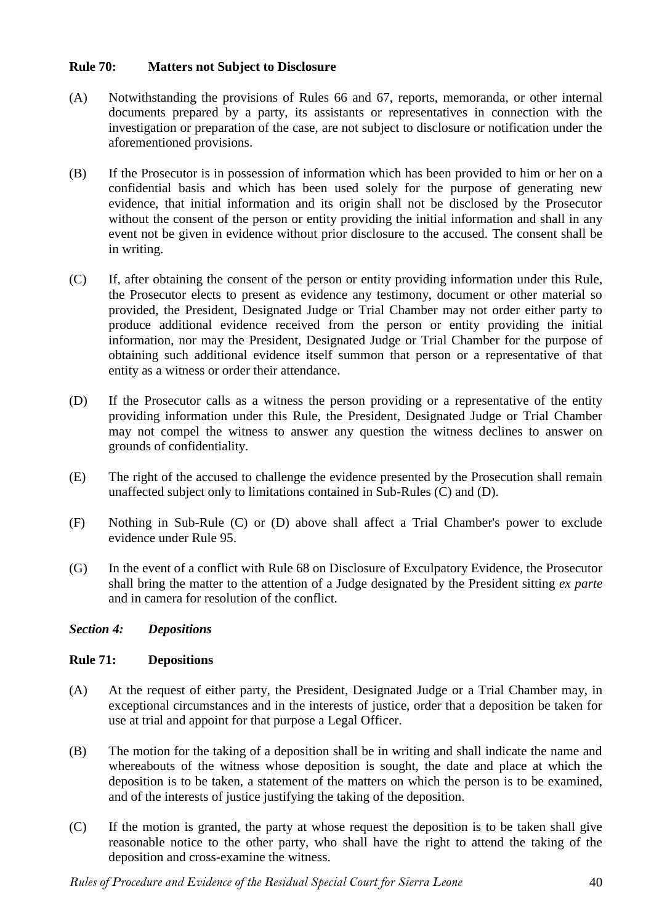# **Rule 70: Matters not Subject to Disclosure**

- (A) Notwithstanding the provisions of Rules 66 and 67, reports, memoranda, or other internal documents prepared by a party, its assistants or representatives in connection with the investigation or preparation of the case, are not subject to disclosure or notification under the aforementioned provisions.
- (B) If the Prosecutor is in possession of information which has been provided to him or her on a confidential basis and which has been used solely for the purpose of generating new evidence, that initial information and its origin shall not be disclosed by the Prosecutor without the consent of the person or entity providing the initial information and shall in any event not be given in evidence without prior disclosure to the accused. The consent shall be in writing.
- (C) If, after obtaining the consent of the person or entity providing information under this Rule, the Prosecutor elects to present as evidence any testimony, document or other material so provided, the President, Designated Judge or Trial Chamber may not order either party to produce additional evidence received from the person or entity providing the initial information, nor may the President, Designated Judge or Trial Chamber for the purpose of obtaining such additional evidence itself summon that person or a representative of that entity as a witness or order their attendance.
- (D) If the Prosecutor calls as a witness the person providing or a representative of the entity providing information under this Rule, the President, Designated Judge or Trial Chamber may not compel the witness to answer any question the witness declines to answer on grounds of confidentiality.
- (E) The right of the accused to challenge the evidence presented by the Prosecution shall remain unaffected subject only to limitations contained in Sub-Rules (C) and (D).
- (F) Nothing in Sub-Rule (C) or (D) above shall affect a Trial Chamber's power to exclude evidence under Rule 95.
- (G) In the event of a conflict with Rule 68 on Disclosure of Exculpatory Evidence, the Prosecutor shall bring the matter to the attention of a Judge designated by the President sitting *ex parte* and in camera for resolution of the conflict.

# *Section 4: Depositions*

# **Rule 71: Depositions**

- (A) At the request of either party, the President, Designated Judge or a Trial Chamber may, in exceptional circumstances and in the interests of justice, order that a deposition be taken for use at trial and appoint for that purpose a Legal Officer.
- (B) The motion for the taking of a deposition shall be in writing and shall indicate the name and whereabouts of the witness whose deposition is sought, the date and place at which the deposition is to be taken, a statement of the matters on which the person is to be examined, and of the interests of justice justifying the taking of the deposition.
- (C) If the motion is granted, the party at whose request the deposition is to be taken shall give reasonable notice to the other party, who shall have the right to attend the taking of the deposition and cross-examine the witness.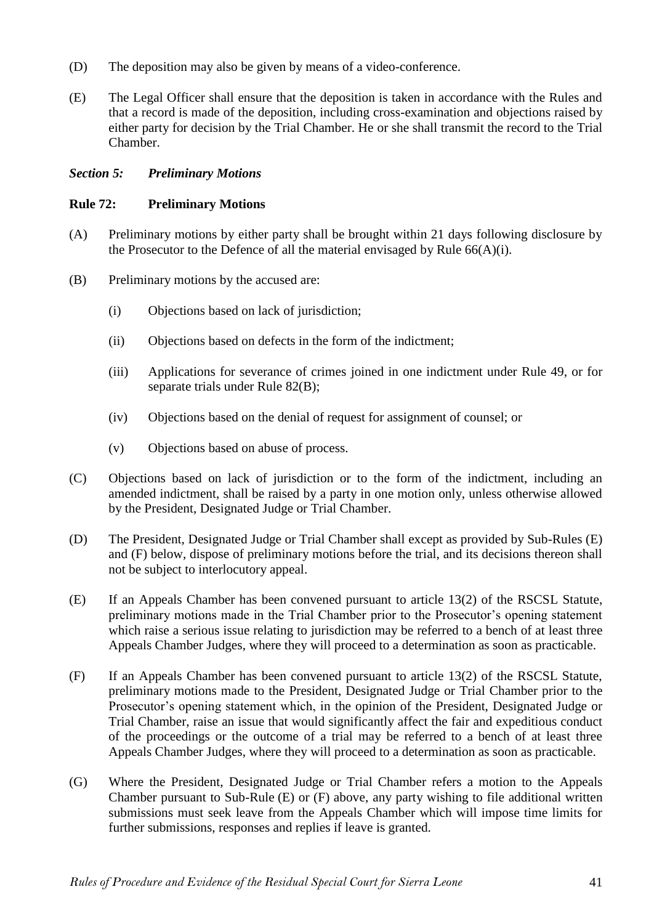- (D) The deposition may also be given by means of a video-conference.
- (E) The Legal Officer shall ensure that the deposition is taken in accordance with the Rules and that a record is made of the deposition, including cross-examination and objections raised by either party for decision by the Trial Chamber. He or she shall transmit the record to the Trial Chamber.

# *Section 5: Preliminary Motions*

### **Rule 72: Preliminary Motions**

- (A) Preliminary motions by either party shall be brought within 21 days following disclosure by the Prosecutor to the Defence of all the material envisaged by Rule  $66(A)(i)$ .
- (B) Preliminary motions by the accused are:
	- (i) Objections based on lack of jurisdiction;
	- (ii) Objections based on defects in the form of the indictment;
	- (iii) Applications for severance of crimes joined in one indictment under Rule 49, or for separate trials under Rule 82(B);
	- (iv) Objections based on the denial of request for assignment of counsel; or
	- (v) Objections based on abuse of process.
- (C) Objections based on lack of jurisdiction or to the form of the indictment, including an amended indictment, shall be raised by a party in one motion only, unless otherwise allowed by the President, Designated Judge or Trial Chamber.
- (D) The President, Designated Judge or Trial Chamber shall except as provided by Sub-Rules (E) and (F) below, dispose of preliminary motions before the trial, and its decisions thereon shall not be subject to interlocutory appeal.
- (E) If an Appeals Chamber has been convened pursuant to article 13(2) of the RSCSL Statute, preliminary motions made in the Trial Chamber prior to the Prosecutor's opening statement which raise a serious issue relating to jurisdiction may be referred to a bench of at least three Appeals Chamber Judges, where they will proceed to a determination as soon as practicable.
- (F) If an Appeals Chamber has been convened pursuant to article 13(2) of the RSCSL Statute, preliminary motions made to the President, Designated Judge or Trial Chamber prior to the Prosecutor's opening statement which, in the opinion of the President, Designated Judge or Trial Chamber, raise an issue that would significantly affect the fair and expeditious conduct of the proceedings or the outcome of a trial may be referred to a bench of at least three Appeals Chamber Judges, where they will proceed to a determination as soon as practicable.
- (G) Where the President, Designated Judge or Trial Chamber refers a motion to the Appeals Chamber pursuant to Sub-Rule (E) or (F) above, any party wishing to file additional written submissions must seek leave from the Appeals Chamber which will impose time limits for further submissions, responses and replies if leave is granted.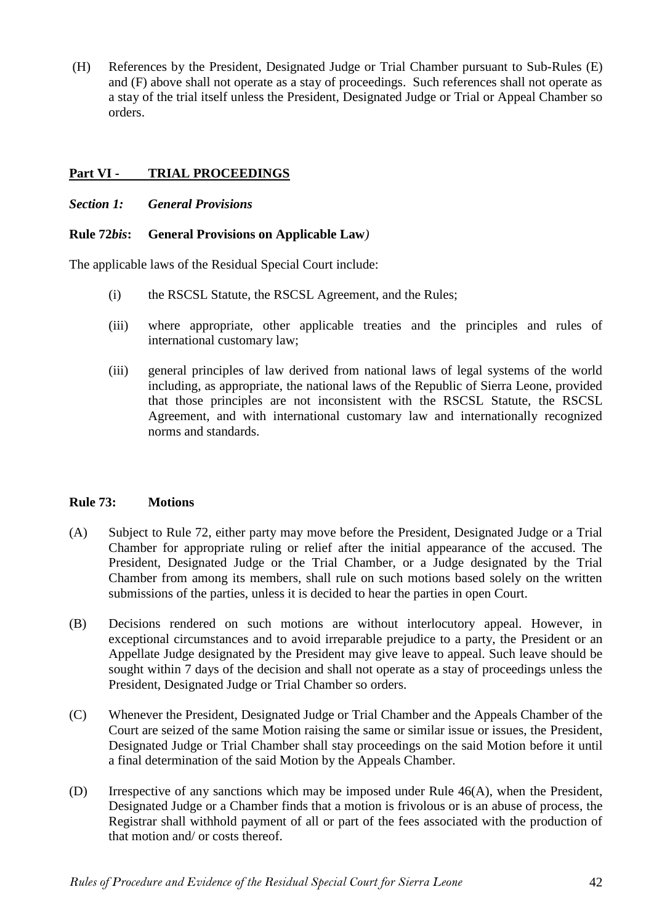(H) References by the President, Designated Judge or Trial Chamber pursuant to Sub-Rules (E) and (F) above shall not operate as a stay of proceedings. Such references shall not operate as a stay of the trial itself unless the President, Designated Judge or Trial or Appeal Chamber so orders.

# **Part VI - TRIAL PROCEEDINGS**

### *Section 1: General Provisions*

### **Rule 72***bis***: General Provisions on Applicable Law***)*

The applicable laws of the Residual Special Court include:

- (i) the RSCSL Statute, the RSCSL Agreement, and the Rules;
- (iii) where appropriate, other applicable treaties and the principles and rules of international customary law;
- (iii) general principles of law derived from national laws of legal systems of the world including, as appropriate, the national laws of the Republic of Sierra Leone, provided that those principles are not inconsistent with the RSCSL Statute, the RSCSL Agreement, and with international customary law and internationally recognized norms and standards.

# **Rule 73: Motions**

- (A) Subject to Rule 72, either party may move before the President, Designated Judge or a Trial Chamber for appropriate ruling or relief after the initial appearance of the accused. The President, Designated Judge or the Trial Chamber, or a Judge designated by the Trial Chamber from among its members, shall rule on such motions based solely on the written submissions of the parties, unless it is decided to hear the parties in open Court.
- (B) Decisions rendered on such motions are without interlocutory appeal. However, in exceptional circumstances and to avoid irreparable prejudice to a party, the President or an Appellate Judge designated by the President may give leave to appeal. Such leave should be sought within 7 days of the decision and shall not operate as a stay of proceedings unless the President, Designated Judge or Trial Chamber so orders.
- (C) Whenever the President, Designated Judge or Trial Chamber and the Appeals Chamber of the Court are seized of the same Motion raising the same or similar issue or issues, the President, Designated Judge or Trial Chamber shall stay proceedings on the said Motion before it until a final determination of the said Motion by the Appeals Chamber.
- (D) Irrespective of any sanctions which may be imposed under Rule 46(A), when the President, Designated Judge or a Chamber finds that a motion is frivolous or is an abuse of process, the Registrar shall withhold payment of all or part of the fees associated with the production of that motion and/ or costs thereof.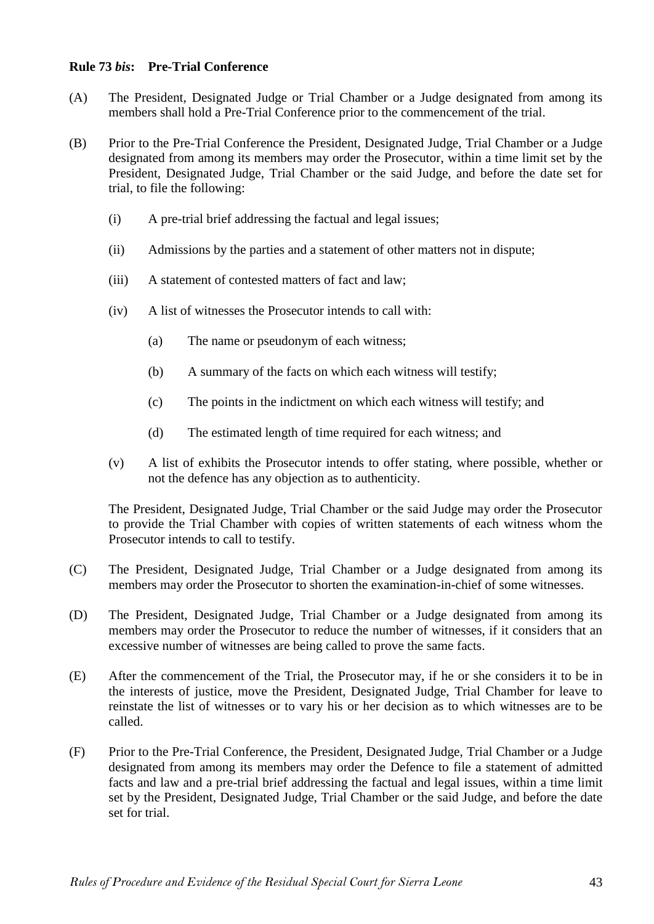### **Rule 73** *bis***: Pre-Trial Conference**

- (A) The President, Designated Judge or Trial Chamber or a Judge designated from among its members shall hold a Pre-Trial Conference prior to the commencement of the trial.
- (B) Prior to the Pre-Trial Conference the President, Designated Judge, Trial Chamber or a Judge designated from among its members may order the Prosecutor, within a time limit set by the President, Designated Judge, Trial Chamber or the said Judge, and before the date set for trial, to file the following:
	- (i) A pre-trial brief addressing the factual and legal issues;
	- (ii) Admissions by the parties and a statement of other matters not in dispute;
	- (iii) A statement of contested matters of fact and law;
	- (iv) A list of witnesses the Prosecutor intends to call with:
		- (a) The name or pseudonym of each witness;
		- (b) A summary of the facts on which each witness will testify;
		- (c) The points in the indictment on which each witness will testify; and
		- (d) The estimated length of time required for each witness; and
	- (v) A list of exhibits the Prosecutor intends to offer stating, where possible, whether or not the defence has any objection as to authenticity.

The President, Designated Judge, Trial Chamber or the said Judge may order the Prosecutor to provide the Trial Chamber with copies of written statements of each witness whom the Prosecutor intends to call to testify.

- (C) The President, Designated Judge, Trial Chamber or a Judge designated from among its members may order the Prosecutor to shorten the examination-in-chief of some witnesses.
- (D) The President, Designated Judge, Trial Chamber or a Judge designated from among its members may order the Prosecutor to reduce the number of witnesses, if it considers that an excessive number of witnesses are being called to prove the same facts.
- (E) After the commencement of the Trial, the Prosecutor may, if he or she considers it to be in the interests of justice, move the President, Designated Judge, Trial Chamber for leave to reinstate the list of witnesses or to vary his or her decision as to which witnesses are to be called.
- (F) Prior to the Pre-Trial Conference, the President, Designated Judge, Trial Chamber or a Judge designated from among its members may order the Defence to file a statement of admitted facts and law and a pre-trial brief addressing the factual and legal issues, within a time limit set by the President, Designated Judge, Trial Chamber or the said Judge, and before the date set for trial.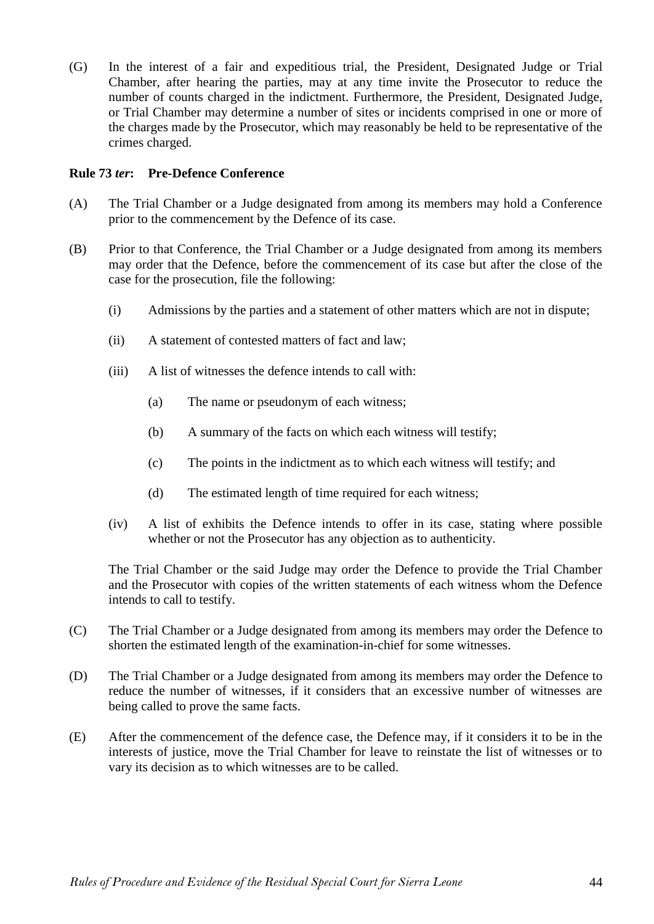(G) In the interest of a fair and expeditious trial, the President, Designated Judge or Trial Chamber, after hearing the parties, may at any time invite the Prosecutor to reduce the number of counts charged in the indictment. Furthermore, the President, Designated Judge, or Trial Chamber may determine a number of sites or incidents comprised in one or more of the charges made by the Prosecutor, which may reasonably be held to be representative of the crimes charged.

### **Rule 73** *ter***: Pre-Defence Conference**

- (A) The Trial Chamber or a Judge designated from among its members may hold a Conference prior to the commencement by the Defence of its case.
- (B) Prior to that Conference, the Trial Chamber or a Judge designated from among its members may order that the Defence, before the commencement of its case but after the close of the case for the prosecution, file the following:
	- (i) Admissions by the parties and a statement of other matters which are not in dispute;
	- (ii) A statement of contested matters of fact and law;
	- (iii) A list of witnesses the defence intends to call with:
		- (a) The name or pseudonym of each witness;
		- (b) A summary of the facts on which each witness will testify;
		- (c) The points in the indictment as to which each witness will testify; and
		- (d) The estimated length of time required for each witness;
	- (iv) A list of exhibits the Defence intends to offer in its case, stating where possible whether or not the Prosecutor has any objection as to authenticity.

The Trial Chamber or the said Judge may order the Defence to provide the Trial Chamber and the Prosecutor with copies of the written statements of each witness whom the Defence intends to call to testify.

- (C) The Trial Chamber or a Judge designated from among its members may order the Defence to shorten the estimated length of the examination-in-chief for some witnesses.
- (D) The Trial Chamber or a Judge designated from among its members may order the Defence to reduce the number of witnesses, if it considers that an excessive number of witnesses are being called to prove the same facts.
- (E) After the commencement of the defence case, the Defence may, if it considers it to be in the interests of justice, move the Trial Chamber for leave to reinstate the list of witnesses or to vary its decision as to which witnesses are to be called.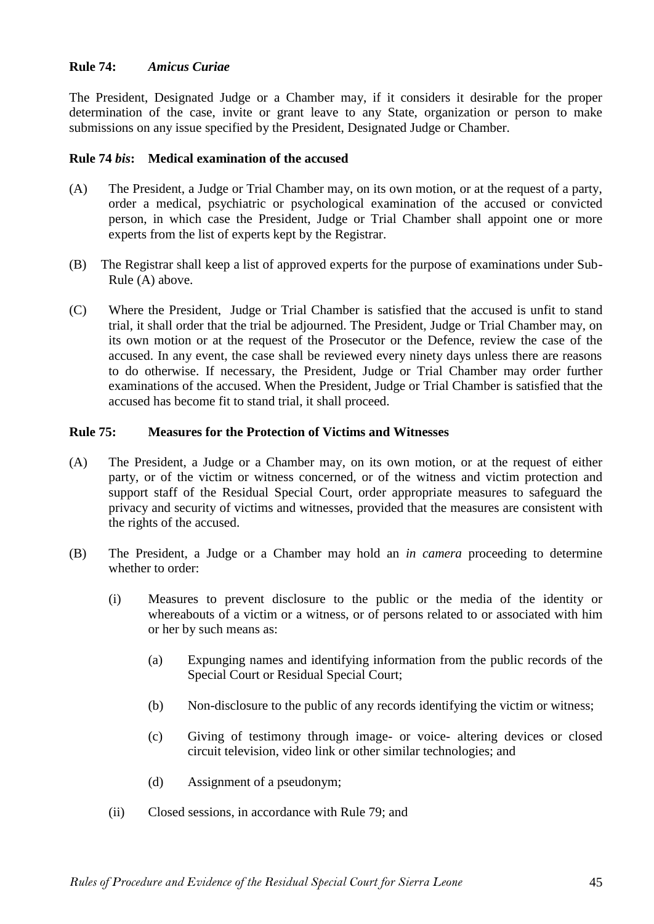### **Rule 74:** *Amicus Curiae*

The President, Designated Judge or a Chamber may, if it considers it desirable for the proper determination of the case, invite or grant leave to any State, organization or person to make submissions on any issue specified by the President, Designated Judge or Chamber.

### **Rule 74** *bis***: Medical examination of the accused**

- (A) The President, a Judge or Trial Chamber may, on its own motion, or at the request of a party, order a medical, psychiatric or psychological examination of the accused or convicted person, in which case the President, Judge or Trial Chamber shall appoint one or more experts from the list of experts kept by the Registrar.
- (B) The Registrar shall keep a list of approved experts for the purpose of examinations under Sub-Rule (A) above.
- (C) Where the President, Judge or Trial Chamber is satisfied that the accused is unfit to stand trial, it shall order that the trial be adjourned. The President, Judge or Trial Chamber may, on its own motion or at the request of the Prosecutor or the Defence, review the case of the accused. In any event, the case shall be reviewed every ninety days unless there are reasons to do otherwise. If necessary, the President, Judge or Trial Chamber may order further examinations of the accused. When the President, Judge or Trial Chamber is satisfied that the accused has become fit to stand trial, it shall proceed.

### **Rule 75: Measures for the Protection of Victims and Witnesses**

- (A) The President, a Judge or a Chamber may, on its own motion, or at the request of either party, or of the victim or witness concerned, or of the witness and victim protection and support staff of the Residual Special Court, order appropriate measures to safeguard the privacy and security of victims and witnesses, provided that the measures are consistent with the rights of the accused.
- (B) The President, a Judge or a Chamber may hold an *in camera* proceeding to determine whether to order:
	- (i) Measures to prevent disclosure to the public or the media of the identity or whereabouts of a victim or a witness, or of persons related to or associated with him or her by such means as:
		- (a) Expunging names and identifying information from the public records of the Special Court or Residual Special Court;
		- (b) Non-disclosure to the public of any records identifying the victim or witness;
		- (c) Giving of testimony through image- or voice- altering devices or closed circuit television, video link or other similar technologies; and
		- (d) Assignment of a pseudonym;
	- (ii) Closed sessions, in accordance with Rule 79; and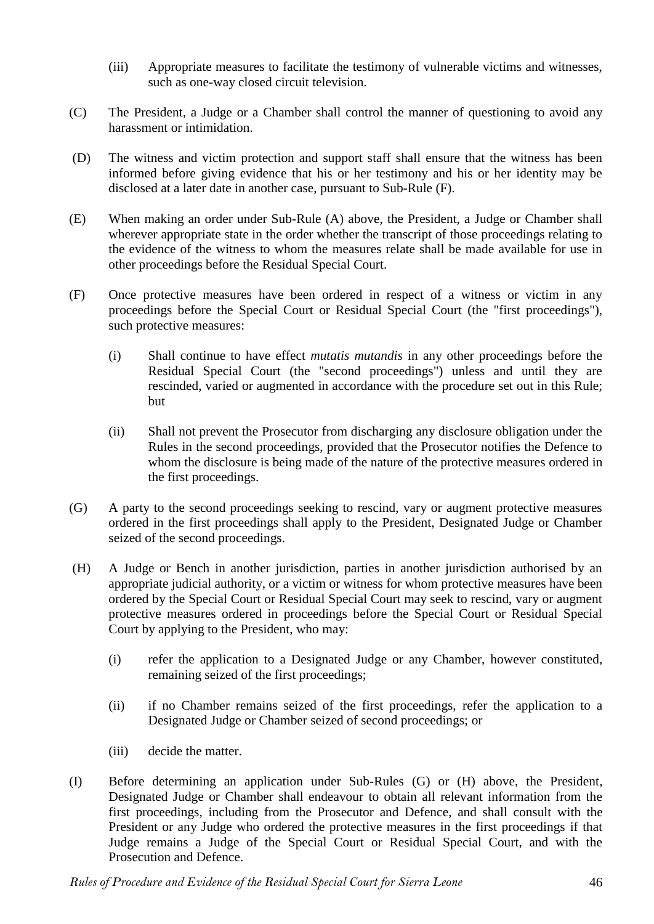- (iii) Appropriate measures to facilitate the testimony of vulnerable victims and witnesses, such as one-way closed circuit television.
- (C) The President, a Judge or a Chamber shall control the manner of questioning to avoid any harassment or intimidation.
- (D) The witness and victim protection and support staff shall ensure that the witness has been informed before giving evidence that his or her testimony and his or her identity may be disclosed at a later date in another case, pursuant to Sub-Rule (F).
- (E) When making an order under Sub-Rule (A) above, the President, a Judge or Chamber shall wherever appropriate state in the order whether the transcript of those proceedings relating to the evidence of the witness to whom the measures relate shall be made available for use in other proceedings before the Residual Special Court.
- (F) Once protective measures have been ordered in respect of a witness or victim in any proceedings before the Special Court or Residual Special Court (the "first proceedings"), such protective measures:
	- (i) Shall continue to have effect *mutatis mutandis* in any other proceedings before the Residual Special Court (the "second proceedings") unless and until they are rescinded, varied or augmented in accordance with the procedure set out in this Rule; but
	- (ii) Shall not prevent the Prosecutor from discharging any disclosure obligation under the Rules in the second proceedings, provided that the Prosecutor notifies the Defence to whom the disclosure is being made of the nature of the protective measures ordered in the first proceedings.
- (G) A party to the second proceedings seeking to rescind, vary or augment protective measures ordered in the first proceedings shall apply to the President, Designated Judge or Chamber seized of the second proceedings.
- (H) A Judge or Bench in another jurisdiction, parties in another jurisdiction authorised by an appropriate judicial authority, or a victim or witness for whom protective measures have been ordered by the Special Court or Residual Special Court may seek to rescind, vary or augment protective measures ordered in proceedings before the Special Court or Residual Special Court by applying to the President, who may:
	- (i) refer the application to a Designated Judge or any Chamber, however constituted, remaining seized of the first proceedings;
	- (ii) if no Chamber remains seized of the first proceedings, refer the application to a Designated Judge or Chamber seized of second proceedings; or
	- (iii) decide the matter.
- (I) Before determining an application under Sub-Rules (G) or (H) above, the President, Designated Judge or Chamber shall endeavour to obtain all relevant information from the first proceedings, including from the Prosecutor and Defence, and shall consult with the President or any Judge who ordered the protective measures in the first proceedings if that Judge remains a Judge of the Special Court or Residual Special Court, and with the Prosecution and Defence.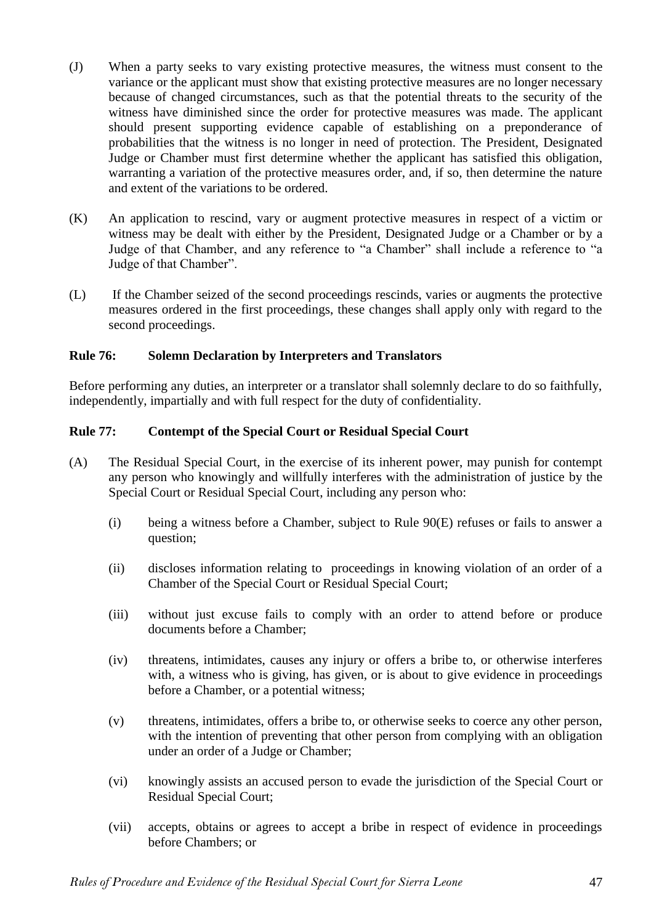- (J) When a party seeks to vary existing protective measures, the witness must consent to the variance or the applicant must show that existing protective measures are no longer necessary because of changed circumstances, such as that the potential threats to the security of the witness have diminished since the order for protective measures was made. The applicant should present supporting evidence capable of establishing on a preponderance of probabilities that the witness is no longer in need of protection. The President, Designated Judge or Chamber must first determine whether the applicant has satisfied this obligation, warranting a variation of the protective measures order, and, if so, then determine the nature and extent of the variations to be ordered.
- (K) An application to rescind, vary or augment protective measures in respect of a victim or witness may be dealt with either by the President, Designated Judge or a Chamber or by a Judge of that Chamber, and any reference to "a Chamber" shall include a reference to "a Judge of that Chamber".
- (L) If the Chamber seized of the second proceedings rescinds, varies or augments the protective measures ordered in the first proceedings, these changes shall apply only with regard to the second proceedings.

### **Rule 76: Solemn Declaration by Interpreters and Translators**

Before performing any duties, an interpreter or a translator shall solemnly declare to do so faithfully, independently, impartially and with full respect for the duty of confidentiality.

### **Rule 77: Contempt of the Special Court or Residual Special Court**

- (A) The Residual Special Court, in the exercise of its inherent power, may punish for contempt any person who knowingly and willfully interferes with the administration of justice by the Special Court or Residual Special Court, including any person who:
	- (i) being a witness before a Chamber, subject to Rule 90(E) refuses or fails to answer a question;
	- (ii) discloses information relating to proceedings in knowing violation of an order of a Chamber of the Special Court or Residual Special Court;
	- (iii) without just excuse fails to comply with an order to attend before or produce documents before a Chamber;
	- (iv) threatens, intimidates, causes any injury or offers a bribe to, or otherwise interferes with, a witness who is giving, has given, or is about to give evidence in proceedings before a Chamber, or a potential witness;
	- (v) threatens, intimidates, offers a bribe to, or otherwise seeks to coerce any other person, with the intention of preventing that other person from complying with an obligation under an order of a Judge or Chamber;
	- (vi) knowingly assists an accused person to evade the jurisdiction of the Special Court or Residual Special Court;
	- (vii) accepts, obtains or agrees to accept a bribe in respect of evidence in proceedings before Chambers; or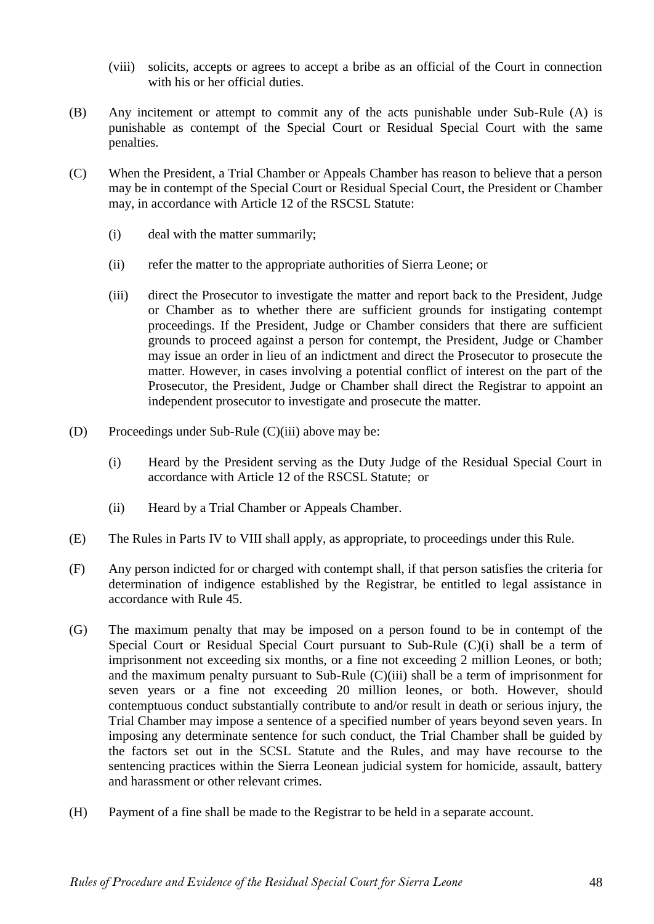- (viii) solicits, accepts or agrees to accept a bribe as an official of the Court in connection with his or her official duties.
- (B) Any incitement or attempt to commit any of the acts punishable under Sub-Rule (A) is punishable as contempt of the Special Court or Residual Special Court with the same penalties.
- (C) When the President, a Trial Chamber or Appeals Chamber has reason to believe that a person may be in contempt of the Special Court or Residual Special Court, the President or Chamber may, in accordance with Article 12 of the RSCSL Statute:
	- (i) deal with the matter summarily;
	- (ii) refer the matter to the appropriate authorities of Sierra Leone; or
	- (iii) direct the Prosecutor to investigate the matter and report back to the President, Judge or Chamber as to whether there are sufficient grounds for instigating contempt proceedings. If the President, Judge or Chamber considers that there are sufficient grounds to proceed against a person for contempt, the President, Judge or Chamber may issue an order in lieu of an indictment and direct the Prosecutor to prosecute the matter. However, in cases involving a potential conflict of interest on the part of the Prosecutor, the President, Judge or Chamber shall direct the Registrar to appoint an independent prosecutor to investigate and prosecute the matter.
- (D) Proceedings under Sub-Rule (C)(iii) above may be:
	- (i) Heard by the President serving as the Duty Judge of the Residual Special Court in accordance with Article 12 of the RSCSL Statute; or
	- (ii) Heard by a Trial Chamber or Appeals Chamber.
- (E) The Rules in Parts IV to VIII shall apply, as appropriate, to proceedings under this Rule.
- (F) Any person indicted for or charged with contempt shall, if that person satisfies the criteria for determination of indigence established by the Registrar, be entitled to legal assistance in accordance with Rule 45.
- (G) The maximum penalty that may be imposed on a person found to be in contempt of the Special Court or Residual Special Court pursuant to Sub-Rule (C)(i) shall be a term of imprisonment not exceeding six months, or a fine not exceeding 2 million Leones, or both; and the maximum penalty pursuant to Sub-Rule (C)(iii) shall be a term of imprisonment for seven years or a fine not exceeding 20 million leones, or both. However, should contemptuous conduct substantially contribute to and/or result in death or serious injury, the Trial Chamber may impose a sentence of a specified number of years beyond seven years. In imposing any determinate sentence for such conduct, the Trial Chamber shall be guided by the factors set out in the SCSL Statute and the Rules, and may have recourse to the sentencing practices within the Sierra Leonean judicial system for homicide, assault, battery and harassment or other relevant crimes.
- (H) Payment of a fine shall be made to the Registrar to be held in a separate account.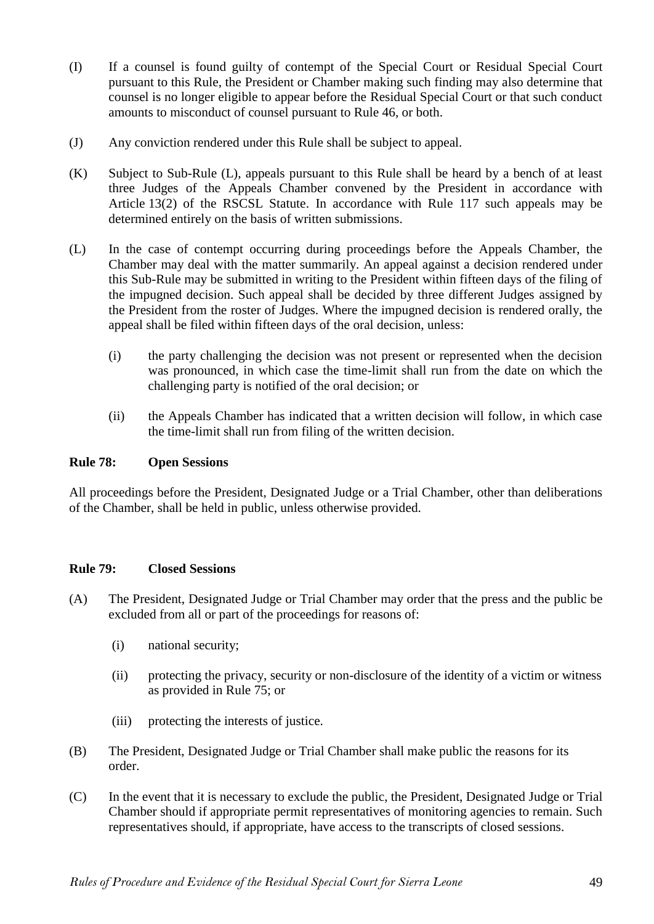- (I) If a counsel is found guilty of contempt of the Special Court or Residual Special Court pursuant to this Rule, the President or Chamber making such finding may also determine that counsel is no longer eligible to appear before the Residual Special Court or that such conduct amounts to misconduct of counsel pursuant to Rule 46, or both.
- (J) Any conviction rendered under this Rule shall be subject to appeal.
- (K) Subject to Sub-Rule (L), appeals pursuant to this Rule shall be heard by a bench of at least three Judges of the Appeals Chamber convened by the President in accordance with Article 13(2) of the RSCSL Statute. In accordance with Rule 117 such appeals may be determined entirely on the basis of written submissions.
- (L) In the case of contempt occurring during proceedings before the Appeals Chamber, the Chamber may deal with the matter summarily. An appeal against a decision rendered under this Sub-Rule may be submitted in writing to the President within fifteen days of the filing of the impugned decision. Such appeal shall be decided by three different Judges assigned by the President from the roster of Judges. Where the impugned decision is rendered orally, the appeal shall be filed within fifteen days of the oral decision, unless:
	- (i) the party challenging the decision was not present or represented when the decision was pronounced, in which case the time-limit shall run from the date on which the challenging party is notified of the oral decision; or
	- (ii) the Appeals Chamber has indicated that a written decision will follow, in which case the time-limit shall run from filing of the written decision.

### **Rule 78: Open Sessions**

All proceedings before the President, Designated Judge or a Trial Chamber, other than deliberations of the Chamber, shall be held in public, unless otherwise provided.

### **Rule 79: Closed Sessions**

- (A) The President, Designated Judge or Trial Chamber may order that the press and the public be excluded from all or part of the proceedings for reasons of:
	- (i) national security;
	- (ii) protecting the privacy, security or non-disclosure of the identity of a victim or witness as provided in Rule 75; or
	- (iii) protecting the interests of justice.
- (B) The President, Designated Judge or Trial Chamber shall make public the reasons for its order.
- (C) In the event that it is necessary to exclude the public, the President, Designated Judge or Trial Chamber should if appropriate permit representatives of monitoring agencies to remain. Such representatives should, if appropriate, have access to the transcripts of closed sessions.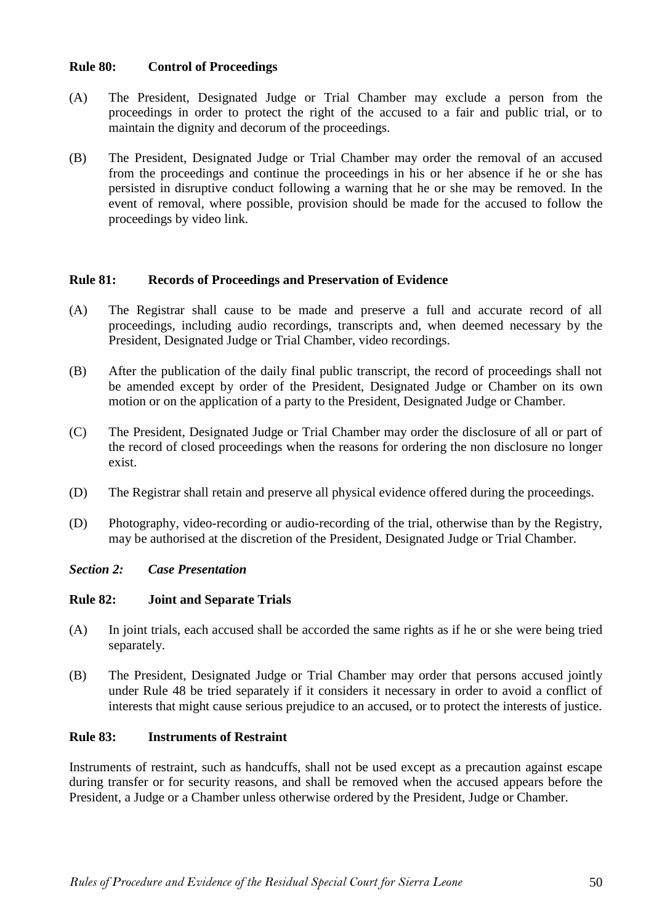### **Rule 80: Control of Proceedings**

- (A) The President, Designated Judge or Trial Chamber may exclude a person from the proceedings in order to protect the right of the accused to a fair and public trial, or to maintain the dignity and decorum of the proceedings.
- (B) The President, Designated Judge or Trial Chamber may order the removal of an accused from the proceedings and continue the proceedings in his or her absence if he or she has persisted in disruptive conduct following a warning that he or she may be removed. In the event of removal, where possible, provision should be made for the accused to follow the proceedings by video link.

### **Rule 81: Records of Proceedings and Preservation of Evidence**

- (A) The Registrar shall cause to be made and preserve a full and accurate record of all proceedings, including audio recordings, transcripts and, when deemed necessary by the President, Designated Judge or Trial Chamber, video recordings.
- (B) After the publication of the daily final public transcript, the record of proceedings shall not be amended except by order of the President, Designated Judge or Chamber on its own motion or on the application of a party to the President, Designated Judge or Chamber.
- (C) The President, Designated Judge or Trial Chamber may order the disclosure of all or part of the record of closed proceedings when the reasons for ordering the non disclosure no longer exist.
- (D) The Registrar shall retain and preserve all physical evidence offered during the proceedings.
- (D) Photography, video-recording or audio-recording of the trial, otherwise than by the Registry, may be authorised at the discretion of the President, Designated Judge or Trial Chamber.

# *Section 2: Case Presentation*

# **Rule 82: Joint and Separate Trials**

- (A) In joint trials, each accused shall be accorded the same rights as if he or she were being tried separately.
- (B) The President, Designated Judge or Trial Chamber may order that persons accused jointly under Rule 48 be tried separately if it considers it necessary in order to avoid a conflict of interests that might cause serious prejudice to an accused, or to protect the interests of justice.

### **Rule 83: Instruments of Restraint**

Instruments of restraint, such as handcuffs, shall not be used except as a precaution against escape during transfer or for security reasons, and shall be removed when the accused appears before the President, a Judge or a Chamber unless otherwise ordered by the President, Judge or Chamber.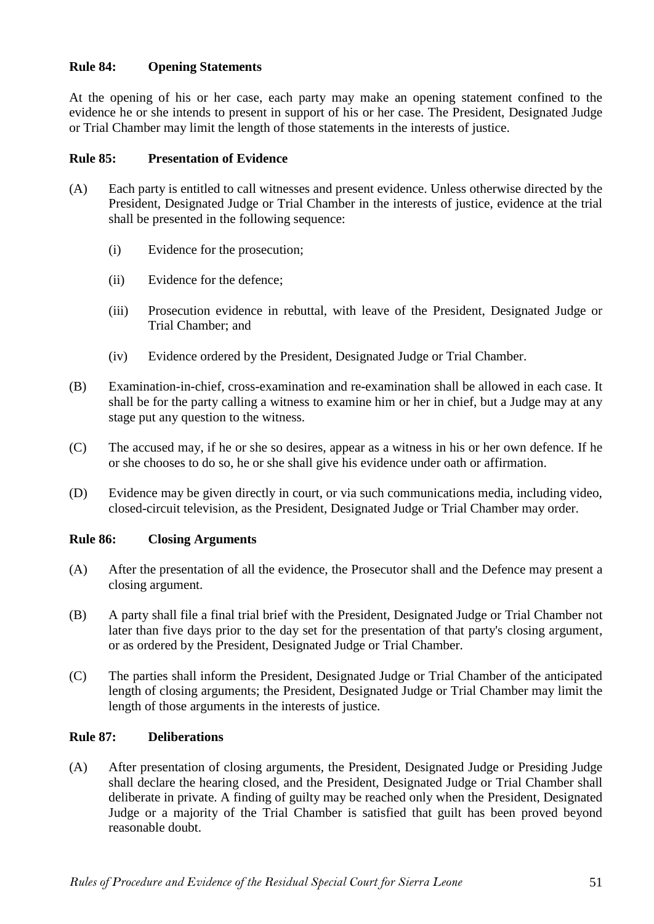# **Rule 84: Opening Statements**

At the opening of his or her case, each party may make an opening statement confined to the evidence he or she intends to present in support of his or her case. The President, Designated Judge or Trial Chamber may limit the length of those statements in the interests of justice.

### **Rule 85: Presentation of Evidence**

- (A) Each party is entitled to call witnesses and present evidence. Unless otherwise directed by the President, Designated Judge or Trial Chamber in the interests of justice, evidence at the trial shall be presented in the following sequence:
	- (i) Evidence for the prosecution;
	- (ii) Evidence for the defence;
	- (iii) Prosecution evidence in rebuttal, with leave of the President, Designated Judge or Trial Chamber; and
	- (iv) Evidence ordered by the President, Designated Judge or Trial Chamber.
- (B) Examination-in-chief, cross-examination and re-examination shall be allowed in each case. It shall be for the party calling a witness to examine him or her in chief, but a Judge may at any stage put any question to the witness.
- (C) The accused may, if he or she so desires, appear as a witness in his or her own defence. If he or she chooses to do so, he or she shall give his evidence under oath or affirmation.
- (D) Evidence may be given directly in court, or via such communications media, including video, closed-circuit television, as the President, Designated Judge or Trial Chamber may order.

### **Rule 86: Closing Arguments**

- (A) After the presentation of all the evidence, the Prosecutor shall and the Defence may present a closing argument.
- (B) A party shall file a final trial brief with the President, Designated Judge or Trial Chamber not later than five days prior to the day set for the presentation of that party's closing argument, or as ordered by the President, Designated Judge or Trial Chamber.
- (C) The parties shall inform the President, Designated Judge or Trial Chamber of the anticipated length of closing arguments; the President, Designated Judge or Trial Chamber may limit the length of those arguments in the interests of justice.

### **Rule 87: Deliberations**

(A) After presentation of closing arguments, the President, Designated Judge or Presiding Judge shall declare the hearing closed, and the President, Designated Judge or Trial Chamber shall deliberate in private. A finding of guilty may be reached only when the President, Designated Judge or a majority of the Trial Chamber is satisfied that guilt has been proved beyond reasonable doubt.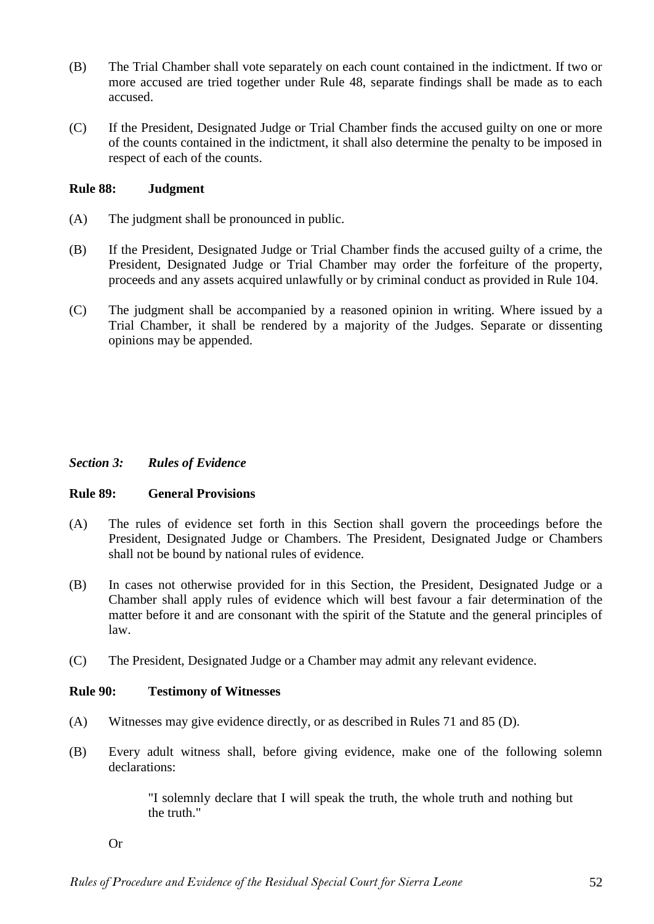- (B) The Trial Chamber shall vote separately on each count contained in the indictment. If two or more accused are tried together under Rule 48, separate findings shall be made as to each accused.
- (C) If the President, Designated Judge or Trial Chamber finds the accused guilty on one or more of the counts contained in the indictment, it shall also determine the penalty to be imposed in respect of each of the counts.

### **Rule 88: Judgment**

- (A) The judgment shall be pronounced in public.
- (B) If the President, Designated Judge or Trial Chamber finds the accused guilty of a crime, the President, Designated Judge or Trial Chamber may order the forfeiture of the property, proceeds and any assets acquired unlawfully or by criminal conduct as provided in Rule 104.
- (C) The judgment shall be accompanied by a reasoned opinion in writing. Where issued by a Trial Chamber, it shall be rendered by a majority of the Judges. Separate or dissenting opinions may be appended.

# *Section 3: Rules of Evidence*

### **Rule 89: General Provisions**

- (A) The rules of evidence set forth in this Section shall govern the proceedings before the President, Designated Judge or Chambers. The President, Designated Judge or Chambers shall not be bound by national rules of evidence.
- (B) In cases not otherwise provided for in this Section, the President, Designated Judge or a Chamber shall apply rules of evidence which will best favour a fair determination of the matter before it and are consonant with the spirit of the Statute and the general principles of law.
- (C) The President, Designated Judge or a Chamber may admit any relevant evidence.

### **Rule 90: Testimony of Witnesses**

- (A) Witnesses may give evidence directly, or as described in Rules 71 and 85 (D).
- (B) Every adult witness shall, before giving evidence, make one of the following solemn declarations:

"I solemnly declare that I will speak the truth, the whole truth and nothing but the truth."

Or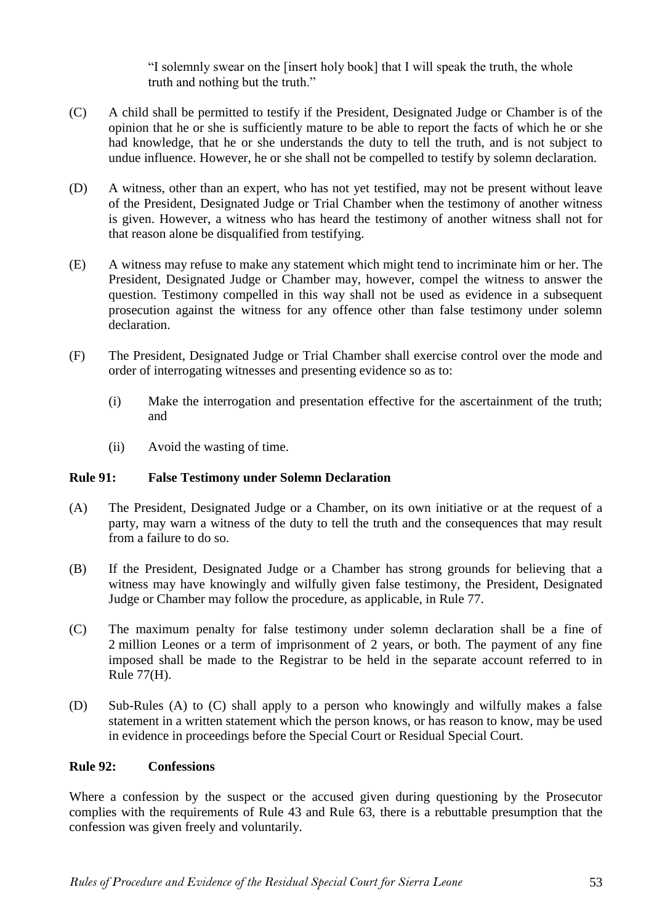"I solemnly swear on the [insert holy book] that I will speak the truth, the whole truth and nothing but the truth."

- (C) A child shall be permitted to testify if the President, Designated Judge or Chamber is of the opinion that he or she is sufficiently mature to be able to report the facts of which he or she had knowledge, that he or she understands the duty to tell the truth, and is not subject to undue influence. However, he or she shall not be compelled to testify by solemn declaration.
- (D) A witness, other than an expert, who has not yet testified, may not be present without leave of the President, Designated Judge or Trial Chamber when the testimony of another witness is given. However, a witness who has heard the testimony of another witness shall not for that reason alone be disqualified from testifying.
- (E) A witness may refuse to make any statement which might tend to incriminate him or her. The President, Designated Judge or Chamber may, however, compel the witness to answer the question. Testimony compelled in this way shall not be used as evidence in a subsequent prosecution against the witness for any offence other than false testimony under solemn declaration.
- (F) The President, Designated Judge or Trial Chamber shall exercise control over the mode and order of interrogating witnesses and presenting evidence so as to:
	- (i) Make the interrogation and presentation effective for the ascertainment of the truth; and
	- (ii) Avoid the wasting of time.

# **Rule 91: False Testimony under Solemn Declaration**

- (A) The President, Designated Judge or a Chamber, on its own initiative or at the request of a party, may warn a witness of the duty to tell the truth and the consequences that may result from a failure to do so.
- (B) If the President, Designated Judge or a Chamber has strong grounds for believing that a witness may have knowingly and wilfully given false testimony, the President, Designated Judge or Chamber may follow the procedure, as applicable, in Rule 77.
- (C) The maximum penalty for false testimony under solemn declaration shall be a fine of 2 million Leones or a term of imprisonment of 2 years, or both. The payment of any fine imposed shall be made to the Registrar to be held in the separate account referred to in Rule 77(H).
- (D) Sub-Rules (A) to (C) shall apply to a person who knowingly and wilfully makes a false statement in a written statement which the person knows, or has reason to know, may be used in evidence in proceedings before the Special Court or Residual Special Court.

### **Rule 92: Confessions**

Where a confession by the suspect or the accused given during questioning by the Prosecutor complies with the requirements of Rule 43 and Rule 63, there is a rebuttable presumption that the confession was given freely and voluntarily.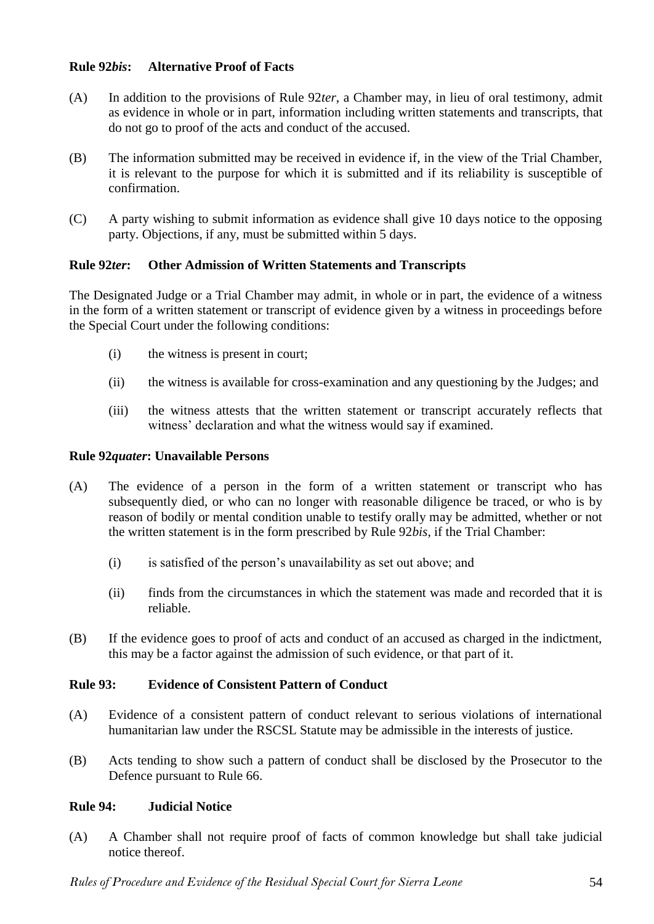# **Rule 92***bis***: Alternative Proof of Facts**

- (A) In addition to the provisions of Rule 92*ter*, a Chamber may, in lieu of oral testimony, admit as evidence in whole or in part, information including written statements and transcripts, that do not go to proof of the acts and conduct of the accused.
- (B) The information submitted may be received in evidence if, in the view of the Trial Chamber, it is relevant to the purpose for which it is submitted and if its reliability is susceptible of confirmation.
- (C) A party wishing to submit information as evidence shall give 10 days notice to the opposing party. Objections, if any, must be submitted within 5 days.

### **Rule 92***ter***: Other Admission of Written Statements and Transcripts**

The Designated Judge or a Trial Chamber may admit, in whole or in part, the evidence of a witness in the form of a written statement or transcript of evidence given by a witness in proceedings before the Special Court under the following conditions:

- (i) the witness is present in court;
- (ii) the witness is available for cross-examination and any questioning by the Judges; and
- (iii) the witness attests that the written statement or transcript accurately reflects that witness' declaration and what the witness would say if examined.

### **Rule 92***quater***: Unavailable Persons**

- (A) The evidence of a person in the form of a written statement or transcript who has subsequently died, or who can no longer with reasonable diligence be traced, or who is by reason of bodily or mental condition unable to testify orally may be admitted, whether or not the written statement is in the form prescribed by Rule 92*bis*, if the Trial Chamber:
	- (i) is satisfied of the person's unavailability as set out above; and
	- (ii) finds from the circumstances in which the statement was made and recorded that it is reliable.
- (B) If the evidence goes to proof of acts and conduct of an accused as charged in the indictment, this may be a factor against the admission of such evidence, or that part of it.

### **Rule 93: Evidence of Consistent Pattern of Conduct**

- (A) Evidence of a consistent pattern of conduct relevant to serious violations of international humanitarian law under the RSCSL Statute may be admissible in the interests of justice.
- (B) Acts tending to show such a pattern of conduct shall be disclosed by the Prosecutor to the Defence pursuant to Rule 66.

### **Rule 94: Judicial Notice**

(A) A Chamber shall not require proof of facts of common knowledge but shall take judicial notice thereof.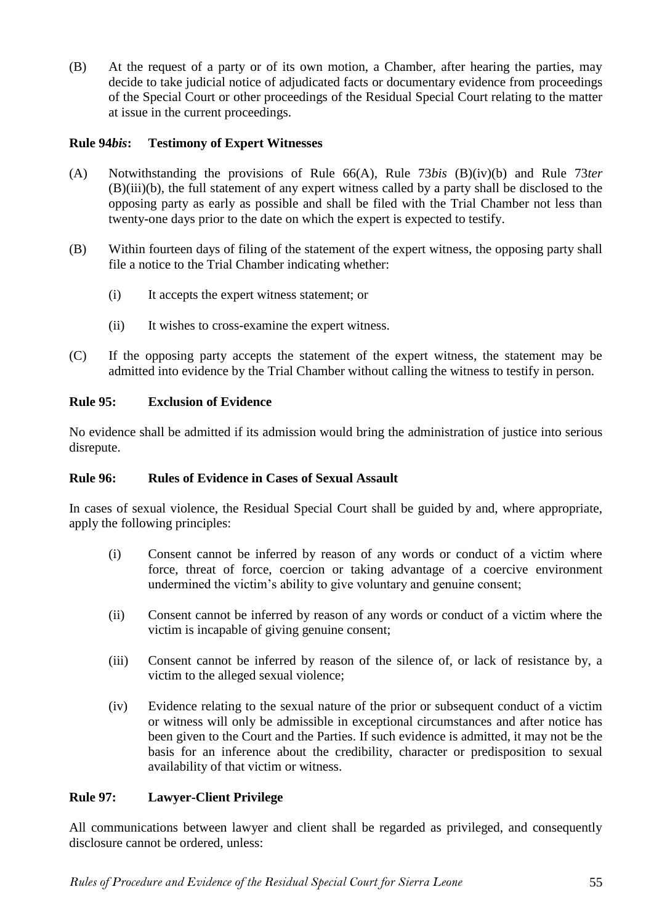(B) At the request of a party or of its own motion, a Chamber, after hearing the parties, may decide to take judicial notice of adjudicated facts or documentary evidence from proceedings of the Special Court or other proceedings of the Residual Special Court relating to the matter at issue in the current proceedings.

# **Rule 94***bis***: Testimony of Expert Witnesses**

- (A) Notwithstanding the provisions of Rule 66(A), Rule 73*bis* (B)(iv)(b) and Rule 73*ter* (B)(iii)(b), the full statement of any expert witness called by a party shall be disclosed to the opposing party as early as possible and shall be filed with the Trial Chamber not less than twenty-one days prior to the date on which the expert is expected to testify.
- (B) Within fourteen days of filing of the statement of the expert witness, the opposing party shall file a notice to the Trial Chamber indicating whether:
	- (i) It accepts the expert witness statement; or
	- (ii) It wishes to cross-examine the expert witness.
- (C) If the opposing party accepts the statement of the expert witness, the statement may be admitted into evidence by the Trial Chamber without calling the witness to testify in person.

### **Rule 95: Exclusion of Evidence**

No evidence shall be admitted if its admission would bring the administration of justice into serious disrepute.

### **Rule 96: Rules of Evidence in Cases of Sexual Assault**

In cases of sexual violence, the Residual Special Court shall be guided by and, where appropriate, apply the following principles:

- (i) Consent cannot be inferred by reason of any words or conduct of a victim where force, threat of force, coercion or taking advantage of a coercive environment undermined the victim's ability to give voluntary and genuine consent;
- (ii) Consent cannot be inferred by reason of any words or conduct of a victim where the victim is incapable of giving genuine consent;
- (iii) Consent cannot be inferred by reason of the silence of, or lack of resistance by, a victim to the alleged sexual violence;
- (iv) Evidence relating to the sexual nature of the prior or subsequent conduct of a victim or witness will only be admissible in exceptional circumstances and after notice has been given to the Court and the Parties. If such evidence is admitted, it may not be the basis for an inference about the credibility, character or predisposition to sexual availability of that victim or witness.

### **Rule 97: Lawyer-Client Privilege**

All communications between lawyer and client shall be regarded as privileged, and consequently disclosure cannot be ordered, unless: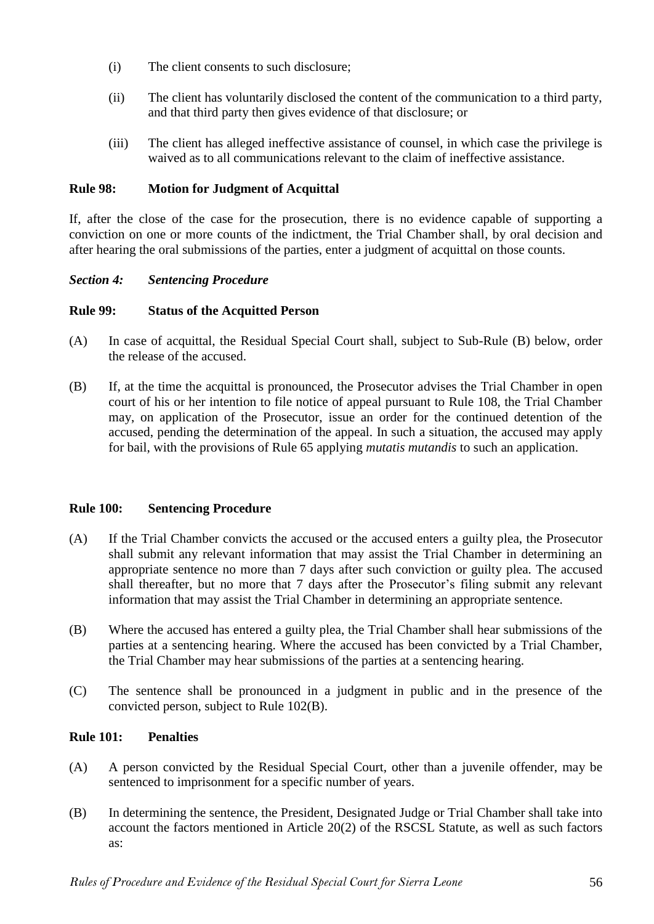- (i) The client consents to such disclosure;
- (ii) The client has voluntarily disclosed the content of the communication to a third party, and that third party then gives evidence of that disclosure; or
- (iii) The client has alleged ineffective assistance of counsel, in which case the privilege is waived as to all communications relevant to the claim of ineffective assistance.

### **Rule 98: Motion for Judgment of Acquittal**

If, after the close of the case for the prosecution, there is no evidence capable of supporting a conviction on one or more counts of the indictment, the Trial Chamber shall, by oral decision and after hearing the oral submissions of the parties, enter a judgment of acquittal on those counts.

### *Section 4: Sentencing Procedure*

### **Rule 99: Status of the Acquitted Person**

- (A) In case of acquittal, the Residual Special Court shall, subject to Sub-Rule (B) below, order the release of the accused.
- (B) If, at the time the acquittal is pronounced, the Prosecutor advises the Trial Chamber in open court of his or her intention to file notice of appeal pursuant to Rule 108, the Trial Chamber may, on application of the Prosecutor, issue an order for the continued detention of the accused, pending the determination of the appeal. In such a situation, the accused may apply for bail, with the provisions of Rule 65 applying *mutatis mutandis* to such an application.

### **Rule 100: Sentencing Procedure**

- (A) If the Trial Chamber convicts the accused or the accused enters a guilty plea, the Prosecutor shall submit any relevant information that may assist the Trial Chamber in determining an appropriate sentence no more than 7 days after such conviction or guilty plea. The accused shall thereafter, but no more that 7 days after the Prosecutor's filing submit any relevant information that may assist the Trial Chamber in determining an appropriate sentence.
- (B) Where the accused has entered a guilty plea, the Trial Chamber shall hear submissions of the parties at a sentencing hearing. Where the accused has been convicted by a Trial Chamber, the Trial Chamber may hear submissions of the parties at a sentencing hearing.
- (C) The sentence shall be pronounced in a judgment in public and in the presence of the convicted person, subject to Rule 102(B).

### **Rule 101: Penalties**

- (A) A person convicted by the Residual Special Court, other than a juvenile offender, may be sentenced to imprisonment for a specific number of years.
- (B) In determining the sentence, the President, Designated Judge or Trial Chamber shall take into account the factors mentioned in Article 20(2) of the RSCSL Statute, as well as such factors as: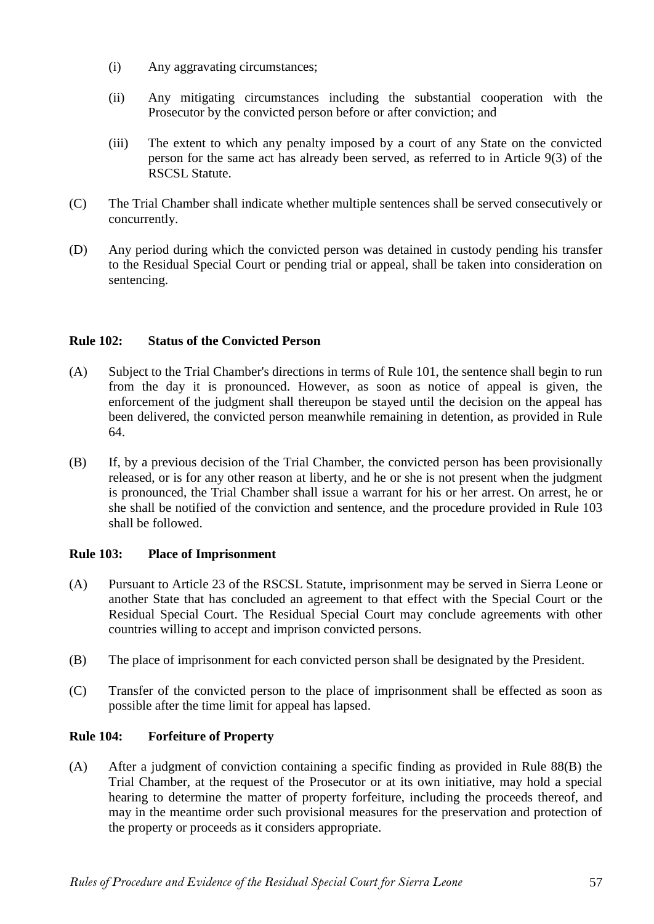- (i) Any aggravating circumstances;
- (ii) Any mitigating circumstances including the substantial cooperation with the Prosecutor by the convicted person before or after conviction; and
- (iii) The extent to which any penalty imposed by a court of any State on the convicted person for the same act has already been served, as referred to in Article 9(3) of the RSCSL Statute.
- (C) The Trial Chamber shall indicate whether multiple sentences shall be served consecutively or concurrently.
- (D) Any period during which the convicted person was detained in custody pending his transfer to the Residual Special Court or pending trial or appeal, shall be taken into consideration on sentencing.

### **Rule 102: Status of the Convicted Person**

- (A) Subject to the Trial Chamber's directions in terms of Rule 101, the sentence shall begin to run from the day it is pronounced. However, as soon as notice of appeal is given, the enforcement of the judgment shall thereupon be stayed until the decision on the appeal has been delivered, the convicted person meanwhile remaining in detention, as provided in Rule 64.
- (B) If, by a previous decision of the Trial Chamber, the convicted person has been provisionally released, or is for any other reason at liberty, and he or she is not present when the judgment is pronounced, the Trial Chamber shall issue a warrant for his or her arrest. On arrest, he or she shall be notified of the conviction and sentence, and the procedure provided in Rule 103 shall be followed.

### **Rule 103: Place of Imprisonment**

- (A) Pursuant to Article 23 of the RSCSL Statute, imprisonment may be served in Sierra Leone or another State that has concluded an agreement to that effect with the Special Court or the Residual Special Court. The Residual Special Court may conclude agreements with other countries willing to accept and imprison convicted persons.
- (B) The place of imprisonment for each convicted person shall be designated by the President.
- (C) Transfer of the convicted person to the place of imprisonment shall be effected as soon as possible after the time limit for appeal has lapsed.

### **Rule 104: Forfeiture of Property**

(A) After a judgment of conviction containing a specific finding as provided in Rule 88(B) the Trial Chamber, at the request of the Prosecutor or at its own initiative, may hold a special hearing to determine the matter of property forfeiture, including the proceeds thereof, and may in the meantime order such provisional measures for the preservation and protection of the property or proceeds as it considers appropriate.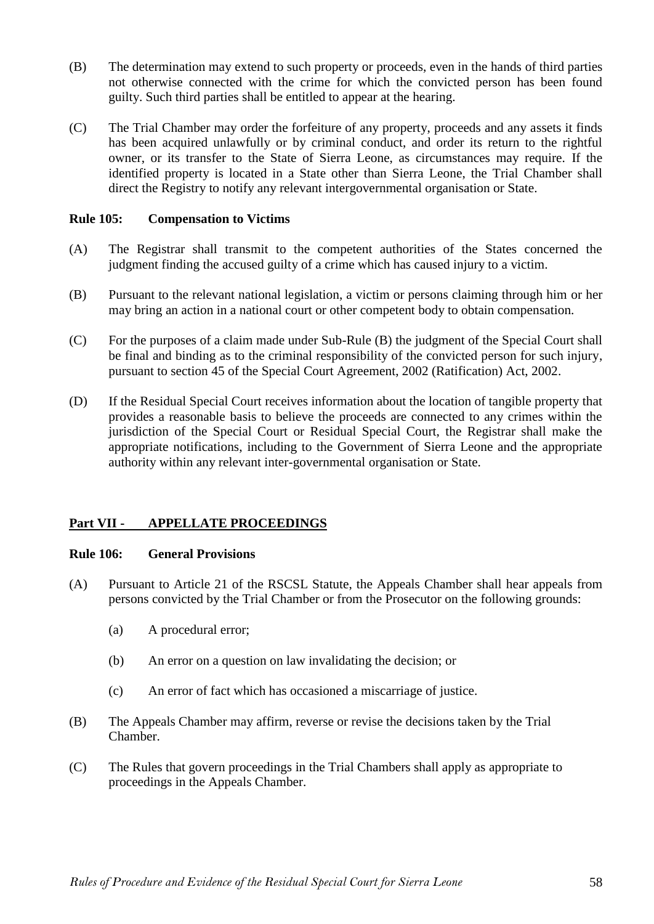- (B) The determination may extend to such property or proceeds, even in the hands of third parties not otherwise connected with the crime for which the convicted person has been found guilty. Such third parties shall be entitled to appear at the hearing.
- (C) The Trial Chamber may order the forfeiture of any property, proceeds and any assets it finds has been acquired unlawfully or by criminal conduct, and order its return to the rightful owner, or its transfer to the State of Sierra Leone, as circumstances may require. If the identified property is located in a State other than Sierra Leone, the Trial Chamber shall direct the Registry to notify any relevant intergovernmental organisation or State.

### **Rule 105: Compensation to Victims**

- (A) The Registrar shall transmit to the competent authorities of the States concerned the judgment finding the accused guilty of a crime which has caused injury to a victim.
- (B) Pursuant to the relevant national legislation, a victim or persons claiming through him or her may bring an action in a national court or other competent body to obtain compensation.
- (C) For the purposes of a claim made under Sub-Rule (B) the judgment of the Special Court shall be final and binding as to the criminal responsibility of the convicted person for such injury, pursuant to section 45 of the Special Court Agreement, 2002 (Ratification) Act, 2002.
- (D) If the Residual Special Court receives information about the location of tangible property that provides a reasonable basis to believe the proceeds are connected to any crimes within the jurisdiction of the Special Court or Residual Special Court, the Registrar shall make the appropriate notifications, including to the Government of Sierra Leone and the appropriate authority within any relevant inter-governmental organisation or State.

### **Part VII - APPELLATE PROCEEDINGS**

### **Rule 106: General Provisions**

- (A) Pursuant to Article 21 of the RSCSL Statute, the Appeals Chamber shall hear appeals from persons convicted by the Trial Chamber or from the Prosecutor on the following grounds:
	- (a) A procedural error;
	- (b) An error on a question on law invalidating the decision; or
	- (c) An error of fact which has occasioned a miscarriage of justice.
- (B) The Appeals Chamber may affirm, reverse or revise the decisions taken by the Trial Chamber.
- (C) The Rules that govern proceedings in the Trial Chambers shall apply as appropriate to proceedings in the Appeals Chamber.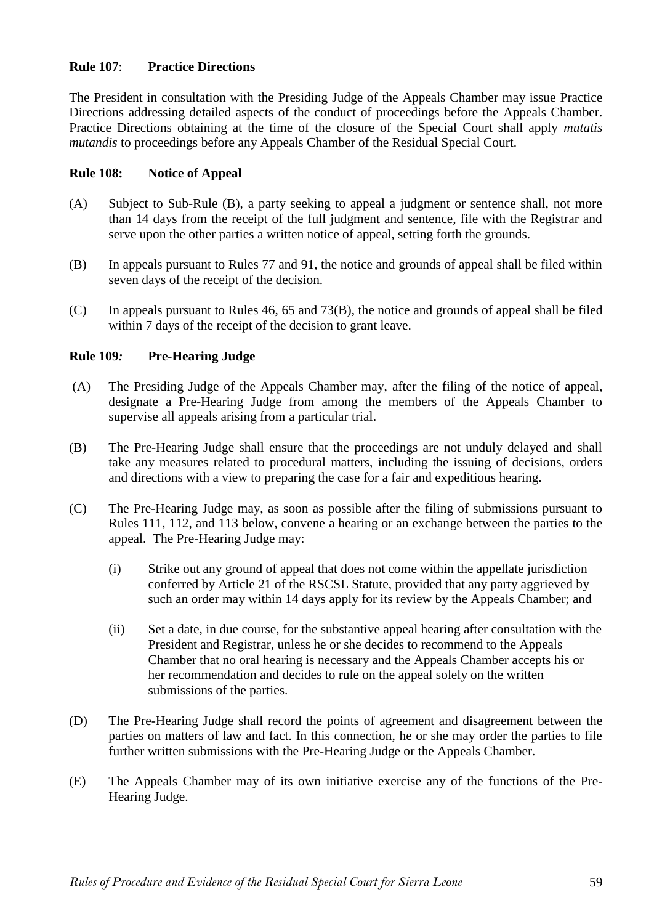# **Rule 107**: **Practice Directions**

The President in consultation with the Presiding Judge of the Appeals Chamber may issue Practice Directions addressing detailed aspects of the conduct of proceedings before the Appeals Chamber. Practice Directions obtaining at the time of the closure of the Special Court shall apply *mutatis mutandis* to proceedings before any Appeals Chamber of the Residual Special Court.

### **Rule 108: Notice of Appeal**

- (A) Subject to Sub-Rule (B), a party seeking to appeal a judgment or sentence shall, not more than 14 days from the receipt of the full judgment and sentence, file with the Registrar and serve upon the other parties a written notice of appeal, setting forth the grounds.
- (B) In appeals pursuant to Rules 77 and 91, the notice and grounds of appeal shall be filed within seven days of the receipt of the decision.
- (C) In appeals pursuant to Rules 46, 65 and 73(B), the notice and grounds of appeal shall be filed within 7 days of the receipt of the decision to grant leave.

### **Rule 109***:* **Pre-Hearing Judge**

- (A) The Presiding Judge of the Appeals Chamber may, after the filing of the notice of appeal, designate a Pre-Hearing Judge from among the members of the Appeals Chamber to supervise all appeals arising from a particular trial.
- (B) The Pre-Hearing Judge shall ensure that the proceedings are not unduly delayed and shall take any measures related to procedural matters, including the issuing of decisions, orders and directions with a view to preparing the case for a fair and expeditious hearing.
- (C) The Pre-Hearing Judge may, as soon as possible after the filing of submissions pursuant to Rules 111, 112, and 113 below, convene a hearing or an exchange between the parties to the appeal. The Pre-Hearing Judge may:
	- (i) Strike out any ground of appeal that does not come within the appellate jurisdiction conferred by Article 21 of the RSCSL Statute, provided that any party aggrieved by such an order may within 14 days apply for its review by the Appeals Chamber; and
	- (ii) Set a date, in due course, for the substantive appeal hearing after consultation with the President and Registrar, unless he or she decides to recommend to the Appeals Chamber that no oral hearing is necessary and the Appeals Chamber accepts his or her recommendation and decides to rule on the appeal solely on the written submissions of the parties.
- (D) The Pre-Hearing Judge shall record the points of agreement and disagreement between the parties on matters of law and fact. In this connection, he or she may order the parties to file further written submissions with the Pre-Hearing Judge or the Appeals Chamber.
- (E) The Appeals Chamber may of its own initiative exercise any of the functions of the Pre-Hearing Judge.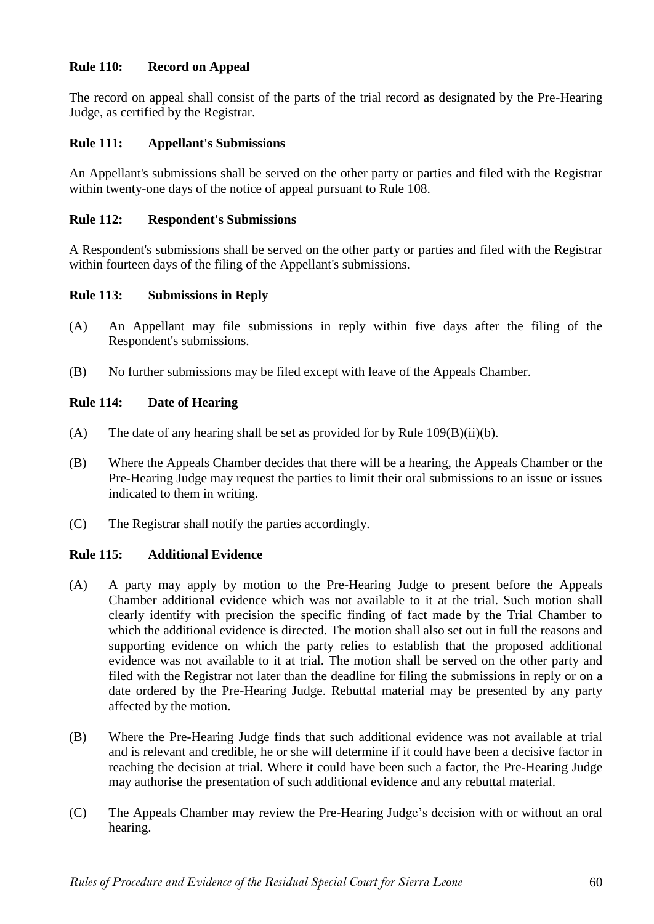# **Rule 110: Record on Appeal**

The record on appeal shall consist of the parts of the trial record as designated by the Pre-Hearing Judge, as certified by the Registrar.

# **Rule 111: Appellant's Submissions**

An Appellant's submissions shall be served on the other party or parties and filed with the Registrar within twenty-one days of the notice of appeal pursuant to Rule 108.

### **Rule 112: Respondent's Submissions**

A Respondent's submissions shall be served on the other party or parties and filed with the Registrar within fourteen days of the filing of the Appellant's submissions.

### **Rule 113: Submissions in Reply**

- (A) An Appellant may file submissions in reply within five days after the filing of the Respondent's submissions.
- (B) No further submissions may be filed except with leave of the Appeals Chamber.

### **Rule 114: Date of Hearing**

- (A) The date of any hearing shall be set as provided for by Rule  $109(B)(ii)(b)$ .
- (B) Where the Appeals Chamber decides that there will be a hearing, the Appeals Chamber or the Pre-Hearing Judge may request the parties to limit their oral submissions to an issue or issues indicated to them in writing.
- (C) The Registrar shall notify the parties accordingly.

### **Rule 115: Additional Evidence**

- (A) A party may apply by motion to the Pre-Hearing Judge to present before the Appeals Chamber additional evidence which was not available to it at the trial. Such motion shall clearly identify with precision the specific finding of fact made by the Trial Chamber to which the additional evidence is directed. The motion shall also set out in full the reasons and supporting evidence on which the party relies to establish that the proposed additional evidence was not available to it at trial. The motion shall be served on the other party and filed with the Registrar not later than the deadline for filing the submissions in reply or on a date ordered by the Pre-Hearing Judge. Rebuttal material may be presented by any party affected by the motion.
- (B) Where the Pre-Hearing Judge finds that such additional evidence was not available at trial and is relevant and credible, he or she will determine if it could have been a decisive factor in reaching the decision at trial. Where it could have been such a factor, the Pre-Hearing Judge may authorise the presentation of such additional evidence and any rebuttal material.
- (C) The Appeals Chamber may review the Pre-Hearing Judge's decision with or without an oral hearing.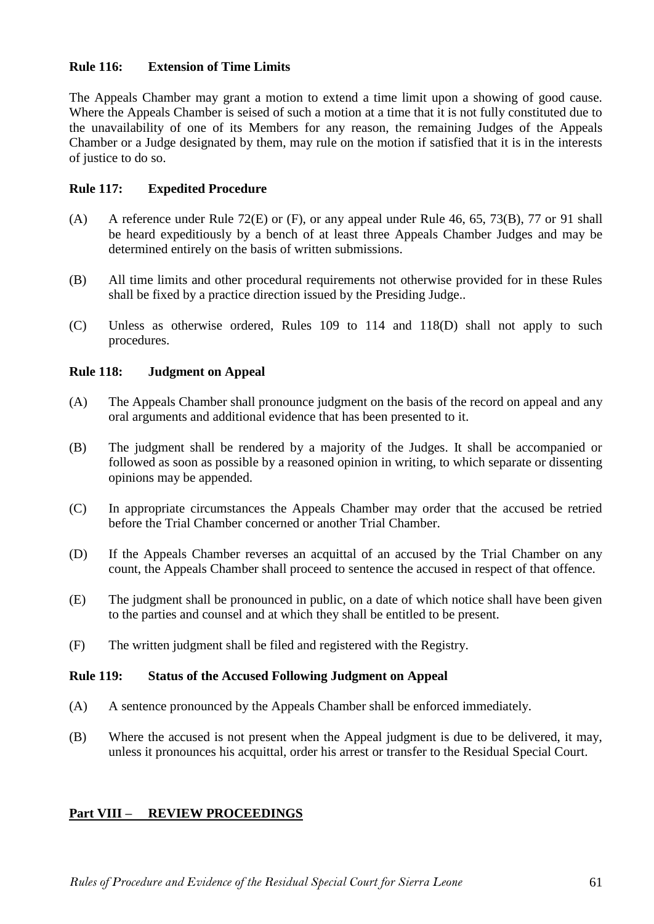### **Rule 116: Extension of Time Limits**

The Appeals Chamber may grant a motion to extend a time limit upon a showing of good cause. Where the Appeals Chamber is seised of such a motion at a time that it is not fully constituted due to the unavailability of one of its Members for any reason, the remaining Judges of the Appeals Chamber or a Judge designated by them, may rule on the motion if satisfied that it is in the interests of justice to do so.

### **Rule 117: Expedited Procedure**

- (A) A reference under Rule 72(E) or (F), or any appeal under Rule 46, 65, 73(B), 77 or 91 shall be heard expeditiously by a bench of at least three Appeals Chamber Judges and may be determined entirely on the basis of written submissions.
- (B) All time limits and other procedural requirements not otherwise provided for in these Rules shall be fixed by a practice direction issued by the Presiding Judge..
- (C) Unless as otherwise ordered, Rules 109 to 114 and 118(D) shall not apply to such procedures.

### **Rule 118: Judgment on Appeal**

- (A) The Appeals Chamber shall pronounce judgment on the basis of the record on appeal and any oral arguments and additional evidence that has been presented to it.
- (B) The judgment shall be rendered by a majority of the Judges. It shall be accompanied or followed as soon as possible by a reasoned opinion in writing, to which separate or dissenting opinions may be appended.
- (C) In appropriate circumstances the Appeals Chamber may order that the accused be retried before the Trial Chamber concerned or another Trial Chamber.
- (D) If the Appeals Chamber reverses an acquittal of an accused by the Trial Chamber on any count, the Appeals Chamber shall proceed to sentence the accused in respect of that offence.
- (E) The judgment shall be pronounced in public, on a date of which notice shall have been given to the parties and counsel and at which they shall be entitled to be present.
- (F) The written judgment shall be filed and registered with the Registry.

### **Rule 119: Status of the Accused Following Judgment on Appeal**

- (A) A sentence pronounced by the Appeals Chamber shall be enforced immediately.
- (B) Where the accused is not present when the Appeal judgment is due to be delivered, it may, unless it pronounces his acquittal, order his arrest or transfer to the Residual Special Court.

# **Part VIII – REVIEW PROCEEDINGS**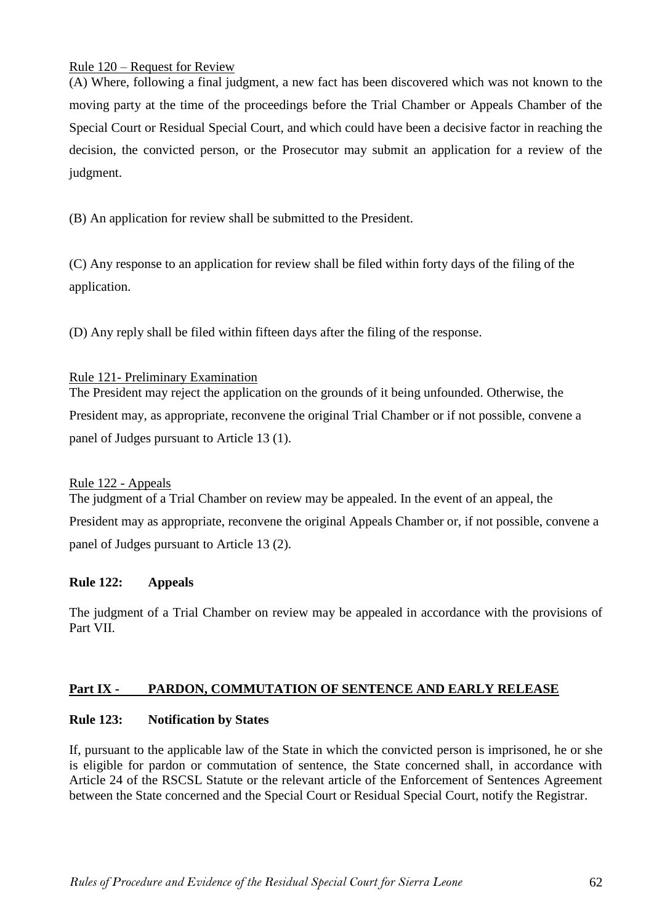### Rule 120 – Request for Review

(A) Where, following a final judgment, a new fact has been discovered which was not known to the moving party at the time of the proceedings before the Trial Chamber or Appeals Chamber of the Special Court or Residual Special Court, and which could have been a decisive factor in reaching the decision, the convicted person, or the Prosecutor may submit an application for a review of the judgment.

(B) An application for review shall be submitted to the President.

(C) Any response to an application for review shall be filed within forty days of the filing of the application.

(D) Any reply shall be filed within fifteen days after the filing of the response.

### Rule 121- Preliminary Examination

The President may reject the application on the grounds of it being unfounded. Otherwise, the President may, as appropriate, reconvene the original Trial Chamber or if not possible, convene a panel of Judges pursuant to Article 13 (1).

### Rule 122 - Appeals

The judgment of a Trial Chamber on review may be appealed. In the event of an appeal, the President may as appropriate, reconvene the original Appeals Chamber or, if not possible, convene a panel of Judges pursuant to Article 13 (2).

# **Rule 122: Appeals**

The judgment of a Trial Chamber on review may be appealed in accordance with the provisions of Part VII.

# **Part IX - PARDON, COMMUTATION OF SENTENCE AND EARLY RELEASE**

# **Rule 123: Notification by States**

If, pursuant to the applicable law of the State in which the convicted person is imprisoned, he or she is eligible for pardon or commutation of sentence, the State concerned shall, in accordance with Article 24 of the RSCSL Statute or the relevant article of the Enforcement of Sentences Agreement between the State concerned and the Special Court or Residual Special Court, notify the Registrar.